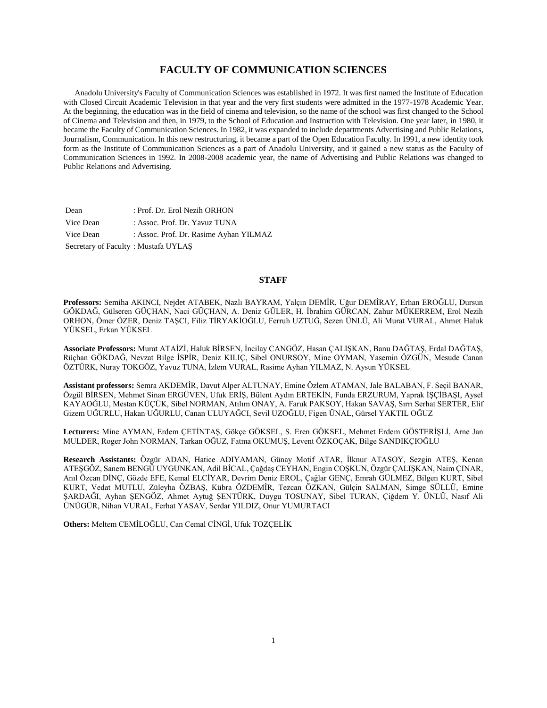## **FACULTY OF COMMUNICATION SCIENCES**

 Anadolu University's Faculty of Communication Sciences was established in 1972. It was first named the Institute of Education with Closed Circuit Academic Television in that year and the very first students were admitted in the 1977-1978 Academic Year. At the beginning, the education was in the field of cinema and television, so the name of the school was first changed to the School of Cinema and Television and then, in 1979, to the School of Education and Instruction with Television. One year later, in 1980, it became the Faculty of Communication Sciences. In 1982, it was expanded to include departments Advertising and Public Relations, Journalism, Communication. In this new restructuring, it became a part of the Open Education Faculty. In 1991, a new identity took form as the Institute of Communication Sciences as a part of Anadolu University, and it gained a new status as the Faculty of Communication Sciences in 1992. In 2008-2008 academic year, the name of Advertising and Public Relations was changed to Public Relations and Advertising.

Dean : Prof. Dr. Erol Nezih ORHON Vice Dean : Assoc. Prof. Dr. Yavuz TUNA Vice Dean : Assoc. Prof. Dr. Rasime Ayhan YILMAZ Secretary of Faculty : Mustafa UYLAŞ

#### **STAFF**

**Professors:** Semiha AKINCI, Nejdet ATABEK, Nazlı BAYRAM, Yalçın DEMİR, Uğur DEMİRAY, Erhan EROĞLU, Dursun GÖKDAĞ, Gülseren GÜÇHAN, Naci GÜÇHAN, A. Deniz GÜLER, H. İbrahim GÜRCAN, Zahur MÜKERREM, Erol Nezih ORHON, Ömer ÖZER, Deniz TAŞCI, Filiz TİRYAKİOĞLU, Ferruh UZTUĞ, Sezen ÜNLÜ, Ali Murat VURAL, Ahmet Haluk YÜKSEL, Erkan YÜKSEL

**Associate Professors:** Murat ATAİZİ, Haluk BİRSEN, İncilay CANGÖZ, Hasan ÇALIŞKAN, Banu DAĞTAŞ, Erdal DAĞTAŞ, Rüçhan GÖKDAĞ, Nevzat Bilge İSPİR, Deniz KILIÇ, Sibel ONURSOY, Mine OYMAN, Yasemin ÖZGÜN, Mesude Canan ÖZTÜRK, Nuray TOKGÖZ, Yavuz TUNA, İzlem VURAL, Rasime Ayhan YILMAZ, N. Aysun YÜKSEL

**Assistant professors:** Semra AKDEMİR, Davut Alper ALTUNAY, Emine Özlem ATAMAN, Jale BALABAN, F. Seçil BANAR, Özgül BİRSEN, Mehmet Sinan ERGÜVEN, Ufuk ERİŞ, Bülent Aydın ERTEKİN, Funda ERZURUM, Yaprak İŞÇİBAŞI, Aysel KAYAOĞLU, Mestan KÜÇÜK, Sibel NORMAN, Atılım ONAY, A. Faruk PAKSOY, Hakan SAVAŞ, Sırrı Serhat SERTER, Elif Gizem UĞURLU, Hakan UĞURLU, Canan ULUYAĞCI, Sevil UZOĞLU, Figen ÜNAL, Gürsel YAKTIL OĞUZ

**Lecturers:** Mine AYMAN, Erdem ÇETİNTAŞ, Gökçe GÖKSEL, S. Eren GÖKSEL, Mehmet Erdem GÖSTERİŞLİ, Arne Jan MULDER, Roger John NORMAN, Tarkan OĞUZ, Fatma OKUMUŞ, Levent ÖZKOÇAK, Bilge SANDIKÇIOĞLU

**Research Assistants:** Özgür ADAN, Hatice ADIYAMAN, Günay Motif ATAR, İlknur ATASOY, Sezgin ATEŞ, Kenan ATEŞGÖZ, Sanem BENGÜ UYGUNKAN, Adil BİCAL, Çağdaş CEYHAN, Engin COŞKUN, Özgür ÇALIŞKAN, Naim ÇINAR, Anıl Özcan DİNÇ, Gözde EFE, Kemal ELCİYAR, Devrim Deniz EROL, Çağlar GENÇ, Emrah GÜLMEZ, Bilgen KURT, Sibel KURT, Vedat MUTLU, Züleyha ÖZBAŞ, Kübra ÖZDEMİR, Tezcan ÖZKAN, Gülçin SALMAN, Simge SÜLLÜ, Emine ŞARDAĞI, Ayhan ŞENGÖZ, Ahmet Aytuğ ŞENTÜRK, Duygu TOSUNAY, Sibel TURAN, Çiğdem Y. ÜNLÜ, Nasıf Ali ÜNÜGÜR, Nihan VURAL, Ferhat YASAV, Serdar YILDIZ, Onur YUMURTACI

**Others:** Meltem CEMİLOĞLU, Can Cemal CİNGİ, Ufuk TOZÇELİK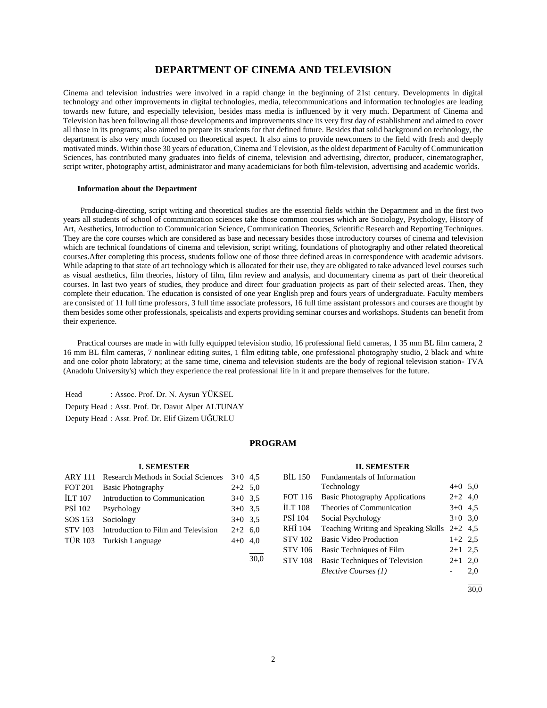## **DEPARTMENT OF CINEMA AND TELEVISION**

Cinema and television industries were involved in a rapid change in the beginning of 21st century. Developments in digital technology and other improvements in digital technologies, media, telecommunications and information technologies are leading towards new future, and especially television, besides mass media is influenced by it very much. Department of Cinema and Television has been following all those developments and improvements since its very first day of establishment and aimed to cover all those in its programs; also aimed to prepare its students for that defined future. Besides that solid background on technology, the department is also very much focused on theoretical aspect. It also aims to provide newcomers to the field with fresh and deeply motivated minds. Within those 30 years of education, Cinema and Television, as the oldest department of Faculty of Communication Sciences, has contributed many graduates into fields of cinema, television and advertising, director, producer, cinematographer, script writer, photography artist, administrator and many academicians for both film-television, advertising and academic worlds.

#### **Information about the Department**

 Producing-directing, script writing and theoretical studies are the essential fields within the Department and in the first two years all students of school of communication sciences take those common courses which are Sociology, Psychology, History of Art, Aesthetics, Introduction to Communication Science, Communication Theories, Scientific Research and Reporting Techniques. They are the core courses which are considered as base and necessary besides those introductory courses of cinema and television which are technical foundations of cinema and television, script writing, foundations of photography and other related theoretical courses.After completing this process, students follow one of those three defined areas in correspondence with academic advisors. While adapting to that state of art technology which is allocated for their use, they are obligated to take advanced level courses such as visual aesthetics, film theories, history of film, film review and analysis, and documentary cinema as part of their theoretical courses. In last two years of studies, they produce and direct four graduation projects as part of their selected areas. Then, they complete their education. The education is consisted of one year English prep and fours years of undergraduate. Faculty members are consisted of 11 full time professors, 3 full time associate professors, 16 full time assistant professors and courses are thought by them besides some other professionals, speicalists and experts providing seminar courses and workshops. Students can benefit from their experience.

 Practical courses are made in with fully equipped television studio, 16 professional field cameras, 1 35 mm BL film camera, 2 16 mm BL film cameras, 7 nonlinear editing suites, 1 film editing table, one professional photography studio, 2 black and white and one color photo labratory; at the same time, cinema and television students are the body of regional television station- TVA (Anadolu University's) which they experience the real professional life in it and prepare themselves for the future.

Head : Assoc. Prof. Dr. N. Aysun YÜKSEL Deputy Head : Asst. Prof. Dr. Davut Alper ALTUNAY Deputy Head : Asst. Prof. Dr. Elif Gizem UĞURLU

## **PROGRAM**

#### **I. SEMESTER**

| <b>ARY 111</b> | Research Methods in Social Sciences | $3+0$ 4.5 |  |
|----------------|-------------------------------------|-----------|--|
| <b>FOT 201</b> | <b>Basic Photography</b>            | $2+2$ 5.0 |  |
| <b>ILT 107</b> | Introduction to Communication       | $3+0$ 3.5 |  |
| <b>PSI 102</b> | Psychology                          | $3+0$ 3.5 |  |
| SOS 153        | Sociology                           | $3+0$ 3.5 |  |
| <b>STV 103</b> | Introduction to Film and Television | $2+2$ 6.0 |  |
|                | TÜR 103 Turkish Language            | $4+0$ 4.0 |  |
|                |                                     |           |  |

#### **II. SEMESTER**

| <b>BIL 150</b> | Fundamentals of Information           |           |     |
|----------------|---------------------------------------|-----------|-----|
|                | Technology                            | $4+0$ 5.0 |     |
| <b>FOT 116</b> | <b>Basic Photography Applications</b> | $2+2$ 4,0 |     |
| <b>ILT 108</b> | Theories of Communication             | $3+0$ 4.5 |     |
| PSİ 104        | Social Psychology                     | $3+0$ 3,0 |     |
| RHI 104        | Teaching Writing and Speaking Skills  | $2+2$ 4.5 |     |
| <b>STV 102</b> | Basic Video Production                | $1+2$ 2.5 |     |
| <b>STV 106</b> | Basic Techniques of Film              | $2+1$ 2.5 |     |
| <b>STV 108</b> | Basic Techniques of Television        | $2 + 1$   | 2,0 |
|                | Elective Courses (1)                  |           | 2,0 |
|                |                                       |           |     |

 $\frac{1}{30.0}$ 

30,0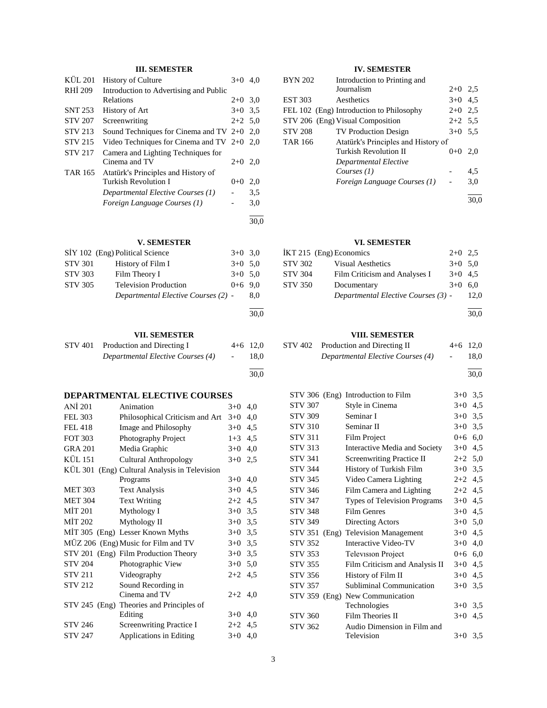## **III. SEMESTER**

| KÜL 201        | <b>History of Culture</b>                    | $3+0$     | 4.0  |
|----------------|----------------------------------------------|-----------|------|
| RHI 209        | Introduction to Advertising and Public       |           |      |
|                | Relations                                    | $2+0$     | 3,0  |
| <b>SNT 253</b> | History of Art                               | $3+0$ 3.5 |      |
| <b>STV 207</b> | Screenwriting                                | $2+2$ 5.0 |      |
| <b>STV 213</b> | Sound Techniques for Cinema and TV $2+0$ 2,0 |           |      |
| <b>STV 215</b> | Video Techniques for Cinema and TV $2+0$ 2,0 |           |      |
| <b>STV 217</b> | Camera and Lighting Techniques for           |           |      |
|                | Cinema and TV                                | $2+0$     | 2,0  |
| <b>TAR 165</b> | Atatürk's Principles and History of          |           |      |
|                | Turkish Revolution I                         | $0 + 0$   | 2,0  |
|                | Departmental Elective Courses (1)            |           | 3.5  |
|                | Foreign Language Courses (1)                 |           | 3,0  |
|                |                                              |           | 30.0 |

## **V. SEMESTER**

| SİY 102 (Eng) Political Science | $3+0$ 3.0                           |           |      |
|---------------------------------|-------------------------------------|-----------|------|
| <b>STV 301</b>                  | History of Film I                   | $3+0$ 5.0 |      |
| <b>STV 303</b>                  | Film Theory I                       | $3+0$ 5.0 |      |
| <b>STV 305</b>                  | <b>Television Production</b>        | $0+6$ 9.0 |      |
|                                 | Departmental Elective Courses (2) - |           | 8.0  |
|                                 |                                     |           | 30,0 |

## **VII. SEMESTER**

| STV 401 | Production and Directing I        | $4+6$ 12.0                   |      |
|---------|-----------------------------------|------------------------------|------|
|         | Departmental Elective Courses (4) | $\sim$ 100 $\sim$ 100 $\sim$ | 18.0 |
|         |                                   |                              |      |

30,0

## **DEPARTMENTAL ELECTIVE COURSES**

| ANI 201        | Animation                                | $3+0$   | 4,0 |
|----------------|------------------------------------------|---------|-----|
| <b>FEL 303</b> | Philosophical Criticism and Art          | $3+0$   | 4,0 |
| <b>FEL 418</b> | Image and Philosophy                     | $3+0$   | 4,5 |
| <b>FOT 303</b> | Photography Project                      | $1+3$   | 4,5 |
| <b>GRA 201</b> | Media Graphic                            | $3+0$   | 4,0 |
| <b>KÜL 151</b> | Cultural Anthropology                    | $3+0$   | 2,5 |
| KÜL 301        | (Eng) Cultural Analysis in Television    |         |     |
|                | Programs                                 | $3+0$   | 4,0 |
| <b>MET 303</b> | <b>Text Analysis</b>                     | $3+0$   | 4,5 |
| <b>MET 304</b> | <b>Text Writing</b>                      | $2+2$   | 4,5 |
| <b>MİT 201</b> | Mythology I                              | $3+0$   | 3,5 |
| MIT 202        | Mythology II                             | $3+0$   | 3,5 |
|                | MIT 305 (Eng) Lesser Known Myths         | $3+0$   | 3,5 |
|                | MÜZ 206 (Eng) Music for Film and TV      | $3+0$   | 3,5 |
|                | STV 201 (Eng) Film Production Theory     | $3+0$   | 3,5 |
| <b>STV 204</b> | Photographic View                        | $3+0$   | 5,0 |
| <b>STV 211</b> | Videography                              | $2+2$   | 4,5 |
| <b>STV 212</b> | Sound Recording in                       |         |     |
|                | Cinema and TV                            | $2+2$   | 4,0 |
|                | STV 245 (Eng) Theories and Principles of |         |     |
|                | Editing                                  | $3+0$   | 4,0 |
| STV 246        | <b>Screenwriting Practice I</b>          | $2 + 2$ | 4,5 |
| <b>STV 247</b> | <b>Applications in Editing</b>           | $3+0$   | 4,0 |

## **IV. SEMESTER**

| <b>BYN 202</b> | Introduction to Printing and             |           |      |
|----------------|------------------------------------------|-----------|------|
|                | Journalism                               | $2+0$ 2.5 |      |
| <b>EST 303</b> | Aesthetics                               | $3+0$ 4.5 |      |
|                | FEL 102 (Eng) Introduction to Philosophy | $2+0$ 2.5 |      |
|                | STV 206 (Eng) Visual Composition         | $2+2$ 5.5 |      |
| <b>STV 208</b> | <b>TV Production Design</b>              | $3+0$ 5.5 |      |
| <b>TAR 166</b> | Atatürk's Principles and History of      |           |      |
|                | Turkish Revolution II                    | $0+0$     | 2.0  |
|                | Departmental Elective                    |           |      |
|                | Courses $(1)$                            |           | 4,5  |
|                | Foreign Language Courses (1)             |           | 3,0  |
|                |                                          |           | 30.0 |

## **VI. SEMESTER**

|         | IKT 215 (Eng) Economics             | $2+0$ 2.5 |      |
|---------|-------------------------------------|-----------|------|
| STV 302 | Visual Aesthetics                   | $3+0$ 5.0 |      |
| STV 304 | Film Criticism and Analyses I       | $3+0$ 4.5 |      |
| STV 350 | Documentary                         | $3+0$ 6.0 |      |
|         | Departmental Elective Courses (3) - |           | 12.0 |
|         |                                     |           |      |

30,0

#### **VIII. SEMESTER**

| STV 402 Production and Directing II | $4+6$ 12.0               |      |
|-------------------------------------|--------------------------|------|
| Departmental Elective Courses (4)   | <b>Contract Contract</b> | 18.0 |
|                                     |                          |      |

30,0

|                |       | STV 306 (Eng) Introduction to Film | $3+0$     | 3,5 |
|----------------|-------|------------------------------------|-----------|-----|
| <b>STV 307</b> |       | Style in Cinema                    | $3+0$     | 4,5 |
| <b>STV 309</b> |       | Seminar I                          | $3+0$ 3,5 |     |
| <b>STV 310</b> |       | Seminar II                         | $3+0$ 3,5 |     |
| <b>STV 311</b> |       | Film Project                       | $0+6$ 6,0 |     |
| <b>STV 313</b> |       | Interactive Media and Society      | $3+0$     | 4,5 |
| <b>STV 341</b> |       | <b>Screenwriting Practice II</b>   | $2+2$     | 5,0 |
| <b>STV 344</b> |       | History of Turkish Film            | $3+0$     | 3,5 |
| <b>STV 345</b> |       | Video Camera Lighting              | $2+2$     | 4,5 |
| <b>STV 346</b> |       | Film Camera and Lighting           | $2+2$ 4,5 |     |
| <b>STV 347</b> |       | Types of Television Programs       | $3+0$     | 4,5 |
| <b>STV 348</b> |       | Film Genres                        | $3+0$ 4,5 |     |
| <b>STV 349</b> |       | Directing Actors                   | $3+0$ 5,0 |     |
| <b>STV 351</b> | (Eng) | <b>Television Management</b>       | $3+0$     | 4,5 |
| <b>STV 352</b> |       | Interactive Video-TV               | $3+0$     | 4,0 |
| <b>STV 353</b> |       | <b>Television Project</b>          | $0 + 6$   | 6,0 |
| STV 355        |       | Film Criticism and Analysis II     | $3+0$     | 4,5 |
| <b>STV 356</b> |       | History of Film II                 | $3+0$     | 4,5 |
| <b>STV 357</b> |       | Subliminal Communication           | $3+0$     | 3,5 |
| STV 359 (Eng)  |       | New Communication                  |           |     |
|                |       | Technologies                       | $3+0$     | 3,5 |
| <b>STV 360</b> |       | Film Theories II                   | $3+0$     | 4,5 |
| <b>STV 362</b> |       | Audio Dimension in Film and        |           |     |
|                |       | Television                         | $3+0$     | 3,5 |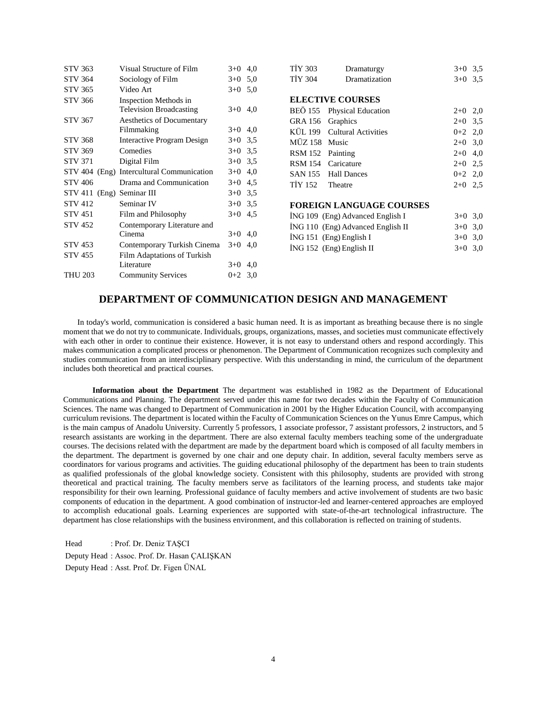| <b>STV 363</b>            | Visual Structure of Film                  | $3+0$ 4,0 | <b>TIY 303</b> | Dramaturgy                        | $3+0$ 3,5 |     |
|---------------------------|-------------------------------------------|-----------|----------------|-----------------------------------|-----------|-----|
| <b>STV 364</b>            | Sociology of Film                         | $3+0$ 5,0 | <b>TIY 304</b> | Dramatization                     | $3+0$ 3.5 |     |
| <b>STV 365</b>            | Video Art                                 | $3+0$ 5.0 |                |                                   |           |     |
| <b>STV 366</b>            | Inspection Methods in                     |           |                | <b>ELECTIVE COURSES</b>           |           |     |
|                           | <b>Television Broadcasting</b>            | $3+0$ 4,0 | BEO 155        | <b>Physical Education</b>         | $2+0$ 2,0 |     |
| <b>STV 367</b>            | Aesthetics of Documentary                 |           | GRA 156        | Graphics                          | $2+0$ 3.5 |     |
|                           | Filmmaking                                | $3+0$ 4,0 | KÜL 199        | <b>Cultural Activities</b>        | $0 + 2$   | 2,0 |
| <b>STV 368</b>            | Interactive Program Design                | $3+0$ 3,5 | MÜZ 158        | Music                             | $2+0$ 3,0 |     |
| <b>STV 369</b>            | Comedies                                  | $3+0$ 3.5 | <b>RSM 152</b> | Painting                          | $2+0$     | 4,0 |
| <b>STV 371</b>            | Digital Film                              | $3+0$ 3,5 | <b>RSM 154</b> | Caricature                        | $2+0$     | 2,5 |
|                           | STV 404 (Eng) Intercultural Communication | $3+0$ 4,0 | <b>SAN 155</b> | <b>Hall Dances</b>                | $0 + 2$   | 2,0 |
| <b>STV 406</b>            | Drama and Communication                   | $3+0$ 4,5 | TIY 152        | Theatre                           | $2+0$ 2.5 |     |
| STV 411 (Eng) Seminar III |                                           | $3+0$ 3.5 |                |                                   |           |     |
| <b>STV 412</b>            | Seminar IV                                | $3+0$ 3,5 |                | <b>FOREIGN LANGUAGE COURSES</b>   |           |     |
| <b>STV 451</b>            | Film and Philosophy                       | $3+0$ 4.5 |                | ING 109 (Eng) Advanced English I  | $3+0$ 3,0 |     |
| <b>STV 452</b>            | Contemporary Literature and               |           |                | İNG 110 (Eng) Advanced English II | $3+0$ 3.0 |     |
|                           | Cinema                                    | $3+0$ 4,0 |                | İNG 151 (Eng) English I           | $3+0$ 3,0 |     |
| <b>STV 453</b>            | Contemporary Turkish Cinema               | $3+0$ 4,0 |                | $ING 152$ (Eng) English II        | $3+0$ 3,0 |     |
| <b>STV 455</b>            | Film Adaptations of Turkish               |           |                |                                   |           |     |
|                           | Literature                                | $3+0$ 4,0 |                |                                   |           |     |
| <b>THU 203</b>            | <b>Community Services</b>                 | $0+2$ 3.0 |                |                                   |           |     |
|                           |                                           |           |                |                                   |           |     |

## **DEPARTMENT OF COMMUNICATION DESIGN AND MANAGEMENT**

 In today's world, communication is considered a basic human need. It is as important as breathing because there is no single moment that we do not try to communicate. Individuals, groups, organizations, masses, and societies must communicate effectively with each other in order to continue their existence. However, it is not easy to understand others and respond accordingly. This makes communication a complicated process or phenomenon. The Department of Communication recognizes such complexity and studies communication from an interdisciplinary perspective. With this understanding in mind, the curriculum of the department includes both theoretical and practical courses.

 **Information about the Department** The department was established in 1982 as the Department of Educational Communications and Planning. The department served under this name for two decades within the Faculty of Communication Sciences. The name was changed to Department of Communication in 2001 by the Higher Education Council, with accompanying curriculum revisions. The department is located within the Faculty of Communication Sciences on the Yunus Emre Campus, which is the main campus of Anadolu University. Currently 5 professors, 1 associate professor, 7 assistant professors, 2 instructors, and 5 research assistants are working in the department. There are also external faculty members teaching some of the undergraduate courses. The decisions related with the department are made by the department board which is composed of all faculty members in the department. The department is governed by one chair and one deputy chair. In addition, several faculty members serve as coordinators for various programs and activities. The guiding educational philosophy of the department has been to train students as qualified professionals of the global knowledge society. Consistent with this philosophy, students are provided with strong theoretical and practical training. The faculty members serve as facilitators of the learning process, and students take major responsibility for their own learning. Professional guidance of faculty members and active involvement of students are two basic components of education in the department. A good combination of instructor-led and learner-centered approaches are employed to accomplish educational goals. Learning experiences are supported with state-of-the-art technological infrastructure. The department has close relationships with the business environment, and this collaboration is reflected on training of students.

Head : Prof. Dr. Deniz TAŞCI Deputy Head : Assoc. Prof. Dr. Hasan ÇALIŞKAN Deputy Head : Asst. Prof. Dr. Figen ÜNAL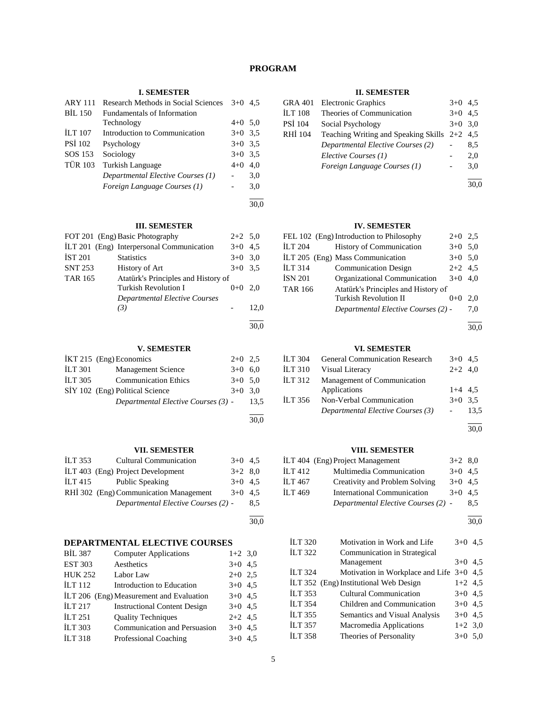## **PROGRAM**

## **I. SEMESTER**

| <b>ARY 111</b> | Research Methods in Social Sciences | $3+0$     | 4.5 |
|----------------|-------------------------------------|-----------|-----|
| <b>BIL 150</b> | Fundamentals of Information         |           |     |
|                | Technology                          | $4+0$ 5,0 |     |
| <b>ILT 107</b> | Introduction to Communication       | $3+0$ 3.5 |     |
| <b>PSI 102</b> | Psychology                          | $3+0$ 3.5 |     |
| SOS 153        | Sociology                           | $3+0$     | 3.5 |
| <b>TÜR 103</b> | <b>Turkish Language</b>             | $4 + 0$   | 4.0 |
|                | Departmental Elective Courses (1)   |           | 3,0 |
|                | Foreign Language Courses (1)        |           | 3,0 |
|                |                                     |           |     |

30,0

## **III. SEMESTER**

|                | FOT 201 (Eng) Basic Photography           | $2+2$ 5.0 |      |
|----------------|-------------------------------------------|-----------|------|
|                | ILT 201 (Eng) Interpersonal Communication | $3+0$     | 4.5  |
| <b>İST 201</b> | <b>Statistics</b>                         | $3+0$     | 3,0  |
| <b>SNT 253</b> | History of Art                            | $3+0$ 3.5 |      |
| TAR 165        | Atatürk's Principles and History of       |           |      |
|                | Turkish Revolution I                      | $0 + 0$   | 2.0  |
|                | <b>Departmental Elective Courses</b>      |           |      |
|                | (3)                                       |           | 12,0 |
|                |                                           |           |      |

## **V. SEMESTER**

|                | İKT 215 (Eng) Economics             | $2+0$ 2.5 |      |
|----------------|-------------------------------------|-----------|------|
| <b>ILT 301</b> | Management Science                  | $3+0$ 6.0 |      |
| <b>ILT 305</b> | <b>Communication Ethics</b>         | $3+0$ 5.0 |      |
|                | SİY 102 (Eng) Political Science     | $3+0$ 3.0 |      |
|                | Departmental Elective Courses (3) - |           | 13.5 |
|                |                                     |           |      |

#### **VII. SEMESTER**

| <b>ILT 353</b> | <b>Cultural Communication</b>          | $3+0$ 4.5 |     |
|----------------|----------------------------------------|-----------|-----|
|                | İLT 403 (Eng) Project Development      | $3+2$ 8.0 |     |
| ILT 415        | <b>Public Speaking</b>                 | $3+0$ 4.5 |     |
|                | RHİ 302 (Eng) Communication Management | $3+0$ 4.5 |     |
|                | Departmental Elective Courses (2) -    |           | 8.5 |
|                |                                        |           |     |

30,0

30,0

# **DEPARTMENTAL ELECTIVE COURSES**<br> **DIL 387** Computer Applications

| <b>BIL 387</b> | <b>Computer Applications</b>             | $1+2$ 3,0 |  |
|----------------|------------------------------------------|-----------|--|
| <b>EST 303</b> | Aesthetics                               | $3+0$ 4.5 |  |
| <b>HUK 252</b> | Labor Law                                | $2+0$ 2.5 |  |
| ILT112         | Introduction to Education                | $3+0$ 4.5 |  |
|                | ILT 206 (Eng) Measurement and Evaluation | $3+0$ 4.5 |  |
| <b>ILT 217</b> | <b>Instructional Content Design</b>      | $3+0$ 4.5 |  |
| <b>ILT 251</b> | <b>Ouality Techniques</b>                | $2+2$ 4.5 |  |
| <b>ILT 303</b> | Communication and Persuasion             | $3+0$ 4.5 |  |
| <b>ILT 318</b> | Professional Coaching                    | $3+0$ 4.5 |  |

#### **II. SEMESTER**

| GRA 401 | <b>Electronic Graphics</b>                     | $3+0$     | 4.5 |
|---------|------------------------------------------------|-----------|-----|
| İLT 108 | Theories of Communication                      | $3+0$     | 4.5 |
| PSİ 104 | Social Psychology                              | $3+0$ 3,0 |     |
| RHÍ 104 | Teaching Writing and Speaking Skills $2+2$ 4,5 |           |     |
|         | Departmental Elective Courses (2)              |           | 8.5 |
|         | Elective Courses (1)                           |           | 2.0 |
|         | Foreign Language Courses (1)                   |           | 3,0 |
|         |                                                |           |     |

30,0

#### **IV. SEMESTER**

|         | FEL 102 (Eng) Introduction to Philosophy | $2+0$ 2.5 |     |
|---------|------------------------------------------|-----------|-----|
| İLT 204 | History of Communication                 | $3+0$ 5.0 |     |
|         | İLT 205 (Eng) Mass Communication         | $3+0$ 5,0 |     |
| İLT 314 | <b>Communication Design</b>              | $2+2$ 4,5 |     |
| İSN 201 | Organizational Communication             | $3+0$ 4.0 |     |
| TAR 166 | Atatürk's Principles and History of      |           |     |
|         | <b>Turkish Revolution II</b>             | $0 + 0$   | 2.0 |
|         | Departmental Elective Courses (2) -      |           | 7.0 |
|         |                                          |           |     |

l 30,0

#### **VI. SEMESTER**

| <b>ILT 304</b>     | <b>General Communication Research</b> | $3+0$ 4.5 |      |
|--------------------|---------------------------------------|-----------|------|
| <b>ILT 310</b>     | Visual Literacy                       | $2+2$ 4.0 |      |
| ILT <sub>312</sub> | Management of Communication           |           |      |
|                    | Applications                          | $1+4$ 4.5 |      |
| <b>ILT 356</b>     | Non-Verbal Communication              | $3+0$ 3.5 |      |
|                    | Departmental Elective Courses (3)     |           | 13.5 |
|                    |                                       |           |      |

30,0

## **VIII. SEMESTER**

## İLT 404 (Eng) Project Management 3+2 8,0 İLT 412 Multimedia Communication 3+0 4,5 İLT 467 Creativity and Problem Solving 3+0 4,5 İLT 469 International Communication 3+0 4,5 *Departmental Elective Courses (2)* - 8,5

l 30,0

| İLT 320        | Motivation in Work and Life                | $3+0$     | 4.5 |
|----------------|--------------------------------------------|-----------|-----|
| İLT 322        | Communication in Strategical               |           |     |
|                | Management                                 | $3+0$ 4.5 |     |
| <b>İLT 324</b> | Motivation in Workplace and Life $3+0$ 4,5 |           |     |
|                | İLT 352 (Eng) Institutional Web Design     | $1+2$ 4.5 |     |
| <b>İLT 353</b> | <b>Cultural Communication</b>              | $3+0$ 4.5 |     |
| İLT 354        | Children and Communication                 | $3+0$ 4.5 |     |
| İLT 355        | Semantics and Visual Analysis              | $3+0$ 4.5 |     |
| İLT 357        | Macromedia Applications                    | $1+2$ 3,0 |     |
| <b>İLT 358</b> | Theories of Personality                    | $3+0$ 5.0 |     |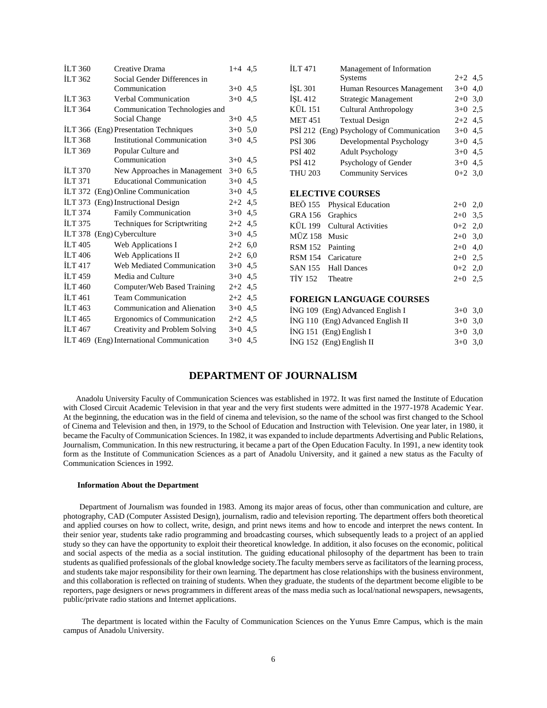| <b>ILT 360</b>     | Creative Drama                            | $1+4$ 4.5 | <b>ILT</b> 471 | Management of Information                 |           |     |
|--------------------|-------------------------------------------|-----------|----------------|-------------------------------------------|-----------|-----|
| <b>ILT 362</b>     | Social Gender Differences in              |           |                | <b>Systems</b>                            | $2+2$ 4,5 |     |
|                    | Communication                             | $3+0$ 4.5 | <b>ISL 301</b> | Human Resources Management                | $3+0$ 4,0 |     |
| ILT $363$          | Verbal Communication                      | $3+0$ 4.5 | ISL 412        | Strategic Management                      | $2+0$ 3,0 |     |
| <b>ILT 364</b>     | Communication Technologies and            |           | <b>KÜL 151</b> | <b>Cultural Anthropology</b>              | $3+0$ 2,5 |     |
|                    | Social Change                             | $3+0$ 4,5 | <b>MET 451</b> | <b>Textual Design</b>                     | $2+2$ 4.5 |     |
|                    | İLT 366 (Eng) Presentation Techniques     | $3+0$ 5.0 |                | PSİ 212 (Eng) Psychology of Communication | $3+0$ 4,5 |     |
| <b>ILT 368</b>     | Institutional Communication               | $3+0$ 4.5 | <b>PSİ 306</b> | Developmental Psychology                  | $3+0$ 4,5 |     |
| ILT 369            | Popular Culture and                       |           | <b>PSI 402</b> | <b>Adult Psychology</b>                   | $3+0$ 4,5 |     |
|                    | Communication                             | $3+0$ 4.5 | PSİ 412        | Psychology of Gender                      | $3+0$ 4,5 |     |
| <b>ILT 370</b>     | New Approaches in Management              | $3+0$ 6.5 | <b>THU 203</b> | <b>Community Services</b>                 | $0+2$ 3,0 |     |
| ILT $371$          | <b>Educational Communication</b>          | $3+0$ 4.5 |                |                                           |           |     |
|                    | İLT 372 (Eng) Online Communication        | $3+0$ 4,5 |                | <b>ELECTIVE COURSES</b>                   |           |     |
|                    | ILT 373 (Eng) Instructional Design        | $2+2$ 4.5 | <b>BEÖ 155</b> | <b>Physical Education</b>                 | $2+0$ 2,0 |     |
| <b>ILT 374</b>     | <b>Family Communication</b>               | $3+0$ 4.5 | <b>GRA 156</b> | Graphics                                  | $2+0$     | 3,5 |
| ILT $375$          | Techniques for Scriptwriting              | $2+2$ 4.5 | <b>KÜL 199</b> | <b>Cultural Activities</b>                | $0+2$     | 2,0 |
|                    | İLT 378 (Eng) Cyberculture                | $3+0$ 4.5 | MÜZ 158 Music  |                                           | $2+0$ 3,0 |     |
| ILT <sub>405</sub> | Web Applications I                        | $2+2$ 6,0 | <b>RSM 152</b> | Painting                                  | $2+0$     | 4,0 |
| <b>ILT</b> 406     | Web Applications II                       | $2+2$ 6.0 | <b>RSM</b> 154 | Caricature                                | $2+0$     | 2,5 |
| ILT <sub>417</sub> | Web Mediated Communication                | $3+0$ 4,5 | <b>SAN 155</b> | <b>Hall Dances</b>                        | $0 + 2$   | 2,0 |
| <b>ILT 459</b>     | Media and Culture                         | $3+0$ 4.5 | <b>TİY 152</b> | Theatre                                   | $2+0$     | 2.5 |
| ILT 460            | Computer/Web Based Training               | $2+2$ 4,5 |                |                                           |           |     |
| <b>ILT</b> 461     | <b>Team Communication</b>                 | $2+2$ 4.5 |                | <b>FOREIGN LANGUAGE COURSES</b>           |           |     |
| ILT <sub>463</sub> | Communication and Alienation              | $3+0$ 4,5 |                | ING 109 (Eng) Advanced English I          | $3+0$ 3,0 |     |
| <b>ILT</b> 465     | Ergonomics of Communication               | $2+2$ 4.5 |                | İNG 110 (Eng) Advanced English II         | $3+0$ 3,0 |     |
| <b>ILT 467</b>     | Creativity and Problem Solving            | $3+0$ 4,5 |                | İNG 151 (Eng) English I                   | $3+0$ 3,0 |     |
|                    | İLT 469 (Eng) International Communication | $3+0$ 4.5 |                | İNG 152 (Eng) English II                  | $3+0$ 3,0 |     |
|                    |                                           |           |                |                                           |           |     |

## **DEPARTMENT OF JOURNALISM**

 Anadolu University Faculty of Communication Sciences was established in 1972. It was first named the Institute of Education with Closed Circuit Academic Television in that year and the very first students were admitted in the 1977-1978 Academic Year. At the beginning, the education was in the field of cinema and television, so the name of the school was first changed to the School of Cinema and Television and then, in 1979, to the School of Education and Instruction with Television. One year later, in 1980, it became the Faculty of Communication Sciences. In 1982, it was expanded to include departments Advertising and Public Relations, Journalism, Communication. In this new restructuring, it became a part of the Open Education Faculty. In 1991, a new identity took form as the Institute of Communication Sciences as a part of Anadolu University, and it gained a new status as the Faculty of Communication Sciences in 1992.

#### **Information About the Department**

 Department of Journalism was founded in 1983. Among its major areas of focus, other than communication and culture, are photography, CAD (Computer Assisted Design), journalism, radio and television reporting. The department offers both theoretical and applied courses on how to collect, write, design, and print news items and how to encode and interpret the news content. In their senior year, students take radio programming and broadcasting courses, which subsequently leads to a project of an applied study so they can have the opportunity to exploit their theoretical knowledge. In addition, it also focuses on the economic, political and social aspects of the media as a social institution. The guiding educational philosophy of the department has been to train students as qualified professionals of the global knowledge society.The faculty members serve as facilitators of the learning process, and students take major responsibility for their own learning. The department has close relationships with the business environment, and this collaboration is reflected on training of students. When they graduate, the students of the department become eligible to be reporters, page designers or news programmers in different areas of the mass media such as local/national newspapers, newsagents, public/private radio stations and Internet applications.

 The department is located within the Faculty of Communication Sciences on the Yunus Emre Campus, which is the main campus of Anadolu University.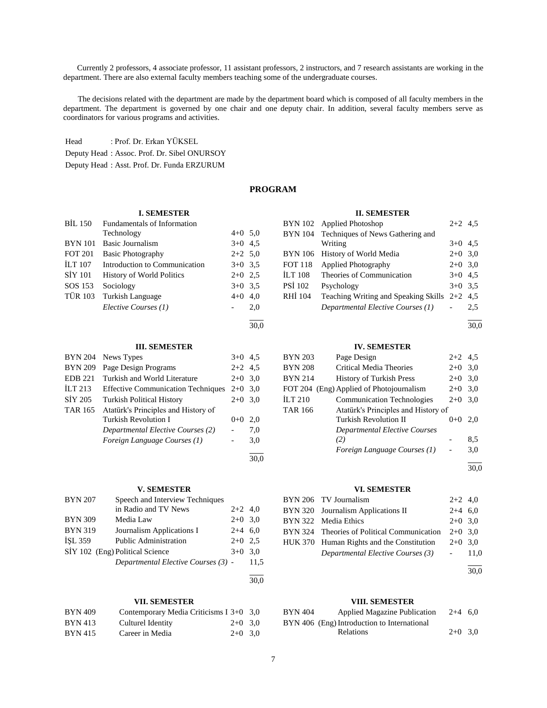Currently 2 professors, 4 associate professor, 11 assistant professors, 2 instructors, and 7 research assistants are working in the department. There are also external faculty members teaching some of the undergraduate courses.

 The decisions related with the department are made by the department board which is composed of all faculty members in the department. The department is governed by one chair and one deputy chair. In addition, several faculty members serve as coordinators for various programs and activities.

Head : Prof. Dr. Erkan YÜKSEL Deputy Head : Assoc. Prof. Dr. Sibel ONURSOY Deputy Head : Asst. Prof. Dr. Funda ERZURUM

## **PROGRAM**

30,0

#### **I. SEMESTER**

| BIL 150        | <b>Fundamentals of Information</b> |           |     |
|----------------|------------------------------------|-----------|-----|
|                | Technology                         | $4+0$ 5.0 |     |
| <b>BYN</b> 101 | <b>Basic Journalism</b>            | $3+0$ 4.5 |     |
| <b>FOT 201</b> | <b>Basic Photography</b>           | $2+2$ 5,0 |     |
| <b>ILT 107</b> | Introduction to Communication      | $3+0$ 3.5 |     |
| <b>SIY 101</b> | <b>History of World Politics</b>   | $2+0$ 2.5 |     |
| SOS 153        | Sociology                          | $3+0$ 3.5 |     |
| <b>TÜR 103</b> | Turkish Language                   | $4+0$ 4,0 |     |
|                | Elective Courses (1)               |           | 2,0 |
|                |                                    |           |     |

#### **III. SEMESTER**

| <b>BYN 204</b> | News Types                                | $3+0$ 4.5 |     |
|----------------|-------------------------------------------|-----------|-----|
| <b>BYN 209</b> | Page Design Programs                      | $2+2$ 4.5 |     |
| <b>EDB 221</b> | Turkish and World Literature              | $2+0$ 3.0 |     |
| ILT $213$      | <b>Effective Communication Techniques</b> | $2+0$ 3.0 |     |
| SİY 205        | <b>Turkish Political History</b>          | $2+0$     | 3,0 |
| <b>TAR 165</b> | Atatürk's Principles and History of       |           |     |
|                | Turkish Revolution I                      | $0+0$     | 2,0 |
|                | Departmental Elective Courses (2)         |           | 7,0 |
|                | Foreign Language Courses (1)              |           | 3,0 |
|                |                                           |           |     |

## **V. SEMESTER**

| <b>BYN 207</b> | Speech and Interview Techniques     |           |      |
|----------------|-------------------------------------|-----------|------|
|                | in Radio and TV News                | $2+2$ 4,0 |      |
| <b>BYN 309</b> | Media Law                           | $2+0$ 3.0 |      |
| <b>BYN 319</b> | Journalism Applications I           | $2+4$ 6.0 |      |
| <b>ISL 359</b> | <b>Public Administration</b>        | $2+0$     | 2.5  |
|                | SİY 102 (Eng) Political Science     | $3+0$     | 3.0  |
|                | Departmental Elective Courses (3) - |           | 11.5 |
|                |                                     |           | 30.0 |

#### **VII. SEMESTER**

| <b>BYN 409</b> | Contemporary Media Criticisms I 3+0 3.0 |           |  |
|----------------|-----------------------------------------|-----------|--|
| <b>BYN 413</b> | Culturel Identity                       | $2+0$ 3.0 |  |
| <b>BYN 415</b> | Career in Media                         | $2+0$ 3.0 |  |

#### **II. SEMESTER**

|                | BYN 102 Applied Photoshop                   | $2+2$ 4.5 |     |
|----------------|---------------------------------------------|-----------|-----|
|                | BYN 104 Techniques of News Gathering and    |           |     |
|                | Writing                                     | $3+0$ 4.5 |     |
| <b>BYN</b> 106 | History of World Media                      | $2+0$ 3,0 |     |
| <b>FOT 118</b> | <b>Applied Photography</b>                  | $2+0$ 3,0 |     |
| <b>ILT 108</b> | Theories of Communication                   | $3+0$ 4.5 |     |
| <b>PSI 102</b> | Psychology                                  | $3+0$ 3.5 |     |
| RHI 104        | <b>Teaching Writing and Speaking Skills</b> | $2+2$     | 4.5 |
|                | Departmental Elective Courses (1)           |           | 2.5 |
|                |                                             |           |     |

30,0

#### **IV. SEMESTER**

## BYN 203 Page Design 2+2 4,5 BYN 208 Critical Media Theories 2+0 3,0 BYN 214 History of Turkish Press 2+0 3,0 FOT 204 (Eng) Applied of Photojournalism 2+0 3,0 İLT 210 Communication Technologies 2+0 3,0 TAR 166 Atatürk's Principles and History of Turkish Revolution II  $0+0$  2,0 *Departmental Elective Courses (2)* - 8,5 *Foreign Language Courses (1)* - 3,0 l

30,0

#### **VI. SEMESTER**

| BYN 206 TV Journalism                       | $2+2$ 4,0 |  |
|---------------------------------------------|-----------|--|
| BYN 320 Journalism Applications II          | $2+4$ 6.0 |  |
| BYN 322 Media Ethics                        | $2+0$ 3.0 |  |
| BYN 324 Theories of Political Communication | $2+0$ 3.0 |  |
| HUK 370 Human Rights and the Constitution   | $2+0$ 3.0 |  |
| Departmental Elective Courses (3)           | $-11.0$   |  |
|                                             |           |  |

30,0

#### **VIII. SEMESTER**

| BYN 404 | <b>Applied Magazine Publication</b>         | $2+4$ 6.0 |  |
|---------|---------------------------------------------|-----------|--|
|         | BYN 406 (Eng) Introduction to International |           |  |
|         | <b>Relations</b>                            | $2+0$ 3.0 |  |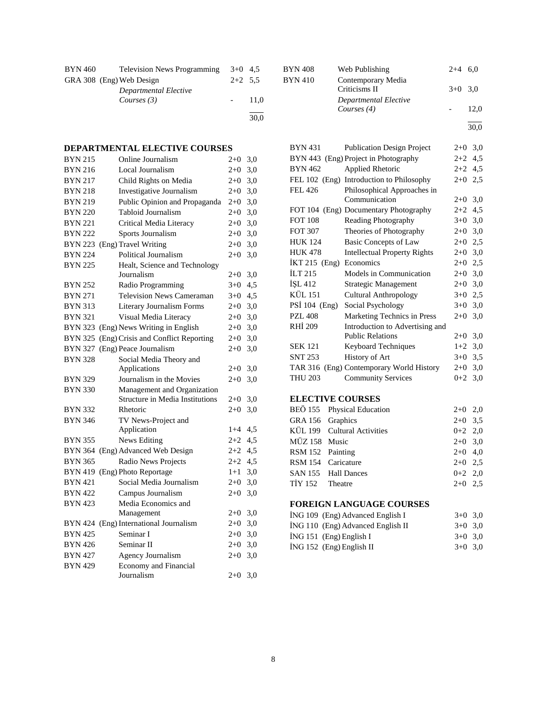| <b>BYN 460</b> | <b>Television News Programming</b>     | $3+0$ 4.5 |      |
|----------------|----------------------------------------|-----------|------|
|                | GRA 308 (Eng) Web Design               | $2+2$ 5.5 |      |
|                | Departmental Elective<br>Courses $(3)$ |           | 11.0 |
|                |                                        |           | 30,0 |

## **DEPARTMENTAL ELECTIVE COURSES**

| <b>BYN 215</b> | Online Journalism                      | $2+0$   | 3,0 |
|----------------|----------------------------------------|---------|-----|
| <b>BYN 216</b> | Local Journalism                       | $2 + 0$ | 3,0 |
| <b>BYN 217</b> | Child Rights on Media                  | $2+0$   | 3,0 |
| <b>BYN 218</b> | Investigative Journalism               | $2+0$   | 3,0 |
| <b>BYN 219</b> | Public Opinion and Propaganda          | $2+0$   | 3,0 |
| <b>BYN 220</b> | Tabloid Journalism                     | $2+0$   | 3,0 |
| <b>BYN 221</b> | Critical Media Literacy                | $2+0$   | 3,0 |
| <b>BYN 222</b> | Sports Journalism                      | $2 + 0$ | 3,0 |
|                | BYN 223 (Eng) Travel Writing           | $2 + 0$ | 3,0 |
| <b>BYN 224</b> | Political Journalism                   | $2+0$   | 3,0 |
| <b>BYN 225</b> | Healt, Science and Technology          |         |     |
|                | Journalism                             | $2+0$   | 3,0 |
| <b>BYN 252</b> | Radio Programming                      | $3 + 0$ | 4,5 |
| <b>BYN 271</b> | <b>Television News Cameraman</b>       | $3+0$   | 4,5 |
| <b>BYN 313</b> | Literary Journalism Forms              | $2 + 0$ | 3,0 |
| <b>BYN 321</b> | Visual Media Literacy                  | $2+0$   | 3,0 |
| <b>BYN 323</b> | (Eng) News Writing in English          | $2+0$   | 3,0 |
| BYN 325        | (Eng) Crisis and Conflict Reporting    | $2 + 0$ | 3,0 |
|                | BYN 327 (Eng) Peace Journalism         | $2 + 0$ | 3,0 |
| <b>BYN 328</b> | Social Media Theory and                |         |     |
|                | Applications                           | $2+0$   | 3,0 |
| <b>BYN 329</b> | Journalism in the Movies               | $2+0$   | 3,0 |
| <b>BYN 330</b> | Management and Organization            |         |     |
|                | Structure in Media Institutions        | $2 + 0$ | 3,0 |
| BYN 332        | Rhetoric                               | $2 + 0$ | 3,0 |
| <b>BYN 346</b> | TV News-Project and                    |         |     |
|                | Application                            | $1 + 4$ | 4,5 |
| <b>BYN 355</b> | News Editing                           | $2+2$   | 4,5 |
|                | BYN 364 (Eng) Advanced Web Design      | $2+2$   | 4,5 |
| <b>BYN 365</b> | Radio News Projects                    | $2 + 2$ | 4,5 |
|                | BYN 419 (Eng) Photo Reportage          | $1+1$   | 3,0 |
| <b>BYN 421</b> | Social Media Journalism                | $2 + 0$ | 3,0 |
| <b>BYN 422</b> | Campus Journalism                      | $2+0$   | 3,0 |
| <b>BYN 423</b> | Media Economics and                    |         |     |
|                | Management                             | $2 + 0$ | 3,0 |
|                | BYN 424 (Eng) International Journalism | $2 + 0$ | 3,0 |
| <b>BYN 425</b> | Seminar I                              | $2 + 0$ | 3,0 |
| <b>BYN 426</b> | Seminar II                             | $2+0$   | 3,0 |
| <b>BYN 427</b> | <b>Agency Journalism</b>               | $2+0$   | 3,0 |
| <b>BYN 429</b> | Economy and Financial                  |         |     |
|                | Journalism                             | $2+0$   | 3,0 |

| BYN 408 | Web Publishing                         | $2+4$ 6.0 |      |
|---------|----------------------------------------|-----------|------|
| BYN 410 | Contemporary Media<br>Criticisms II    | $3+0$ 3.0 |      |
|         | Departmental Elective<br>Courses $(4)$ |           | 12,0 |
|         |                                        |           | 30.0 |

BYN 431 Publication Design Project 2+0 3,0 BYN 443 (Eng) Project in Photography 2+2 4,5 BYN 462 Applied Rhetoric 2+2 4,5 FEL 102 (Eng) Introduction to Philosophy 2+0 2,5 FEL 426 Philosophical Approaches in Communication 2+0 3,0 FOT 104 (Eng) Documentary Photography 2+2 4,5 FOT 108 Reading Photography 3+0 3,0 FOT 307 Theories of Photography 2+0 3,0 HUK 124 Basic Concepts of Law 2+0 2,5 HUK 478 Intellectual Property Rights 2+0 3,0 İKT 215 (Eng) Economics 2+0 2,5 İLT 215 Models in Communication 2+0 3,0 İŞL 412 Strategic Management 2+0 3,0 KÜL 151 Cultural Anthropology 3+0 2,5 PSİ 104 (Eng) Social Psychology 3+0 3,0 PZL 408 Marketing Technics in Press  $2+0$  3,0 RHİ 209 Introduction to Advertising and Public Relations 2+0 3,0 SEK 121 Keyboard Techniques 1+2 3,0 SNT 253 History of Art  $3+0$  3,5 TAR 316 (Eng) Contemporary World History 2+0 3,0 THU 203 Community Services 0+2 3,0

## **ELECTIVE COURSES**

|                  | BEÖ 155 Physical Education  | $2+0$ 2,0 |  |
|------------------|-----------------------------|-----------|--|
| GRA 156 Graphics |                             | $2+0$ 3.5 |  |
|                  | KÜL 199 Cultural Activities | $0+2$ 2,0 |  |
| MÜZ 158 Music    |                             | $2+0$ 3.0 |  |
| RSM 152 Painting |                             | $2+0$ 4.0 |  |
|                  | RSM 154 Caricature          | $2+0$ 2.5 |  |
|                  | SAN 155 Hall Dances         | $0+2$ 2.0 |  |
| TİY 152 Theatre  |                             | $2+0$ 2.5 |  |

#### **FOREIGN LANGUAGE COURSES**

|  | ING 109 (Eng) Advanced English I  | $3+0$ 3.0 |  |
|--|-----------------------------------|-----------|--|
|  | ING 110 (Eng) Advanced English II | $3+0$ 3.0 |  |
|  | $ING 151$ (Eng) English I         | $3+0$ 3.0 |  |
|  | ING 152 (Eng) English II          | $3+0$ 3.0 |  |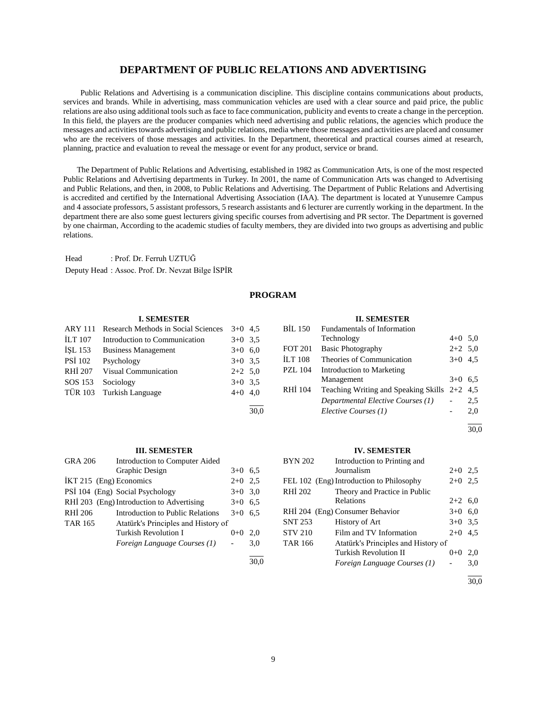## **DEPARTMENT OF PUBLIC RELATIONS AND ADVERTISING**

 Public Relations and Advertising is a communication discipline. This discipline contains communications about products, services and brands. While in advertising, mass communication vehicles are used with a clear source and paid price, the public relations are also using additional tools such as face to face communication, publicity and events to create a change in the perception. In this field, the players are the producer companies which need advertising and public relations, the agencies which produce the messages and activities towards advertising and public relations, media where those messages and activities are placed and consumer who are the receivers of those messages and activities. In the Department, theoretical and practical courses aimed at research, planning, practice and evaluation to reveal the message or event for any product, service or brand.

 The Department of Public Relations and Advertising, established in 1982 as Communication Arts, is one of the most respected Public Relations and Advertising departments in Turkey. In 2001, the name of Communication Arts was changed to Advertising and Public Relations, and then, in 2008, to Public Relations and Advertising. The Department of Public Relations and Advertising is accredited and certified by the International Advertising Association (IAA). The department is located at Yunusemre Campus and 4 associate professors, 5 assistant professors, 5 research assistants and 6 lecturer are currently working in the department. In the department there are also some guest lecturers giving specific courses from advertising and PR sector. The Department is governed by one chairman, According to the academic studies of faculty members, they are divided into two groups as advertising and public relations.

Head : Prof. Dr. Ferruh UZTUĞ Deputy Head : Assoc. Prof. Dr. Nevzat Bilge İSPİR

## **PROGRAM**

30,0

#### **I. SEMESTER**

| ARY 111        | Research Methods in Social Sciences | $3+0$ 4.5 |  |
|----------------|-------------------------------------|-----------|--|
| <b>ILT</b> 107 | Introduction to Communication       | $3+0$ 3.5 |  |
| ISL 153        | <b>Business Management</b>          | $3+0$ 6,0 |  |
| <b>PSI 102</b> | Psychology                          | $3+0$ 3.5 |  |
| RHI 207        | Visual Communication                | $2+2$ 5.0 |  |
| SOS 153        | Sociology                           | $3+0$ 3.5 |  |
|                | TÜR 103 Turkish Language            | $4+0$ 4,0 |  |
|                |                                     |           |  |

#### **III. SEMESTER**

| <b>GRA 206</b>          | Introduction to Computer Aided            |           |     |
|-------------------------|-------------------------------------------|-----------|-----|
|                         | Graphic Design                            | $3+0$     | 6,5 |
| IKT 215 (Eng) Economics |                                           | $2+0$ 2.5 |     |
|                         | PSI 104 (Eng) Social Psychology           | $3+0$ 3.0 |     |
|                         | RHİ 203 (Eng) Introduction to Advertising | $3+0$     | 6,5 |
| RHI 206                 | Introduction to Public Relations          | $3+0$     | 6.5 |
| <b>TAR 165</b>          | Atatürk's Principles and History of       |           |     |
|                         | Turkish Revolution I                      | $0 + 0$   | 2.0 |
|                         | Foreign Language Courses (1)              |           | 3,0 |
|                         |                                           |           |     |

#### **II. SEMESTER**

| <b>BIL 150</b> | Fundamentals of Information                |           |     |
|----------------|--------------------------------------------|-----------|-----|
|                | Technology                                 | $4+0$ 5.0 |     |
| <b>FOT 201</b> | <b>Basic Photography</b>                   | $2+2$ 5.0 |     |
| <b>ILT 108</b> | Theories of Communication                  | $3+0$ 4.5 |     |
| <b>PZL</b> 104 | <b>Introduction to Marketing</b>           |           |     |
|                | Management                                 | $3+0$ 6.5 |     |
| RHI 104        | Teaching Writing and Speaking Skills $2+2$ |           | 4.5 |
|                | Departmental Elective Courses (1)          |           | 2,5 |
|                | Elective Courses (1)                       |           | 2,0 |
|                |                                            |           |     |

30,0

#### **IV. SEMESTER**

| <b>BYN 202</b> | Introduction to Printing and             |           |     |
|----------------|------------------------------------------|-----------|-----|
|                | Journalism                               | $2+0$ 2.5 |     |
|                | FEL 102 (Eng) Introduction to Philosophy | $2+0$     | 2.5 |
| RHI 202        | Theory and Practice in Public            |           |     |
|                | Relations                                | $2+2$ 6,0 |     |
|                | RHİ 204 (Eng) Consumer Behavior          | $3+0$     | 6,0 |
| <b>SNT 253</b> | History of Art                           | $3+0$ 3.5 |     |
| <b>STV 210</b> | Film and TV Information                  | $2+0$ 4.5 |     |
| <b>TAR 166</b> | Atatürk's Principles and History of      |           |     |
|                | Turkish Revolution II                    | $0+0$     | 2.0 |
|                | Foreign Language Courses (1)             |           | 3.0 |
|                |                                          |           |     |

 $\frac{1}{30.0}$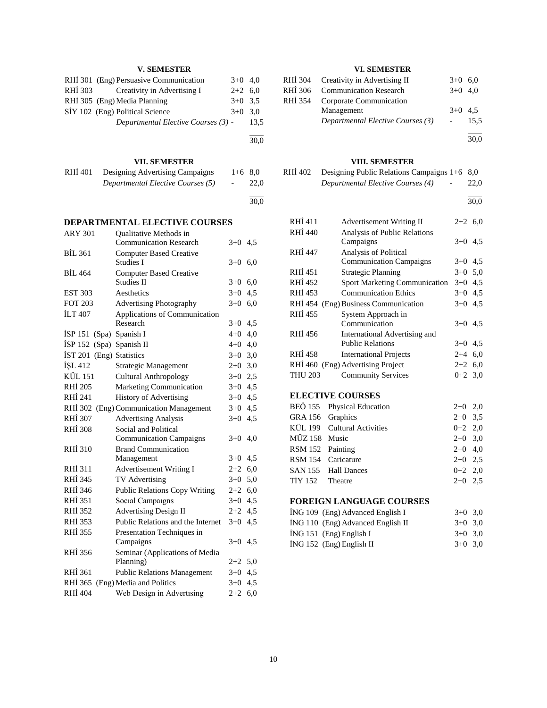## **V. SEMESTER**

|         | RHİ 301 (Eng) Persuasive Communication | $3+0$ 4.0 |      |
|---------|----------------------------------------|-----------|------|
| RHI 303 | Creativity in Advertising I            | $2+2$ 6.0 |      |
|         | RHİ 305 (Eng) Media Planning           | $3+0$ 3.5 |      |
|         | SİY 102 (Eng) Political Science        | $3+0$ 3.0 |      |
|         | Departmental Elective Courses (3) -    |           | 13.5 |
|         |                                        |           |      |

## **VII. SEMESTER**

| RHI 401 | Designing Advertising Campaigns   | $1+6$ 8.0  |      |
|---------|-----------------------------------|------------|------|
|         | Departmental Elective Courses (5) | $\sim$ $-$ | 22.0 |
|         |                                   |            |      |

 $\frac{30,0}{ }$ 

30,0

## **DEPARTMENTAL ELECTIVE COURSES**

| <b>ARY 301</b> | <b>Oualitative Methods in</b>      |           |     |
|----------------|------------------------------------|-----------|-----|
|                | <b>Communication Research</b>      | $3+0$ 4.5 |     |
| <b>BIL 361</b> | <b>Computer Based Creative</b>     |           |     |
|                | Studies I                          | $3+0$ 6,0 |     |
| <b>BIL 464</b> | <b>Computer Based Creative</b>     |           |     |
|                | <b>Studies II</b>                  | $3+0$ 6,0 |     |
| <b>EST 303</b> | Aesthetics                         | $3+0$     | 4,5 |
| <b>FOT 203</b> | Advertising Photography            | $3+0$     | 6,0 |
| <b>ILT 407</b> | Applications of Communication      |           |     |
|                | Research                           | $3+0$ 4.5 |     |
| ISP 151        | (Spa) Spanish I                    | $4 + 0$   | 4,0 |
| ISP 152        | (Spa) Spanish II                   | $4+0$ 4,0 |     |
| <b>IST 201</b> | (Eng) Statistics                   | $3+0$ 3,0 |     |
| İŞL 412        | Strategic Management               | $2+0$ 3,0 |     |
| <b>KÜL 151</b> | <b>Cultural Anthropology</b>       | $3+0$ 2,5 |     |
| <b>RHİ 205</b> | Marketing Communication            | $3+0$ 4,5 |     |
| RHI 241        | <b>History of Advertising</b>      | $3+0$ 4,5 |     |
| RHI 302        | (Eng) Communication Management     | $3+0$     | 4,5 |
| <b>RHI 307</b> | <b>Advertising Analysis</b>        | $3+0$     | 4,5 |
| <b>RHİ 308</b> | Social and Political               |           |     |
|                | <b>Communication Campaigns</b>     | $3+0$     | 4,0 |
| <b>RHI 310</b> | <b>Brand Communication</b>         |           |     |
|                | Management                         | $3+0$     | 4,5 |
| RHI 311        | <b>Advertisement Writing I</b>     | $2+2$     | 6,0 |
| RHI 345        | TV Advertising                     | $3+0$     | 5,0 |
| RHI 346        | Public Relations Copy Writing      | $2+2$ 6,0 |     |
| <b>RHI 351</b> | Social Campaigns                   | $3+0$ 4,5 |     |
| RHI 352        | <b>Advertising Design II</b>       | $2+2$ 4,5 |     |
| RHI 353        | Public Relations and the Internet  | $3+0$     | 4,5 |
| <b>RHİ 355</b> | Presentation Techniques in         |           |     |
|                | Campaigns                          | $3+0$     | 4,5 |
| RHI 356        | Seminar (Applications of Media     |           |     |
|                | Planning)                          | $2+2$ 5.0 |     |
| RHI 361        | <b>Public Relations Management</b> | $3+0$ 4.5 |     |
| RHI 365        | (Eng) Media and Politics           | $3+0$ 4.5 |     |
| RHI 404        | Web Design in Advertising          | $2+2$     | 6,0 |
|                |                                    |           |     |

## **VI. SEMESTER**

| RHİ 304 Creativity in Advertising II | $3+0$ 6.0 |      |
|--------------------------------------|-----------|------|
| RHİ 306 Communication Research       | $3+0$ 4.0 |      |
| RHİ 354 Corporate Communication      |           |      |
| Management                           | $3+0$ 4.5 |      |
| Departmental Elective Courses (3)    |           | 15.5 |
|                                      |           |      |

30,0

|                | VIII. SEMESTER                           |       |           |
|----------------|------------------------------------------|-------|-----------|
| RHÍ 402        | Designing Public Relations Campaigns 1+6 |       | 8.0       |
|                | Departmental Elective Courses (4)        |       | 22,0      |
|                |                                          |       | 30,0      |
| RHI 411        | Advertisement Writing II                 |       | $2+2$ 6,0 |
| <b>RHI 440</b> | <b>Analysis of Public Relations</b>      |       |           |
|                | Campaigns                                |       | $3+0$ 4.5 |
| RHI 447        | Analysis of Political                    |       |           |
|                | <b>Communication Campaigns</b>           |       | $3+0$ 4,5 |
| RHI 451        | <b>Strategic Planning</b>                |       | $3+0$ 5,0 |
| RHI 452        | <b>Sport Marketing Communication</b>     |       | $3+0$ 4,5 |
| RHI 453        | <b>Communication Ethics</b>              |       | $3+0$ 4,5 |
|                | RHİ 454 (Eng) Business Communication     |       | $3+0$ 4,5 |
| RHI 455        | System Approach in                       |       |           |
|                | Communication                            |       | $3+0$ 4.5 |
| RHI 456        | International Advertising and            |       |           |
|                | <b>Public Relations</b>                  |       | $3+0$ 4,5 |
| RHI 458        | <b>International Projects</b>            |       | $2+4$ 6,0 |
|                | RHI 460 (Eng) Advertising Project        |       | $2+2$ 6,0 |
| <b>THU 203</b> | <b>Community Services</b>                |       | $0+2$ 3,0 |
|                | <b>ELECTIVE COURSES</b>                  |       |           |
| BEÖ 155        | Physical Education                       | $2+0$ | 2,0       |
| GRA 156        | Graphics                                 | $2+0$ | 3,5       |

| URA 150 UTaplics |                             | $2+0$ 3.3 |  |
|------------------|-----------------------------|-----------|--|
|                  | KÜL 199 Cultural Activities | $0+2$ 2,0 |  |
| MÜZ 158 Music    |                             | $2+0$ 3.0 |  |
| RSM 152 Painting |                             | $2+0$ 4.0 |  |
|                  | RSM 154 Caricature          | $2+0$ 2.5 |  |
|                  | SAN 155 Hall Dances         | $0+2$ 2.0 |  |
| TİY 152 Theatre  |                             | $2+0$ 2.5 |  |

## **FOREIGN LANGUAGE COURSES**

|  | ING 109 (Eng) Advanced English I  | $3+0$ 3.0 |  |
|--|-----------------------------------|-----------|--|
|  | ING 110 (Eng) Advanced English II | $3+0$ 3.0 |  |
|  | $ING 151$ (Eng) English I         | $3+0$ 3.0 |  |
|  | $ING 152$ (Eng) English II        | $3+0$ 3.0 |  |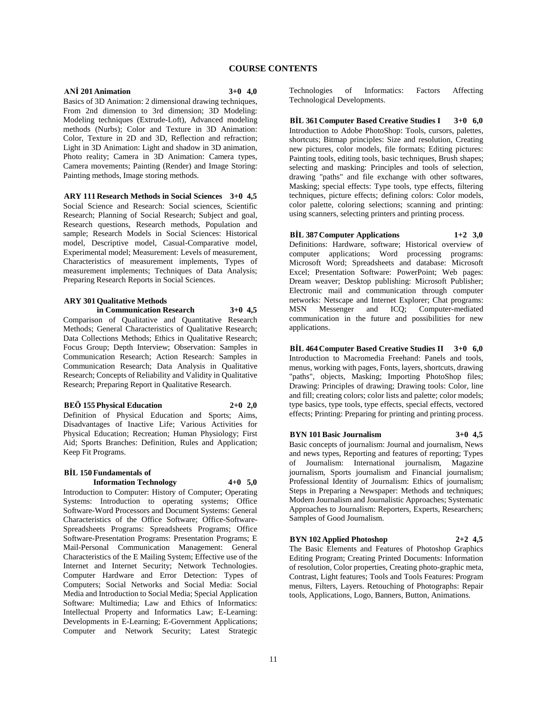#### **ANİ 201 Animation 3+0 4,0**

Basics of 3D Animation: 2 dimensional drawing techniques, From 2nd dimension to 3rd dimension; 3D Modeling: Modeling techniques (Extrude-Loft), Advanced modeling methods (Nurbs); Color and Texture in 3D Animation: Color, Texture in 2D and 3D, Reflection and refraction; Light in 3D Animation: Light and shadow in 3D animation, Photo reality; Camera in 3D Animation: Camera types, Camera movements; Painting (Render) and Image Storing: Painting methods, Image storing methods.

**ARY 111 Research Methods in Social Sciences 3+0 4,5** Social Science and Research: Social sciences, Scientific Research; Planning of Social Research; Subject and goal, Research questions, Research methods, Population and sample; Research Models in Social Sciences: Historical model, Descriptive model, Casual-Comparative model, Experimental model; Measurement: Levels of measurement, Characteristics of measurement implements, Types of measurement implements; Techniques of Data Analysis; Preparing Research Reports in Social Sciences.

## **ARY 301 Qualitative Methods**

**in Communication Research 3+0 4,5**

Comparison of Qualitative and Quantitative Research Methods; General Characteristics of Qualitative Research; Data Collections Methods; Ethics in Qualitative Research; Focus Group; Depth Interview; Observation: Samples in Communication Research; Action Research: Samples in Communication Research; Data Analysis in Qualitative Research; Concepts of Reliability and Validity in Qualitative Research; Preparing Report in Qualitative Research.

#### **BEÖ 155 Physical Education 2+0 2,0**

Definition of Physical Education and Sports; Aims, Disadvantages of Inactive Life; Various Activities for Physical Education; Recreation; Human Physiology; First Aid; Sports Branches: Definition, Rules and Application; Keep Fit Programs.

#### **BİL 150 Fundamentals of Information Technology 4+0 5,0**

Introduction to Computer: History of Computer; Operating Systems: Introduction to operating systems; Office Software-Word Processors and Document Systems: General Characteristics of the Office Software; Office-Software-Spreadsheets Programs: Spreadsheets Programs; Office Software-Presentation Programs: Presentation Programs; E Mail-Personal Communication Management: General Characteristics of the E Mailing System; Effective use of the Internet and Internet Security; Network Technologies. Computer Hardware and Error Detection: Types of Computers; Social Networks and Social Media: Social Media and Introduction to Social Media; Special Application Software: Multimedia; Law and Ethics of Informatics: Intellectual Property and Informatics Law; E-Learning: Developments in E-Learning; E-Government Applications; Computer and Network Security; Latest Strategic

Technologies of Informatics: Factors Affecting Technological Developments.

**BİL 361 Computer Based Creative Studies I 3+0 6,0** Introduction to Adobe PhotoShop: Tools, cursors, palettes, shortcuts; Bitmap principles: Size and resolution, Creating new pictures, color models, file formats; Editing pictures: Painting tools, editing tools, basic techniques, Brush shapes; selecting and masking: Principles and tools of selection, drawing "paths" and file exchange with other softwares, Masking; special effects: Type tools, type effects, filtering techniques, picture effects; defining colors: Color models, color palette, coloring selections; scanning and printing: using scanners, selecting printers and printing process.

## **BİL 387 Computer Applications 1+2 3,0**

Definitions: Hardware, software; Historical overview of computer applications; Word processing programs: Microsoft Word; Spreadsheets and database: Microsoft Excel; Presentation Software: PowerPoint; Web pages: Dream weaver; Desktop publishing: Microsoft Publisher; Electronic mail and communication through computer networks: Netscape and Internet Explorer; Chat programs: MSN Messenger and ICQ; Computer-mediated communication in the future and possibilities for new applications.

**BİL 464 Computer Based Creative Studies II 3+0 6,0** Introduction to Macromedia Freehand: Panels and tools, menus, working with pages, Fonts, layers, shortcuts, drawing "paths", objects, Masking; Importing PhotoShop files; Drawing: Principles of drawing; Drawing tools: Color, line and fill; creating colors; color lists and palette; color models; type basics, type tools, type effects, special effects, vectored effects; Printing: Preparing for printing and printing process.

#### **BYN 101 Basic Journalism 3+0 4,5**

Basic concepts of journalism: Journal and journalism, News and news types, Reporting and features of reporting; Types of Journalism: International journalism, Magazine journalism, Sports journalism and Financial journalism; Professional Identity of Journalism: Ethics of journalism; Steps in Preparing a Newspaper: Methods and techniques; Modern Journalism and Journalistic Approaches; Systematic Approaches to Journalism: Reporters, Experts, Researchers; Samples of Good Journalism.

#### **BYN 102 Applied Photoshop 2+2 4,5**

The Basic Elements and Features of Photoshop Graphics Editing Program; Creating Printed Documents: Information of resolution, Color properties, Creating photo-graphic meta, Contrast, Light features; Tools and Tools Features: Program menus, Filters, Layers. Retouching of Photographs: Repair tools, Applications, Logo, Banners, Button, Animations.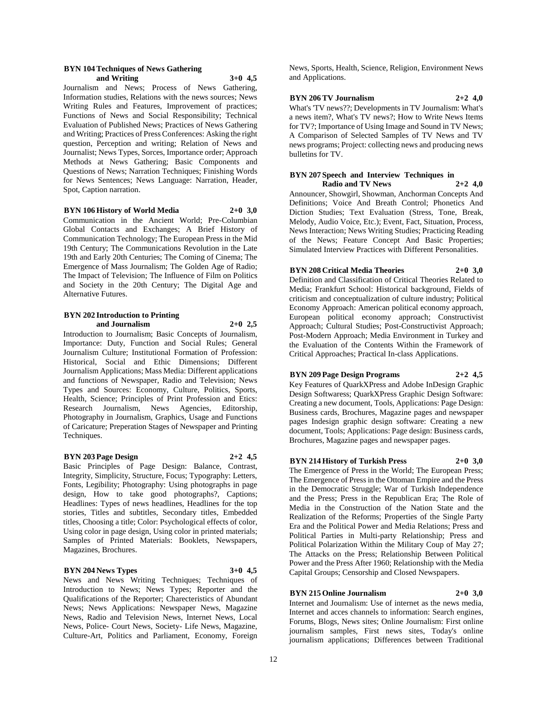#### **BYN 104 Techniques of News Gathering and Writing 3+0 4,5**

Journalism and News; Process of News Gathering, Information studies, Relations with the news sources; News Writing Rules and Features, Improvement of practices; Functions of News and Social Responsibility; Technical Evaluation of Published News; Practices of News Gathering and Writing; Practices of Press Conferences: Asking the right question, Perception and writing; Relation of News and Journalist; News Types, Sorces, Importance order; Approach Methods at News Gathering; Basic Components and Questions of News; Narration Techniques; Finishing Words for News Sentences; News Language: Narration, Header, Spot, Caption narration.

### **BYN 106 History of World Media 2+0 3,0**

Communication in the Ancient World; Pre-Columbian Global Contacts and Exchanges; A Brief History of Communication Technology; The European Press in the Mid 19th Century; The Communications Revolution in the Late 19th and Early 20th Centuries; The Coming of Cinema; The Emergence of Mass Journalism; The Golden Age of Radio; The Impact of Television; The Influence of Film on Politics and Society in the 20th Century; The Digital Age and Alternative Futures.

#### **BYN 202 Introduction to Printing and Journalism 2+0 2,5**

Introduction to Journalism; Basic Concepts of Journalism, Importance: Duty, Function and Social Rules; General Journalism Culture; Institutional Formation of Profession: Historical, Social and Ethic Dimensions; Different Journalism Applications; Mass Media: Different applications and functions of Newspaper, Radio and Television; News Types and Sources: Economy, Culture, Politics, Sports, Health, Science; Principles of Print Profession and Etics: Research Journalism, News Agencies, Editorship, Photography in Journalism, Graphics, Usage and Functions of Caricature; Preperation Stages of Newspaper and Printing Techniques.

#### **BYN 203 Page Design 2+2 4,5**

Basic Principles of Page Design: Balance, Contrast, Integrity, Simplicity, Structure, Focus; Typography: Letters, Fonts, Legibility; Photography: Using photographs in page design, How to take good photographs?, Captions; Headlines: Types of news headlines, Headlines for the top stories, Titles and subtitles, Secondary titles, Embedded titles, Choosing a title; Color: Psychological effects of color, Using color in page design, Using color in printed materials; Samples of Printed Materials: Booklets, Newspapers, Magazines, Brochures.

#### **BYN 204 News Types 3+0 4,5**

News and News Writing Techniques; Techniques of Introduction to News; News Types; Reporter and the Qualifications of the Reporter; Charecteristics of Abundant News; News Applications: Newspaper News, Magazine News, Radio and Television News, Internet News, Local News, Police- Court News, Society- Life News, Magazine, Culture-Art, Politics and Parliament, Economy, Foreign

News, Sports, Health, Science, Religion, Environment News and Applications.

#### **BYN 206 TV Journalism 2+2 4,0**

What's 'TV news??; Developments in TV Journalism: What's a news item?, What's TV news?; How to Write News Items for TV?; Importance of Using Image and Sound in TV News; A Comparison of Selected Samples of TV News and TV news programs; Project: collecting news and producing news bulletins for TV.

#### **BYN 207 Speech and Interview Techniques in Radio and TV News 2+2 4,0**

Announcer, Showgirl, Showman, Anchorman Concepts And Definitions; Voice And Breath Control; Phonetics And Diction Studies; Text Evaluation (Stress, Tone, Break, Melody, Audio Voice, Etc.); Event, Fact, Situation, Process, News Interaction; News Writing Studies; Practicing Reading of the News; Feature Concept And Basic Properties; Simulated Interview Practices with Different Personalities.

## **BYN 208 Critical Media Theories 2+0 3,0**

Definition and Classification of Critical Theories Related to Media; Frankfurt School: Historical background, Fields of criticism and conceptualization of culture industry; Political Economy Approach: American political economy approach, European political economy approach; Constructivist Approach; Cultural Studies; Post-Constructivist Approach; Post-Modern Approach; Media Environment in Turkey and the Evaluation of the Contents Within the Framework of Critical Approaches; Practical In-class Applications.

### **BYN 209 Page Design Programs 2+2 4,5**

Key Features of QuarkXPress and Adobe InDesign Graphic Design Softwaress; QuarkXPress Graphic Design Software: Creating a new document, Tools, Applications: Page Design: Business cards, Brochures, Magazine pages and newspaper pages Indesign graphic design software: Creating a new document, Tools; Applications: Page design: Business cards, Brochures, Magazine pages and newspaper pages.

## **BYN 214 History of Turkish Press 2+0 3,0**

The Emergence of Press in the World; The European Press; The Emergence of Press in the Ottoman Empire and the Press in the Democratic Struggle; War of Turkish Independence and the Press; Press in the Republican Era; The Role of Media in the Construction of the Nation State and the Realization of the Reforms; Properties of the Single Party Era and the Political Power and Media Relations; Press and Political Parties in Multi-party Relationship; Press and Political Polarization Within the Military Coup of May 27; The Attacks on the Press; Relationship Between Political Power and the Press After 1960; Relationship with the Media Capital Groups; Censorship and Closed Newspapers.

#### **BYN 215 Online Journalism 2+0 3,0**

Internet and Journalism: Use of internet as the news media, Internet and acces channels to information: Search engines, Forums, Blogs, News sites; Online Journalism: First online journalism samples, First news sites, Today's online journalism applications; Differences between Traditional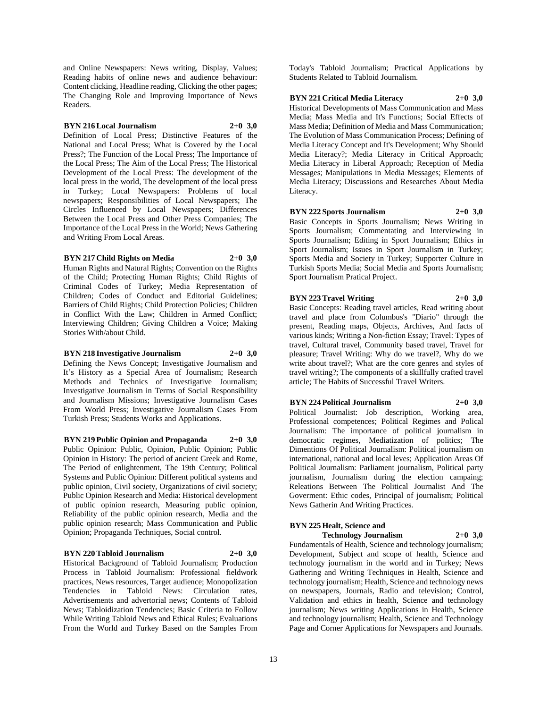and Online Newspapers: News writing, Display, Values; Reading habits of online news and audience behaviour: Content clicking, Headline reading, Clicking the other pages; The Changing Role and Improving Importance of News Readers.

#### **BYN 216 Local Journalism 2+0 3,0**

Definition of Local Press; Distinctive Features of the National and Local Press; What is Covered by the Local Press?; The Function of the Local Press; The Importance of the Local Press; The Aim of the Local Press; The Historical Development of the Local Press: The development of the local press in the world, The development of the local press in Turkey; Local Newspapers: Problems of local newspapers; Responsibilities of Local Newspapers; The Circles Influenced by Local Newspapers; Differences Between the Local Press and Other Press Companies; The Importance of the Local Press in the World; News Gathering and Writing From Local Areas.

#### **BYN 217 Child Rights on Media 2+0 3,0**

Human Rights and Natural Rights; Convention on the Rights of the Child; Protecting Human Rights; Child Rights of Criminal Codes of Turkey; Media Representation of Children; Codes of Conduct and Editorial Guidelines; Barriers of Child Rights; Child Protection Policies; Children in Conflict With the Law; Children in Armed Conflict; Interviewing Children; Giving Children a Voice; Making Stories With/about Child.

### **BYN 218 Investigative Journalism 2+0 3,0**

Defining the News Concept; Investigative Journalism and It's History as a Special Area of Journalism; Research Methods and Technics of Investigative Journalism; Investigative Journalism in Terms of Social Responsibility and Journalism Missions; Investigative Journalism Cases From World Press; Investigative Journalism Cases From Turkish Press; Students Works and Applications.

**BYN 219 Public Opinion and Propaganda 2+0 3,0** Public Opinion: Public, Opinion, Public Opinion; Public Opinion in History: The period of ancient Greek and Rome, The Period of enlightenment, The 19th Century; Political Systems and Public Opinion: Different political systems and public opinion, Civil society, Organizations of civil society; Public Opinion Research and Media: Historical development of public opinion research, Measuring public opinion, Reliability of the public opinion research, Media and the public opinion research; Mass Communication and Public Opinion; Propaganda Techniques, Social control.

#### **BYN 220 Tabloid Journalism 2+0 3,0**

Historical Background of Tabloid Journalism; Production Process in Tabloid Journalism: Professional fieldwork practices, News resources, Target audience; Monopolization Tendencies in Tabloid News: Circulation rates, Advertisements and advertorial news; Contents of Tabloid News; Tabloidization Tendencies; Basic Criteria to Follow While Writing Tabloid News and Ethical Rules; Evaluations From the World and Turkey Based on the Samples From Today's Tabloid Journalism; Practical Applications by Students Related to Tabloid Journalism.

#### **BYN 221 Critical Media Literacy 2+0 3,0**

Historical Developments of Mass Communication and Mass Media; Mass Media and It's Functions; Social Effects of Mass Media; Definition of Media and Mass Communication; The Evolution of Mass Communication Process; Defining of Media Literacy Concept and It's Development; Why Should Media Literacy?; Media Literacy in Critical Approach; Media Literacy in Liberal Approach; Reception of Media Messages; Manipulations in Media Messages; Elements of Media Literacy; Discussions and Researches About Media Literacy.

#### **BYN 222 Sports Journalism 2+0 3,0**

Basic Concepts in Sports Journalism; News Writing in Sports Journalism; Commentating and Interviewing in Sports Journalism; Editing in Sport Journalism; Ethics in Sport Journalism; Issues in Sport Journalism in Turkey; Sports Media and Society in Turkey; Supporter Culture in Turkish Sports Media; Social Media and Sports Journalism; Sport Journalism Pratical Project.

#### **BYN 223 Travel Writing 2+0 3,0**

Basic Concepts: Reading travel articles, Read writing about travel and place from Columbus's "Diario" through the present, Reading maps, Objects, Archives, And facts of various kinds; Writing a Non-fiction Essay; Travel: Types of travel, Cultural travel, Community based travel, Travel for pleasure; Travel Writing: Why do we travel?, Why do we write about travel?; What are the core genres and styles of travel writing?; The components of a skillfully crafted travel article; The Habits of Successful Travel Writers.

#### **BYN 224 Political Journalism 2+0 3,0**

Political Journalist: Job description, Working area, Professional competences; Political Regimes and Polical Journalism: The importance of political journalism in democratic regimes, Mediatization of politics; The Dimentions Of Political Journalism: Political journalism on international, national and local leves; Application Areas Of Political Journalism: Parliament journalism, Political party journalism, Journalism during the election campaing; Releations Between The Political Journalist And The Goverment: Ethic codes, Principal of journalism; Political News Gatherin And Writing Practices.

## **BYN 225 Healt, Science and**

**Technology Journalism 2+0 3,0**

Fundamentals of Health, Science and technology journalism; Development, Subject and scope of health, Science and technology journalism in the world and in Turkey; News Gathering and Writing Techniques in Health, Science and technology journalism; Health, Science and technology news on newspapers, Journals, Radio and television; Control, Validation and ethics in health, Science and technology journalism; News writing Applications in Health, Science and technology journalism; Health, Science and Technology Page and Corner Applications for Newspapers and Journals.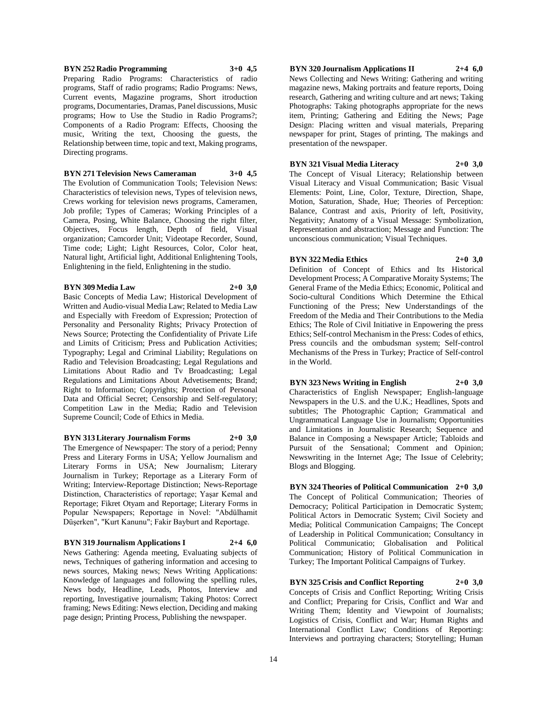#### **BYN 252 Radio Programming 3+0 4,5**

Preparing Radio Programs: Characteristics of radio programs, Staff of radio programs; Radio Programs: News, Current events, Magazine programs, Short itroduction programs, Documentaries, Dramas, Panel discussions, Music programs; How to Use the Studio in Radio Programs?; Components of a Radio Program: Effects, Choosing the music, Writing the text, Choosing the guests, the Relationship between time, topic and text, Making programs, Directing programs.

#### **BYN 271 Television News Cameraman 3+0 4,5**

The Evolution of Communication Tools; Television News: Characteristics of television news, Types of television news, Crews working for television news programs, Cameramen, Job profile; Types of Cameras; Working Principles of a Camera, Posing, White Balance, Choosing the right filter, Objectives, Focus length, Depth of field, Visual organization; Camcorder Unit; Videotape Recorder, Sound, Time code; Light; Light Resources, Color, Color heat, Natural light, Artificial light, Additional Enlightening Tools, Enlightening in the field, Enlightening in the studio.

#### **BYN 309 Media Law 2+0 3,0**

Basic Concepts of Media Law; Historical Development of Written and Audio-visual Media Law; Related to Media Law and Especially with Freedom of Expression; Protection of Personality and Personality Rights; Privacy Protection of News Source; Protecting the Confidentiality of Private Life and Limits of Criticism; Press and Publication Activities; Typography; Legal and Criminal Liability; Regulations on Radio and Television Broadcasting; Legal Regulations and Limitations About Radio and Tv Broadcasting; Legal Regulations and Limitations About Advetisements; Brand; Right to Information; Copyrights; Protection of Personal Data and Official Secret; Censorship and Self-regulatory; Competition Law in the Media; Radio and Television Supreme Council; Code of Ethics in Media.

#### **BYN 313 Literary Journalism Forms 2+0 3,0**

The Emergence of Newspaper: The story of a period; Penny Press and Literary Forms in USA; Yellow Journalism and Literary Forms in USA; New Journalism; Literary Journalism in Turkey; Reportage as a Literary Form of Writing; Interview-Reportage Distinction; News-Reportage Distinction, Characteristics of reportage; Yaşar Kemal and Reportage; Fikret Otyam and Reportage; Literary Forms in Popular Newspapers; Reportage in Novel: "Abdülhamit Düşerken", "Kurt Kanunu"; Fakir Bayburt and Reportage.

#### **BYN 319 Journalism Applications I 2+4 6,0**

News Gathering: Agenda meeting, Evaluating subjects of news, Techniques of gathering information and accesing to news sources, Making news; News Writing Applications: Knowledge of languages and following the spelling rules, News body, Headline, Leads, Photos, Interview and reporting, Investigative journalism; Taking Photos: Correct framing; News Editing: News election, Deciding and making page design; Printing Process, Publishing the newspaper.

**BYN 320 Journalism Applications II 2+4 6,0**

News Collecting and News Writing: Gathering and writing magazine news, Making portraits and feature reports, Doing research, Gathering and writing culture and art news; Taking Photographs: Taking photographs appropriate for the news item, Printing; Gathering and Editing the News; Page Design: Placing written and visual materials, Preparing newspaper for print, Stages of printing, The makings and presentation of the newspaper.

#### **BYN 321 Visual Media Literacy 2+0 3,0**

The Concept of Visual Literacy; Relationship between Visual Literacy and Visual Communication; Basic Visual Elements: Point, Line, Color, Texture, Direction, Shape, Motion, Saturation, Shade, Hue; Theories of Perception: Balance, Contrast and axis, Priority of left, Positivity, Negativity; Anatomy of a Visual Message: Symbolization, Representation and abstraction; Message and Function: The unconscious communication; Visual Techniques.

#### **BYN 322 Media Ethics 2+0 3,0**

Definition of Concept of Ethics and Its Historical Development Process; A Comparative Moraity Systems; The General Frame of the Media Ethics; Economic, Political and Socio-cultural Conditions Which Determine the Ethical Functioning of the Press; New Understandings of the Freedom of the Media and Their Contributions to the Media Ethics; The Role of Civil Initiative in Enpowering the press Ethics; Self-control Mechanism in the Press: Codes of ethics, Press councils and the ombudsman system; Self-control Mechanisms of the Press in Turkey; Practice of Self-control in the World.

## **BYN 323 News Writing in English 2+0 3,0**

Characteristics of English Newspaper; English-language Newspapers in the U.S. and the U.K.; Headlines, Spots and subtitles; The Photographic Caption; Grammatical and Ungrammatical Language Use in Journalism; Opportunities and Limitations in Journalistic Research; Sequence and Balance in Composing a Newspaper Article; Tabloids and Pursuit of the Sensational; Comment and Opinion; Newswriting in the Internet Age; The Issue of Celebrity; Blogs and Blogging.

**BYN 324 Theories of Political Communication 2+0 3,0** The Concept of Political Communication; Theories of Democracy; Political Participation in Democratic System; Political Actors in Democratic System; Civil Society and Media; Political Communication Campaigns; The Concept of Leadership in Political Communication; Consultancy in Political Communicatio; Globalisation and Political Communication; History of Political Communication in Turkey; The Important Political Campaigns of Turkey.

**BYN 325 Crisis and Conflict Reporting 2+0 3,0** Concepts of Crisis and Conflict Reporting; Writing Crisis and Conflict; Preparing for Crisis, Conflict and War and Writing Them; Identity and Viewpoint of Journalists; Logistics of Crisis, Conflict and War; Human Rights and International Conflict Law; Conditions of Reporting: Interviews and portraying characters; Storytelling; Human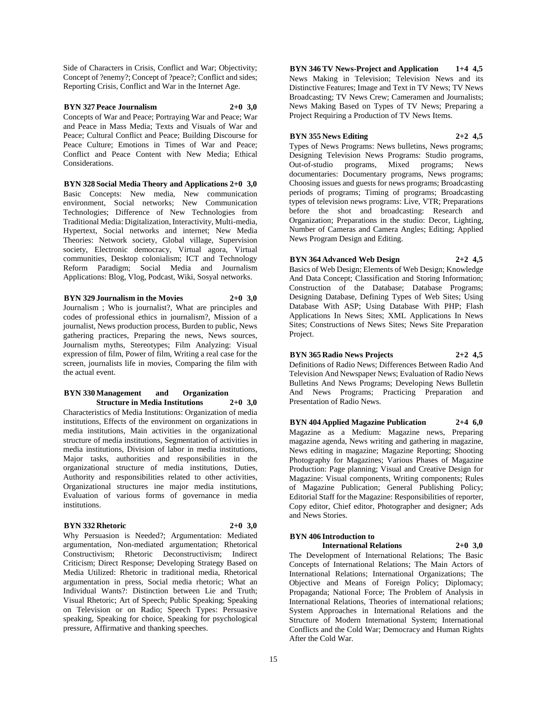Side of Characters in Crisis, Conflict and War; Objectivity; Concept of ?enemy?; Concept of ?peace?; Conflict and sides; Reporting Crisis, Conflict and War in the Internet Age.

## **BYN 327 Peace Journalism 2+0 3,0**

Concepts of War and Peace; Portraying War and Peace; War and Peace in Mass Media; Texts and Visuals of War and Peace; Cultural Conflict and Peace; Building Discourse for Peace Culture; Emotions in Times of War and Peace; Conflict and Peace Content with New Media; Ethical Considerations.

**BYN 328 Social Media Theory and Applications 2+0 3,0** Basic Concepts: New media, New communication environment, Social networks; New Communication Technologies; Difference of New Technologies from Traditional Media: Digitalization, Interactivity, Multi-media, Hypertext, Social networks and internet; New Media Theories: Network society, Global village, Supervision society, Electronic democracy, Virtual agora, Virtual communities, Desktop colonialism; ICT and Technology Reform Paradigm; Social Media and Journalism Applications: Blog, Vlog, Podcast, Wiki, Sosyal networks.

**BYN 329 Journalism in the Movies 2+0 3,0** Journalism ; Who is journalist?, What are principles and codes of professional ethics in journalism?, Mission of a journalist, News production process, Burden to public, News gathering practices, Preparing the news, News sources, Journalism myths, Stereotypes; Film Analyzing: Visual expression of film, Power of film, Writing a real case for the screen, journalists life in movies, Comparing the film with the actual event.

#### **BYN 330 Management and Organization Structure in Media Institutions 2+0 3,0**

Characteristics of Media Institutions: Organization of media institutions, Effects of the environment on organizations in media institutions, Main activities in the organizational structure of media institutions, Segmentation of activities in media institutions, Division of labor in media institutions, Major tasks, authorities and responsibilities in the organizational structure of media institutions, Duties, Authority and responsibilities related to other activities, Organizational structures ine major media institutions, Evaluation of various forms of governance in media institutions.

#### **BYN 332 Rhetoric 2+0 3,0**

Why Persuasion is Needed?; Argumentation: Mediated argumentation, Non-mediated argumentation; Rhetorical Constructivism; Rhetoric Deconstructivism; Indirect Criticism; Direct Response; Developing Strategy Based on Media Utilized: Rhetoric in traditional media, Rhetorical argumentation in press, Social media rhetoric; What an Individual Wants?: Distinction between Lie and Truth; Visual Rhetoric; Art of Speech; Public Speaking; Speaking on Television or on Radio; Speech Types: Persuasive speaking, Speaking for choice, Speaking for psychological pressure, Affirmative and thanking speeches.

**BYN 346 TV News-Project and Application 1+4 4,5** News Making in Television; Television News and its Distinctive Features; Image and Text in TV News; TV News Broadcasting; TV News Crew; Cameramen and Journalists; News Making Based on Types of TV News; Preparing a Project Requiring a Production of TV News Items.

#### **BYN 355 News Editing 2+2 4,5**

Types of News Programs: News bulletins, News programs; Designing Television News Programs: Studio programs, Out-of-studio programs, Mixed programs; News documentaries: Documentary programs, News programs; Choosing issues and guests for news programs; Broadcasting periods of programs; Timing of programs; Broadcasting types of television news programs: Live, VTR; Preparations before the shot and broadcasting: Research and Organization; Preparations in the studio: Decor, Lighting, Number of Cameras and Camera Angles; Editing; Applied News Program Design and Editing.

## **BYN 364 Advanced Web Design 2+2 4,5**

Basics of Web Design; Elements of Web Design; Knowledge And Data Concept; Classification and Storing Information; Construction of the Database; Database Programs; Designing Database, Defining Types of Web Sites; Using Database With ASP; Using Database With PHP; Flash Applications In News Sites; XML Applications In News Sites; Constructions of News Sites; News Site Preparation Project.

## **BYN 365 Radio News Projects 2+2 4,5**

Definitions of Radio News; Differences Between Radio And Television And Newspaper News; Evaluation of Radio News Bulletins And News Programs; Developing News Bulletin And News Programs; Practicing Preparation and Presentation of Radio News.

**BYN 404 Applied Magazine Publication 2+4 6,0** Magazine as a Medium: Magazine news, Preparing magazine agenda, News writing and gathering in magazine, News editing in magazine; Magazine Reporting; Shooting Photography for Magazines; Various Phases of Magazine Production: Page planning; Visual and Creative Design for Magazine: Visual components, Writing components; Rules of Magazine Publication; General Publishing Policy; Editorial Staff for the Magazine: Responsibilities of reporter, Copy editor, Chief editor, Photographer and designer; Ads and News Stories.

## **BYN 406 Introduction to**

**International Relations 2+0 3,0**

The Development of International Relations; The Basic Concepts of International Relations; The Main Actors of International Relations; International Organizations; The Objective and Means of Foreign Policy; Diplomacy; Propaganda; National Force; The Problem of Analysis in International Relations, Theories of international relations; System Approaches in International Relations and the Structure of Modern International System; International Conflicts and the Cold War; Democracy and Human Rights After the Cold War.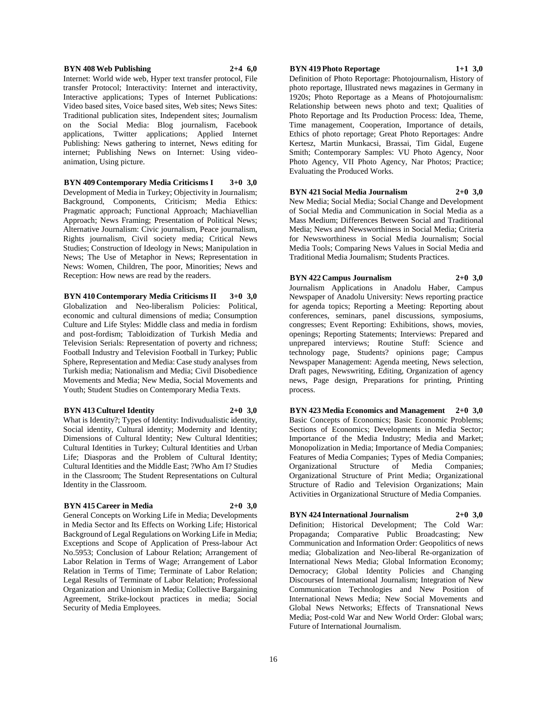#### **BYN 408 Web Publishing 2+4 6,0**

Internet: World wide web, Hyper text transfer protocol, File transfer Protocol; Interactivity: Internet and interactivity, Interactive applications; Types of Internet Publications: Video based sites, Voice based sites, Web sites; News Sites: Traditional publication sites, Independent sites; Journalism on the Social Media: Blog journalism, Facebook applications, Twitter applications; Applied Internet Publishing: News gathering to internet, News editing for internet; Publishing News on Internet: Using videoanimation, Using picture.

**BYN 409 Contemporary Media Criticisms I 3+0 3,0** Development of Media in Turkey; Objectivity in Journalism; Background, Components, Criticism; Media Ethics: Pragmatic approach; Functional Approach; Machiavellian Approach; News Framing; Presentation of Political News; Alternative Journalism: Civic journalism, Peace journalism, Rights journalism, Civil society media; Critical News Studies; Construction of Ideology in News; Manipulation in News; The Use of Metaphor in News; Representation in News: Women, Children, The poor, Minorities; News and Reception: How news are read by the readers.

**BYN 410 Contemporary Media Criticisms II 3+0 3,0** Globalization and Neo-liberalism Policies: Political, economic and cultural dimensions of media; Consumption Culture and Life Styles: Middle class and media in fordism and post-fordism; Tabloidization of Turkish Media and Television Serials: Representation of poverty and richness; Football Industry and Television Football in Turkey; Public Sphere, Representation and Media: Case study analyses from Turkish media; Nationalism and Media; Civil Disobedience Movements and Media; New Media, Social Movements and Youth; Student Studies on Contemporary Media Texts.

#### **BYN 413 Culturel Identity 2+0 3,0**

What is Identity?; Types of Identity: Indivudualistic identity, Social identity, Cultural identity; Modernity and Identity; Dimensions of Cultural Identity; New Cultural Identities; Cultural Identities in Turkey; Cultural Identities and Urban Life; Diasporas and the Problem of Cultural Identity; Cultural Identities and the Middle East; ?Who Am I? Studies in the Classroom; The Student Representations on Cultural Identity in the Classroom.

### **BYN 415 Career in Media 2+0 3,0**

General Concepts on Working Life in Media; Developments in Media Sector and Its Effects on Working Life; Historical Background of Legal Regulations on Working Life in Media; Exceptions and Scope of Application of Press-labour Act No.5953; Conclusion of Labour Relation; Arrangement of Labor Relation in Terms of Wage; Arrangement of Labor Relation in Terms of Time; Terminate of Labor Relation; Legal Results of Terminate of Labor Relation; Professional Organization and Unionism in Media; Collective Bargaining Agreement, Strike-lockout practices in media; Social Security of Media Employees.

## **BYN 419 Photo Reportage 1+1 3,0**

Definition of Photo Reportage: Photojournalism, History of photo reportage, Illustrated news magazines in Germany in 1920s; Photo Reportage as a Means of Photojournalism: Relationship between news photo and text; Qualities of Photo Reportage and Its Production Process: Idea, Theme, Time management, Cooperation, Importance of details, Ethics of photo reportage; Great Photo Reportages: Andre Kertesz, Martin Munkacsi, Brassai, Tim Gidal, Eugene Smith; Contemporary Samples: VU Photo Agency, Noor Photo Agency, VII Photo Agency, Nar Photos; Practice; Evaluating the Produced Works.

## **BYN 421 Social Media Journalism 2+0 3,0**

New Media; Social Media; Social Change and Development of Social Media and Communication in Social Media as a Mass Medium; Differences Between Social and Traditional Media; News and Newsworthiness in Social Media; Criteria for Newsworthiness in Social Media Journalism; Social Media Tools; Comparing News Values in Social Media and Traditional Media Journalism; Students Practices.

#### **BYN 422 Campus Journalism 2+0 3,0** Journalism Applications in Anadolu Haber, Campus

Newspaper of Anadolu University: News reporting practice for agenda topics; Reporting a Meeting: Reporting about conferences, seminars, panel discussions, symposiums, congresses; Event Reporting: Exhibitions, shows, movies, openings; Reporting Statements; Interviews: Prepared and unprepared interviews; Routine Stuff: Science and technology page, Students? opinions page; Campus Newspaper Management: Agenda meeting, News selection, Draft pages, Newswriting, Editing, Organization of agency news, Page design, Preparations for printing, Printing process.

**BYN 423 Media Economics and Management 2+0 3,0** Basic Concepts of Economics; Basic Economic Problems; Sections of Economics; Developments in Media Sector; Importance of the Media Industry; Media and Market; Monopolization in Media; Importance of Media Companies; Features of Media Companies; Types of Media Companies; Organizational Structure of Media Companies; Organizational Structure of Print Media; Organizational Structure of Radio and Television Organizations; Main Activities in Organizational Structure of Media Companies.

## **BYN 424 International Journalism 2+0 3,0**

Definition; Historical Development; The Cold War: Propaganda; Comparative Public Broadcasting; New Communication and Information Order: Geopolitics of news media; Globalization and Neo-liberal Re-organization of International News Media; Global Information Economy; Democracy; Global Identity Policies and Changing Discourses of International Journalism; Integration of New Communication Technologies and New Position of International News Media; New Social Movements and Global News Networks; Effects of Transnational News Media; Post-cold War and New World Order: Global wars; Future of International Journalism.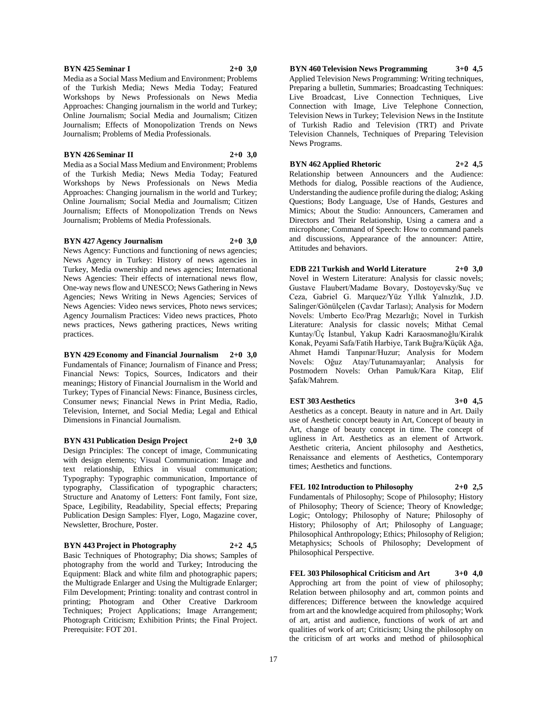#### **BYN 425 Seminar I 2+0 3,0**

Media as a Social Mass Medium and Environment; Problems of the Turkish Media; News Media Today; Featured Workshops by News Professionals on News Media Approaches: Changing journalism in the world and Turkey; Online Journalism; Social Media and Journalism; Citizen Journalism; Effects of Monopolization Trends on News Journalism; Problems of Media Professionals.

#### **BYN 426 Seminar II 2+0 3,0**

Media as a Social Mass Medium and Environment; Problems of the Turkish Media; News Media Today; Featured Workshops by News Professionals on News Media Approaches: Changing journalism in the world and Turkey; Online Journalism; Social Media and Journalism; Citizen Journalism; Effects of Monopolization Trends on News Journalism; Problems of Media Professionals.

#### **BYN 427 Agency Journalism 2+0 3,0**

News Agency: Functions and functioning of news agencies; News Agency in Turkey: History of news agencies in Turkey, Media ownership and news agencies; International News Agencies: Their effects of international news flow, One-way news flow and UNESCO; News Gathering in News Agencies; News Writing in News Agencies; Services of News Agencies: Video news services, Photo news services; Agency Journalism Practices: Video news practices, Photo news practices, News gathering practices, News writing practices.

**BYN 429 Economy and Financial Journalism 2+0 3,0** Fundamentals of Finance; Journalism of Finance and Press; Financial News: Topics, Sources, Indicators and their meanings; History of Financial Journalism in the World and Turkey; Types of Financial News: Finance, Business circles, Consumer news; Financial News in Print Media, Radio, Television, Internet, and Social Media; Legal and Ethical Dimensions in Financial Journalism.

**BYN 431 Publication Design Project 2+0 3,0** Design Principles: The concept of image, Communicating with design elements; Visual Communication: Image and text relationship, Ethics in visual communication; Typography: Typographic communication, Importance of typography, Classification of typographic characters; Structure and Anatomy of Letters: Font family, Font size, Space, Legibility, Readability, Special effects; Preparing Publication Design Samples: Flyer, Logo, Magazine cover, Newsletter, Brochure, Poster.

**BYN 443 Project in Photography 2+2 4,5** Basic Techniques of Photography; Dia shows; Samples of photography from the world and Turkey; Introducing the Equipment: Black and white film and photographic papers; the Multigrade Enlarger and Using the Multigrade Enlarger; Film Development; Printing: tonality and contrast control in printing; Photogram and Other Creative Darkroom Techniques; Project Applications; Image Arrangement; Photograph Criticism; Exhibition Prints; the Final Project. Prerequisite: FOT 201.

## **BYN 460 Television News Programming 3+0 4,5**

Applied Television News Programming: Writing techniques, Preparing a bulletin, Summaries; Broadcasting Techniques: Live Broadcast, Live Connection Techniques, Live Connection with Image, Live Telephone Connection, Television News in Turkey; Television News in the Institute of Turkish Radio and Television (TRT) and Private Television Channels, Techniques of Preparing Television News Programs.

#### **BYN 462 Applied Rhetoric 2+2 4,5**

Relationship between Announcers and the Audience: Methods for dialog, Possible reactions of the Audience, Understanding the audience profile during the dialog; Asking Questions; Body Language, Use of Hands, Gestures and Mimics; About the Studio: Announcers, Cameramen and Directors and Their Relationship, Using a camera and a microphone; Command of Speech: How to command panels and discussions, Appearance of the announcer: Attire, Attitudes and behaviors.

**EDB 221 Turkish and World Literature 2+0 3,0** Novel in Western Literature: Analysis for classic novels; Gustave Flaubert/Madame Bovary, Dostoyevsky/Suç ve Ceza, Gabriel G. Marquez/Yüz Yıllık Yalnızlık, J.D. Salinger/Gönülçelen (Çavdar Tarlası); Analysis for Modern Novels: Umberto Eco/Prag Mezarlığı; Novel in Turkish Literature: Analysis for classic novels; Mithat Cemal Kuntay/Üç İstanbul, Yakup Kadri Karaosmanoğlu/Kiralık Konak, Peyami Safa/Fatih Harbiye, Tarık Buğra/Küçük Ağa, Ahmet Hamdi Tanpınar/Huzur; Analysis for Modern Novels: Oğuz Atay/Tutunamayanlar; Analysis for Postmodern Novels: Orhan Pamuk/Kara Kitap, Elif Şafak/Mahrem.

#### **EST 303 Aesthetics 3+0 4,5**

Aesthetics as a concept. Beauty in nature and in Art. Daily use of Aesthetic concept beauty in Art, Concept of beauty in Art, change of beauty concept in time. The concept of ugliness in Art. Aesthetics as an element of Artwork. Aesthetic criteria, Ancient philosophy and Aesthetics, Renaissance and elements of Aesthetics, Contemporary times; Aesthetics and functions.

**FEL 102 Introduction to Philosophy 2+0 2,5** Fundamentals of Philosophy; Scope of Philosophy; History of Philosophy; Theory of Science; Theory of Knowledge; Logic; Ontology; Philosophy of Nature; Philosophy of History; Philosophy of Art; Philosophy of Language; Philosophical Anthropology; Ethics; Philosophy of Religion; Metaphysics; Schools of Philosophy; Development of Philosophical Perspective.

**FEL 303 Philosophical Criticism and Art 3+0 4,0** Approching art from the point of view of philosophy; Relation between philosophy and art, common points and differences; Difference between the knowledge acquired from art and the knowledge acquired from philosophy; Work of art, artist and audience, functions of work of art and qualities of work of art; Criticism; Using the philosophy on the criticism of art works and method of philosophical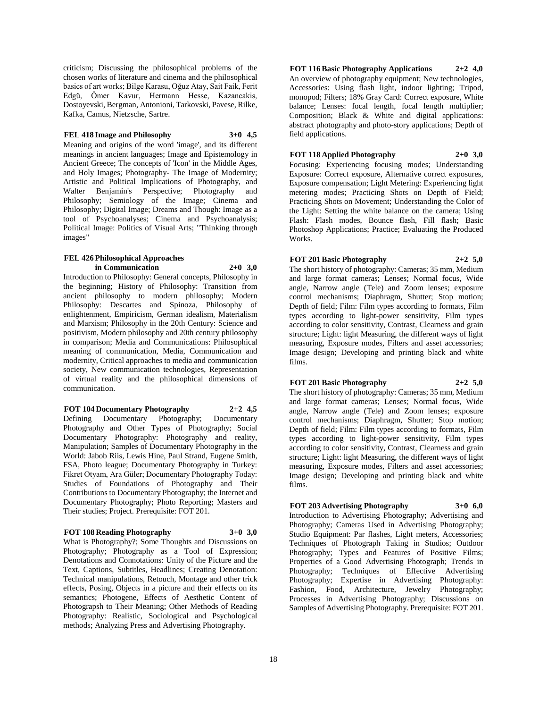criticism; Discussing the philosophical problems of the chosen works of literature and cinema and the philosophical basics of art works; Bilge Karasu, Oğuz Atay, Sait Faik, Ferit Edgü, Ömer Kavur, Hermann Hesse, Kazancakis, Dostoyevski, Bergman, Antonioni, Tarkovski, Pavese, Rilke, Kafka, Camus, Nietzsche, Sartre.

### **FEL 418 Image and Philosophy 3+0 4,5**

Meaning and origins of the word 'image', and its different meanings in ancient languages; Image and Epistemology in Ancient Greece; The concepts of 'Icon' in the Middle Ages, and Holy Images; Photography- The Image of Modernity; Artistic and Political Implications of Photography, and Walter Benjamin's Perspective; Photography and Philosophy; Semiology of the Image; Cinema and Philosophy; Digital Image; Dreams and Though: Image as a tool of Psychoanalyses; Cinema and Psychoanalysis; Political Image: Politics of Visual Arts; "Thinking through images"

## **FEL 426 Philosophical Approaches in Communication 2+0 3,0**

Introduction to Philosophy: General concepts, Philosophy in the beginning; History of Philosophy: Transition from ancient philosophy to modern philosophy; Modern Philosophy: Descartes and Spinoza, Philosophy of enlightenment, Empiricism, German idealism, Materialism and Marxism; Philosophy in the 20th Century: Science and positivism, Modern philosophy and 20th century philosophy in comparison; Media and Communications: Philosophical meaning of communication, Media, Communication and modernity, Critical approaches to media and communication society, New communication technologies, Representation of virtual reality and the philosophical dimensions of communication.

**FOT 104 Documentary Photography 2+2 4,5** Defining Documentary Photography; Documentary Photography and Other Types of Photography; Social Documentary Photography: Photography and reality, Manipulation; Samples of Documentary Photography in the World: Jabob Riis, Lewis Hine, Paul Strand, Eugene Smith, FSA, Photo league; Documentary Photography in Turkey: Fikret Otyam, Ara Güler; Documentary Photography Today: Studies of Foundations of Photography and Their Contributions to Documentary Photography; the Internet and Documentary Photography; Photo Reporting; Masters and Their studies; Project. Prerequisite: FOT 201.

#### **FOT 108 Reading Photography 3+0 3,0**

What is Photography?; Some Thoughts and Discussions on Photography; Photography as a Tool of Expression; Denotations and Connotations: Unity of the Picture and the Text, Captions, Subtitles, Headlines; Creating Denotation: Technical manipulations, Retouch, Montage and other trick effects, Posing, Objects in a picture and their effects on its semantics; Photogene, Effects of Aesthetic Content of Photograpsh to Their Meaning; Other Methods of Reading Photography: Realistic, Sociological and Psychological methods; Analyzing Press and Advertising Photography.

**FOT 116 Basic Photography Applications 2+2 4,0** An overview of photography equipment; New technologies, Accessories: Using flash light, indoor lighting; Tripod, monopod; Filters; 18% Gray Card: Correct exposure, White balance; Lenses: focal length, focal length multiplier; Composition; Black & White and digital applications: abstract photography and photo-story applications; Depth of field applications.

## **FOT 118 Applied Photography 2+0 3,0**

Focusing: Experiencing focusing modes; Understanding Exposure: Correct exposure, Alternative correct exposures, Exposure compensation; Light Metering: Experiencing light metering modes; Practicing Shots on Depth of Field; Practicing Shots on Movement; Understanding the Color of the Light: Setting the white balance on the camera; Using Flash: Flash modes, Bounce flash, Fill flash; Basic Photoshop Applications; Practice; Evaluating the Produced Works.

## **FOT 201 Basic Photography 2+2 5,0**

The short history of photography: Cameras; 35 mm, Medium and large format cameras; Lenses; Normal focus, Wide angle, Narrow angle (Tele) and Zoom lenses; exposure control mechanisms; Diaphragm, Shutter; Stop motion; Depth of field; Film: Film types according to formats, Film types according to light-power sensitivity, Film types according to color sensitivity, Contrast, Clearness and grain structure; Light: light Measuring, the different ways of light measuring, Exposure modes, Filters and asset accessories; Image design; Developing and printing black and white films.

## **FOT 201 Basic Photography 2+2 5,0**

The short history of photography: Cameras; 35 mm, Medium and large format cameras; Lenses; Normal focus, Wide angle, Narrow angle (Tele) and Zoom lenses; exposure control mechanisms; Diaphragm, Shutter; Stop motion; Depth of field; Film: Film types according to formats, Film types according to light-power sensitivity, Film types according to color sensitivity, Contrast, Clearness and grain structure; Light: light Measuring, the different ways of light measuring, Exposure modes, Filters and asset accessories; Image design; Developing and printing black and white films.

## **FOT 203 Advertising Photography 3+0 6,0**

Introduction to Advertising Photography; Advertising and Photography; Cameras Used in Advertising Photography; Studio Equipment: Par flashes, Light meters, Accessories; Techniques of Photograph Taking in Studios; Outdoor Photography; Types and Features of Positive Films; Properties of a Good Advertising Photograph; Trends in Photography; Techniques of Effective Advertising Photography; Expertise in Advertising Photography: Fashion, Food, Architecture, Jewelry Photography; Processes in Advertising Photography; Discussions on Samples of Advertising Photography. Prerequisite: FOT 201.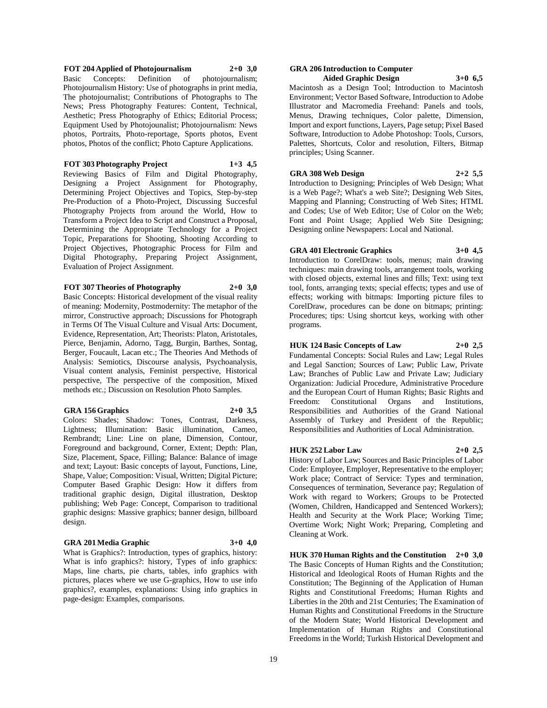#### **FOT 204 Applied of Photojournalism 2+0 3,0** Basic Concepts: Definition of photojournalism; Photojournalism History: Use of photographs in print media, The photojournalist; Contributions of Photographs to The News; Press Photography Features: Content, Technical, Aesthetic; Press Photography of Ethics; Editorial Process; Equipment Used by Photojounalist; Photojournalism: News photos, Portraits, Photo-reportage, Sports photos, Event photos, Photos of the conflict; Photo Capture Applications.

**FOT 303 Photography Project 1+3 4,5**

Reviewing Basics of Film and Digital Photography, Designing a Project Assignment for Photography, Determining Project Objectives and Topics, Step-by-step Pre-Production of a Photo-Project, Discussing Succesful Photography Projects from around the World, How to Transform a Project Idea to Script and Construct a Proposal, Determining the Appropriate Technology for a Project Topic, Preparations for Shooting, Shooting According to Project Objectives, Photographic Process for Film and Digital Photography, Preparing Project Assignment, Evaluation of Project Assignment.

## **FOT 307 Theories of Photography 2+0 3,0**

Basic Concepts: Historical development of the visual reality of meaning: Modernity, Postmodernity: The metaphor of the mirror, Constructive approach; Discussions for Photograph in Terms Of The Visual Culture and Visual Arts: Document, Evidence, Representation, Art; Theorists: Platon, Aristotales, Pierce, Benjamin, Adorno, Tagg, Burgin, Barthes, Sontag, Berger, Foucault, Lacan etc.; The Theories And Methods of Analysis: Semiotics, Discourse analysis, Psychoanalysis, Visual content analysis, Feminist perspective, Historical perspective, The perspective of the composition, Mixed methods etc.; Discussion on Resolution Photo Samples.

## **GRA 156 Graphics 2+0 3,5**

Colors: Shades; Shadow: Tones, Contrast, Darkness, Lightness; Illumination: Basic illumination, Cameo, Rembrandt; Line: Line on plane, Dimension, Contour, Foreground and background, Corner, Extent; Depth: Plan, Size, Placement, Space, Filling; Balance: Balance of image and text; Layout: Basic concepts of layout, Functions, Line, Shape, Value; Composition: Visual, Written; Digital Picture; Computer Based Graphic Design: How it differs from traditional graphic design, Digital illustration, Desktop publishing; Web Page: Concept, Comparison to traditional graphic designs: Massive graphics; banner design, billboard design.

## **GRA 201 Media Graphic 3+0 4,0**

What is Graphics?: Introduction, types of graphics, history: What is info graphics?: history, Types of info graphics: Maps, line charts, pie charts, tables, info graphics with pictures, places where we use G-graphics, How to use info graphics?, examples, explanations: Using info graphics in page-design: Examples, comparisons.

#### **GRA 206 Introduction to Computer Aided Graphic Design 3+0 6,5**

Macintosh as a Design Tool; Introduction to Macintosh Environment; Vector Based Software, Introduction to Adobe Illustrator and Macromedia Freehand: Panels and tools, Menus, Drawing techniques, Color palette, Dimension, Import and export functions, Layers, Page setup; Pixel Based Software, Introduction to Adobe Photoshop: Tools, Cursors, Palettes, Shortcuts, Color and resolution, Filters, Bitmap principles; Using Scanner.

#### **GRA 308 Web Design 2+2 5,5** Introduction to Designing; Principles of Web Design; What

is a Web Page?; What's a web Site?; Designing Web Sites, Mapping and Planning; Constructing of Web Sites; HTML and Codes; Use of Web Editor; Use of Color on the Web; Font and Point Usage; Applied Web Site Designing; Designing online Newspapers: Local and National.

## **GRA 401 Electronic Graphics 3+0 4,5**

Introduction to CorelDraw: tools, menus; main drawing techniques: main drawing tools, arrangement tools, working with closed objects, external lines and fills; Text: using text tool, fonts, arranging texts; special effects; types and use of effects; working with bitmaps: Importing picture files to CorelDraw, procedures can be done on bitmaps; printing: Procedures; tips: Using shortcut keys, working with other programs.

## **HUK 124 Basic Concepts of Law 2+0 2,5**

Fundamental Concepts: Social Rules and Law; Legal Rules and Legal Sanction; Sources of Law; Public Law, Private Law; Branches of Public Law and Private Law; Judiciary Organization: Judicial Procedure, Administrative Procedure and the European Court of Human Rights; Basic Rights and Freedom: Constitutional Organs and Institutions, Responsibilities and Authorities of the Grand National Assembly of Turkey and President of the Republic; Responsibilities and Authorities of Local Administration.

## **HUK 252 Labor Law 2+0 2,5**

History of Labor Law; Sources and Basic Principles of Labor Code: Employee, Employer, Representative to the employer; Work place; Contract of Service: Types and termination, Consequences of termination, Severance pay; Regulation of Work with regard to Workers; Groups to be Protected (Women, Children, Handicapped and Sentenced Workers); Health and Security at the Work Place; Working Time; Overtime Work; Night Work; Preparing, Completing and Cleaning at Work.

**HUK 370 Human Rights and the Constitution 2+0 3,0** The Basic Concepts of Human Rights and the Constitution; Historical and Ideological Roots of Human Rights and the Constitution; The Beginning of the Application of Human Rights and Constitutional Freedoms; Human Rights and Liberties in the 20th and 21st Centuries; The Examination of Human Rights and Constitutional Freedoms in the Structure of the Modern State; World Historical Development and Implementation of Human Rights and Constitutional Freedoms in the World; Turkish Historical Development and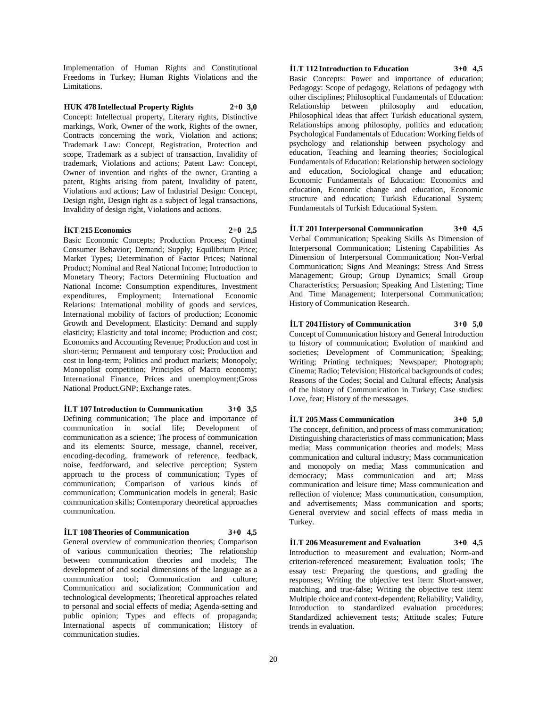Implementation of Human Rights and Constitutional Freedoms in Turkey; Human Rights Violations and the Limitations.

#### **HUK 478 Intellectual Property Rights 2+0 3,0**

Concept: Intellectual property, Literary rights, Distinctive markings, Work, Owner of the work, Rights of the owner, Contracts concerning the work, Violation and actions; Trademark Law: Concept, Registration, Protection and scope, Trademark as a subject of transaction, Invalidity of trademark, Violations and actions; Patent Law: Concept, Owner of invention and rights of the owner, Granting a patent, Rights arising from patent, Invalidity of patent, Violations and actions; Law of Industrial Design: Concept, Design right, Design right as a subject of legal transactions, Invalidity of design right, Violations and actions.

#### **İKT 215 Economics 2+0 2,5**

Basic Economic Concepts; Production Process; Optimal Consumer Behavior; Demand; Supply; Equilibrium Price; Market Types; Determination of Factor Prices; National Product; Nominal and Real National Income; Introduction to Monetary Theory; Factors Determining Fluctuation and National Income: Consumption expenditures, Investment expenditures, Employment; International Economic Relations: International mobility of goods and services, International mobility of factors of production; Economic Growth and Development. Elasticity: Demand and supply elasticity; Elasticity and total income; Production and cost; Economics and Accounting Revenue; Production and cost in short-term; Permanent and temporary cost; Production and cost in long-term; Politics and product markets; Monopoly; Monopolist competition; Principles of Macro economy; International Finance, Prices and unemployment;Gross National Product.GNP; Exchange rates.

**İLT 107 Introduction to Communication 3+0 3,5** Defining communication; The place and importance of communication in social life; Development of communication as a science; The process of communication and its elements: Source, message, channel, receiver, encoding-decoding, framework of reference, feedback, noise, feedforward, and selective perception; System approach to the process of communication; Types of communication; Comparison of various kinds of communication; Communication models in general; Basic communication skills; Contemporary theoretical approaches communication.

**İLT 108 Theories of Communication 3+0 4,5**

General overview of communication theories; Comparison of various communication theories; The relationship between communication theories and models; The development of and social dimensions of the language as a communication tool; Communication and culture; Communication and socialization; Communication and technological developments; Theoretical approaches related to personal and social effects of media; Agenda-setting and public opinion; Types and effects of propaganda; International aspects of communication; History of communication studies.

#### **İLT 112 Introduction to Education 3+0 4,5**

Basic Concepts: Power and importance of education; Pedagogy: Scope of pedagogy, Relations of pedagogy with other disciplines; Philosophical Fundamentals of Education: Relationship between philosophy and education, Philosophical ideas that affect Turkish educational system, Relationships among philosophy, politics and education; Psychological Fundamentals of Education: Working fields of psychology and relationship between psychology and education, Teaching and learning theories; Sociological Fundamentals of Education: Relationship between sociology and education, Sociological change and education; Economic Fundamentals of Education: Economics and education, Economic change and education, Economic structure and education; Turkish Educational System; Fundamentals of Turkish Educational System.

#### **İLT 201 Interpersonal Communication 3+0 4,5**

Verbal Communication; Speaking Skills As Dimension of Interpersonal Communication; Listening Capabilities As Dimension of Interpersonal Communication; Non-Verbal Communication; Signs And Meanings; Stress And Stress Management; Group; Group Dynamics; Small Group Characteristics; Persuasion; Speaking And Listening; Time And Time Management; Interpersonal Communication; History of Communication Research.

### **İLT 204 History of Communication 3+0 5,0**

Concept of Communication history and General Introduction to history of communication; Evolution of mankind and societies; Development of Communication; Speaking; Writing; Printing techniques; Newspaper; Photograph; Cinema; Radio; Television; Historical backgrounds of codes; Reasons of the Codes; Social and Cultural effects; Analysis of the history of Communication in Turkey; Case studies: Love, fear; History of the messsages.

#### **İLT 205 Mass Communication 3+0 5,0**

The concept, definition, and process of mass communication; Distinguishing characteristics of mass communication; Mass media; Mass communication theories and models; Mass communication and cultural industry; Mass communication and monopoly on media; Mass communication and democracy; Mass communication and art; Mass communication and leisure time; Mass communication and reflection of violence; Mass communication, consumption, and advertisements; Mass communication and sports; General overview and social effects of mass media in Turkey.

**İLT 206 Measurement and Evaluation 3+0 4,5** Introduction to measurement and evaluation; Norm-and criterion-referenced measurement; Evaluation tools; The essay test: Preparing the questions, and grading the responses; Writing the objective test item: Short-answer, matching, and true-false; Writing the objective test item: Multiple choice and context-dependent; Reliability; Validity, Introduction to standardized evaluation procedures; Standardized achievement tests; Attitude scales; Future trends in evaluation.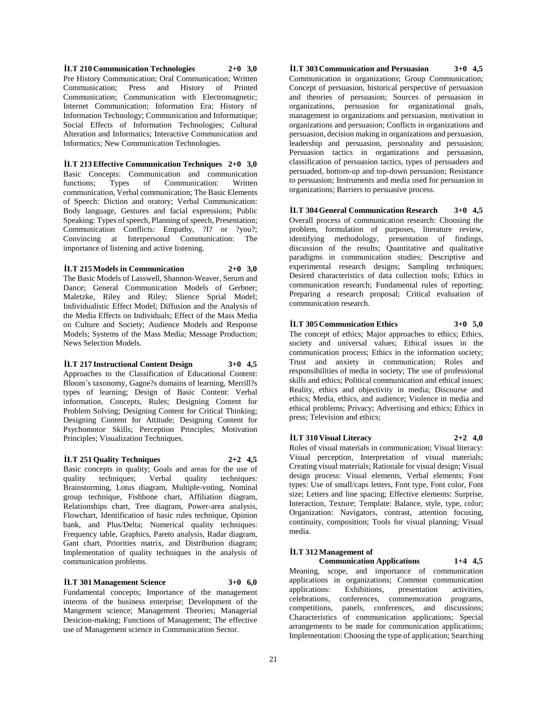**İLT 210 Communication Technologies 2+0 3,0** Pre History Communication; Oral Communication; Written Communication; Press and History of Printed Communication; Communication with Electromagnetic; Internet Communication; Information Era; History of Information Technology; Communication and Informatique; Social Effects of Information Technologies; Cultural Alteration and Informatics; Interactive Communication and Informatics; New Communication Technologies.

**İLT 213 Effective Communication Techniques 2+0 3,0** Basic Concepts: Communication and communication functions; Types of Communication: Written communication, Verbal communication; The Basic Elements of Speech: Diction and oratory; Verbal Communication: Body language, Gestures and facial expressions; Public Speaking: Types of speech, Planning of speech, Presentation; Communication Conflicts: Empathy, ?I? or ?you?; Convincing at Interpersonal Communication: The importance of listening and active listening.

#### **İLT 215 Models in Communication 2+0 3,0**

The Basic Models of Lasswell, Shannon-Weaver, Serum and Dance; General Communication Models of Gerbner; Maletzke, Riley and Riley; Slience Sprial Model; Individualistic Effect Model; Diffusion and the Analysis of the Media Effects on Individuals; Effect of the Mass Media on Culture and Society; Audience Models and Response Models; Systems of the Mass Media; Message Production; News Selection Models.

### **İLT 217 Instructional Content Design 3+0 4,5**

Approaches to the Classification of Educational Content: Bloom's taxonomy, Gagne?s domains of learning, Merrill?s types of learning; Design of Basic Content: Verbal information, Concepts, Rules; Designing Content for Problem Solving; Designing Content for Critical Thinking; Designing Content for Attitude; Designing Content for Psychomotor Skills; Perception Principles; Motivation Principles; Visualization Techniques.

#### **İLT 251 Quality Techniques 2+2 4,5**

Basic concepts in quality; Goals and areas for the use of quality techniques; Verbal quality techniques: Brainstorming, Lotus diagram, Multiple-voting, Nominal group technique, Fishbone chart, Affiliation diagram, Relationships chart, Tree diagram, Power-area analysis, Flowchart, Identification of basic rules technique, Opinion bank, and Plus/Delta; Numerical quality techniques: Frequency table, Graphics, Pareto analysis, Radar diagram, Gant chart, Priorities matrix, and Distribution diagram; Implementation of quality techniques in the analysis of communication problems.

## **İLT 301 Management Science 3+0 6,0**

Fundamental concepts; Importance of the management interms of the business enterprise; Development of the Mangement science; Management Theories; Managerial Desicion-making; Functions of Management; The effective use of Management science in Communication Sector.

**İLT 303 Communication and Persuasion 3+0 4,5** Communication in organizations; Group Communication; Concept of persuasion, historical perspective of persuasion and theories of persuasion; Sources of persuasion in organizations, persuasion for organizational goals, management in organizations and persuasion, motivation in organizations and persuasion; Conflicts in organizations and persuasion, decision making in organizations and persuasion, leadership and persuasion, personality and persuasion; Persuasion tactics in organizations and persuasion, classification of persuasion tactics, types of persuaders and persuaded, bottom-up and top-down persuasion; Resistance to persuasion; Instruments and media used for persuasion in organizations; Barriers to persuasive process.

**İLT 304 General Communication Research 3+0 4,5** Overall process of communication research: Choosing the problem, formulation of purposes, literature review, identifying methodology, presentation of findings, discussion of the results; Quantitative and qualitative paradigms in communication studies; Descriptive and experimental research designs; Sampling techniques; Desired characteristics of data collection tools; Ethics in communication research; Fundamental rules of reporting; Preparing a research proposal; Critical evaluation of communication research.

**İLT 305 Communication Ethics 3+0 5,0**

The concept of ethics; Major approaches to ethics; Ethics, society and universal values; Ethical issues in the communication process; Ethics in the information society; Trust and anxiety in communication; Roles and responsibilities of media in society; The use of professional skills and ethics; Political communication and ethical issues; Reality, ethics and objectivity in media; Discourse and ethics; Media, ethics, and audience; Violence in media and ethical problems; Privacy; Advertising and ethics; Ethics in press; Television and ethics;

## **İLT 310 Visual Literacy 2+2 4,0**

Roles of visual materials in communication; Visual literacy: Visual perception, Interpretation of visual materials; Creating visual materials; Rationale for visual design; Visual design process: Visual elements, Verbal elements; Font types: Use of small/caps letters, Font type, Font color, Font size; Letters and line spacing; Effective elements: Surprise, Interaction, Texture; Template: Balance, style, type, color; Organization: Navigators, contrast, attention focusing, continuity, composition; Tools for visual planning; Visual media.

## **İLT 312 Management of**

**Communication Applications 1+4 4,5** Meaning, scope, and importance of communication applications in organizations; Common communication applications: Exhibitions, presentation activities, celebrations, conferences, commemoration programs, competitions, panels, conferences, and discussions; Characteristics of communication applications; Special arrangements to be made for communication applications; Implementation: Choosing the type of application; Searching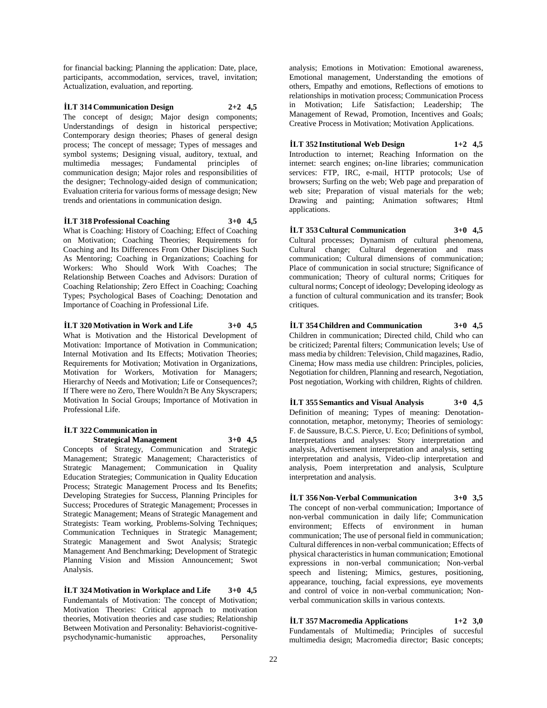for financial backing; Planning the application: Date, place, participants, accommodation, services, travel, invitation; Actualization, evaluation, and reporting.

**İLT 314 Communication Design 2+2 4,5** The concept of design; Major design components; Understandings of design in historical perspective; Contemporary design theories; Phases of general design process; The concept of message; Types of messages and symbol systems; Designing visual, auditory, textual, and multimedia messages; Fundamental principles of communication design; Major roles and responsibilities of the designer; Technology-aided design of communication; Evaluation criteria for various forms of message design; New trends and orientations in communication design.

**İLT 318 Professional Coaching 3+0 4,5** What is Coaching: History of Coaching; Effect of Coaching on Motivation; Coaching Theories; Requirements for Coaching and Its Differences From Other Disciplines Such As Mentoring; Coaching in Organizations; Coaching for Workers: Who Should Work With Coaches; The Relationship Between Coaches and Advisors: Duration of Coaching Relationship; Zero Effect in Coaching; Coaching Types; Psychological Bases of Coaching; Denotation and Importance of Coaching in Professional Life.

**İLT 320 Motivation in Work and Life 3+0 4,5** What is Motivation and the Historical Development of Motivation: Importance of Motivation in Communication; Internal Motivation and Its Effects; Motivation Theories; Requirements for Motivation; Motivation in Organizations, Motivation for Workers, Motivation for Managers; Hierarchy of Needs and Motivation; Life or Consequences?; If There were no Zero, There Wouldn?t Be Any Skyscrapers; Motivation In Social Groups; Importance of Motivation in Professional Life.

## **İLT 322 Communication in**

**Strategical Management 3+0 4,5**

Concepts of Strategy, Communication and Strategic Management; Strategic Management; Characteristics of Strategic Management; Communication in Quality Education Strategies; Communication in Quality Education Process; Strategic Management Process and Its Benefits; Developing Strategies for Success, Planning Principles for Success; Procedures of Strategic Management; Processes in Strategic Management; Means of Strategic Management and Strategists: Team working, Problems-Solving Techniques; Communication Techniques in Strategic Management; Strategic Management and Swot Analysis; Strategic Management And Benchmarking; Development of Strategic Planning Vision and Mission Announcement; Swot Analysis.

**İLT 324 Motivation in Workplace and Life 3+0 4,5** Fundemantals of Motivation: The concept of Motivation; Motivation Theories: Critical approach to motivation theories, Motivation theories and case studies; Relationship Between Motivation and Personality: Behaviorist-cognitivepsychodynamic-humanistic approaches, Personality

analysis; Emotions in Motivation: Emotional awareness, Emotional management, Understanding the emotions of others, Empathy and emotions, Reflections of emotions to relationships in motivation process; Communication Process in Motivation; Life Satisfaction; Leadership; The Management of Rewad, Promotion, Incentives and Goals; Creative Process in Motivation; Motivation Applications.

**İLT 352 Institutional Web Design 1+2 4,5** Introduction to internet; Reaching Information on the internet: search engines; on-line libraries; communication services: FTP, IRC, e-mail, HTTP protocols; Use of browsers; Surfing on the web; Web page and preparation of web site; Preparation of visual materials for the web; Drawing and painting; Animation softwares; Html applications.

**İLT 353 Cultural Communication 3+0 4,5** Cultural processes; Dynamism of cultural phenomena, Cultural change; Cultural degeneration and mass communication; Cultural dimensions of communication; Place of communication in social structure; Significance of communication; Theory of cultural norms; Critiques for cultural norms; Concept of ideology; Developing ideology as a function of cultural communication and its transfer; Book critiques.

**İLT 354 Children and Communication 3+0 4,5** Children in communication; Directed child, Child who can be criticized; Parental filters; Communication levels; Use of mass media by children: Television, Child magazines, Radio, Cinema; How mass media use children: Principles, policies, Negotiation for children, Planning and research, Negotiation, Post negotiation, Working with children, Rights of children.

**İLT 355 Semantics and Visual Analysis 3+0 4,5** Definition of meaning; Types of meaning: Denotationconnotation, metaphor, metonymy; Theories of semiology: F. de Saussure, B.C.S. Pierce, U. Eco; Definitions of symbol, Interpretations and analyses: Story interpretation and analysis, Advertisement interpretation and analysis, setting interpretation and analysis, Video-clip interpretation and analysis, Poem interpretation and analysis, Sculpture interpretation and analysis.

#### **İLT 356 Non-Verbal Communication 3+0 3,5** The concept of non-verbal communication; Importance of non-verbal communication in daily life; Communication environment; Effects of environment in human communication; The use of personal field in communication; Cultural differences in non-verbal communication; Effects of physical characteristics in human communication; Emotional expressions in non-verbal communication; Non-verbal

speech and listening; Mimics, gestures, positioning, appearance, touching, facial expressions, eye movements and control of voice in non-verbal communication; Nonverbal communication skills in various contexts.

**İLT 357 Macromedia Applications 1+2 3,0**

Fundamentals of Multimedia; Principles of succesful multimedia design; Macromedia director; Basic concepts;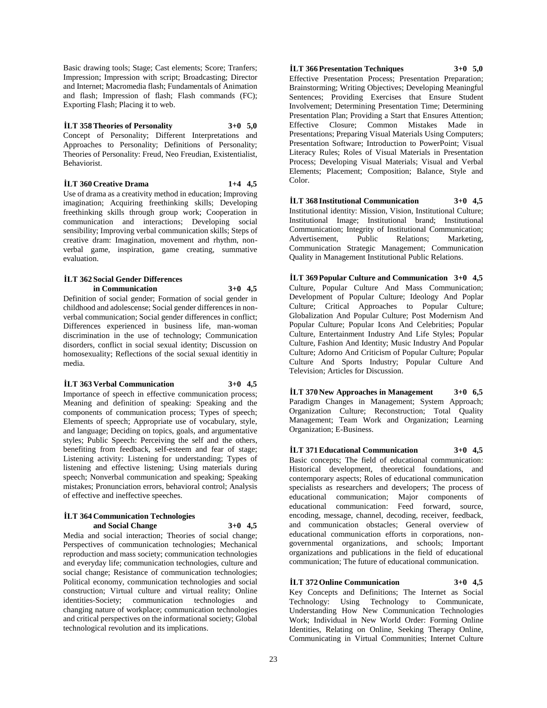Basic drawing tools; Stage; Cast elements; Score; Tranfers; Impression; Impression with script; Broadcasting; Director and Internet; Macromedia flash; Fundamentals of Animation and flash; Impression of flash; Flash commands (FC); Exporting Flash; Placing it to web.

**İLT 358 Theories of Personality 3+0 5,0** Concept of Personality; Different Interpretations and Approaches to Personality; Definitions of Personality; Theories of Personality: Freud, Neo Freudian, Existentialist, Behaviorist.

**İLT 360 Creative Drama 1+4 4,5** Use of drama as a creativity method in education; Improving imagination; Acquiring freethinking skills; Developing freethinking skills through group work; Cooperation in communication and interactions; Developing social sensibility; Improving verbal communication skills; Steps of creative dram: Imagination, movement and rhythm, nonverbal game, inspiration, game creating, summative evaluation.

#### **İLT 362 Social Gender Differences in Communication 3+0 4,5**

Definition of social gender; Formation of social gender in childhood and adolescense; Social gender differences in nonverbal communication; Social gender differences in conflict; Differences experienced in business life, man-woman discrimination in the use of technology; Communication disorders, conflict in social sexual identity; Discussion on homosexuality; Reflections of the social sexual identitiy in media.

**İLT 363 Verbal Communication 3+0 4,5** Importance of speech in effective communication process; Meaning and definition of speaking: Speaking and the components of communication process; Types of speech; Elements of speech; Appropriate use of vocabulary, style, and language; Deciding on topics, goals, and argumentative styles; Public Speech: Perceiving the self and the others, benefiting from feedback, self-esteem and fear of stage; Listening activity: Listening for understanding; Types of listening and effective listening; Using materials during speech; Nonverbal communication and speaking; Speaking mistakes; Pronunciation errors, behavioral control; Analysis of effective and ineffective speeches.

#### **İLT 364 Communication Technologies and Social Change 3+0 4,5**

Media and social interaction; Theories of social change; Perspectives of communication technologies; Mechanical reproduction and mass society; communication technologies and everyday life; communication technologies, culture and social change; Resistance of communication technologies; Political economy, communication technologies and social construction; Virtual culture and virtual reality; Online identities-Society; communication technologies and changing nature of workplace; communication technologies and critical perspectives on the informational society; Global technological revolution and its implications.

## **İLT 366 Presentation Techniques 3+0 5,0**

Effective Presentation Process; Presentation Preparation; Brainstorming; Writing Objectives; Developing Meaningful Sentences; Providing Exercises that Ensure Student Involvement; Determining Presentation Time; Determining Presentation Plan; Providing a Start that Ensures Attention; Effective Closure; Common Mistakes Made in Presentations; Preparing Visual Materials Using Computers; Presentation Software; Introduction to PowerPoint; Visual Literacy Rules; Roles of Visual Materials in Presentation Process; Developing Visual Materials; Visual and Verbal Elements; Placement; Composition; Balance, Style and Color.

**İLT 368 Institutional Communication 3+0 4,5** Institutional identity: Mission, Vision, Institutional Culture; Institutional Image; Institutional brand; Institutional Communication; Integrity of Institutional Communication; Advertisement, Public Relations; Marketing, Communication Strategic Management; Communication Quality in Management Institutional Public Relations.

**İLT 369 Popular Culture and Communication 3+0 4,5** Culture, Popular Culture And Mass Communication; Development of Popular Culture; Ideology And Poplar Culture; Critical Approaches to Popular Culture; Globalization And Popular Culture; Post Modernism And Popular Culture; Popular Icons And Celebrities; Popular Culture, Entertainment Industry And Life Styles; Popular Culture, Fashion And Identity; Music Industry And Popular Culture; Adorno And Criticism of Popular Culture; Popular Culture And Sports Industry; Popular Culture And Television; Articles for Discussion.

**İLT 370 New Approaches in Management 3+0 6,5** Paradigm Changes in Management; System Approach; Organization Culture; Reconstruction; Total Quality Management; Team Work and Organization; Learning Organization; E-Business.

**İLT 371 Educational Communication 3+0 4,5** Basic concepts; The field of educational communication: Historical development, theoretical foundations, and contemporary aspects; Roles of educational communication specialists as researchers and developers; The process of educational communication; Major components of educational communication: Feed forward, source, encoding, message, channel, decoding, receiver, feedback, and communication obstacles; General overview of educational communication efforts in corporations, nongovernmental organizations, and schools; Important organizations and publications in the field of educational communication; The future of educational communication.

## **İLT 372 Online Communication 3+0 4,5**

Key Concepts and Definitions; The Internet as Social Technology: Using Technology to Communicate, Understanding How New Communication Technologies Work; Individual in New World Order: Forming Online Identities, Relating on Online, Seeking Therapy Online, Communicating in Virtual Communities; Internet Culture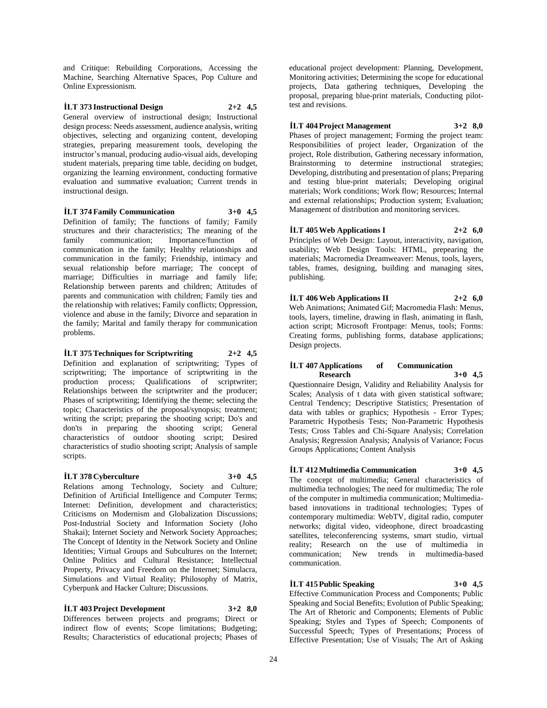and Critique: Rebuilding Corporations, Accessing the Machine, Searching Alternative Spaces, Pop Culture and Online Expressionism.

#### **İLT 373 Instructional Design 2+2 4,5**

General overview of instructional design; Instructional design process: Needs assessment, audience analysis, writing objectives, selecting and organizing content, developing strategies, preparing measurement tools, developing the instructor's manual, producing audio-visual aids, developing student materials, preparing time table, deciding on budget, organizing the learning environment, conducting formative evaluation and summative evaluation; Current trends in instructional design.

#### **İLT 374 Family Communication 3+0 4,5**

Definition of family; The functions of family; Family structures and their characteristics; The meaning of the family communication; Importance/function of communication in the family; Healthy relationships and communication in the family; Friendship, intimacy and sexual relationship before marriage; The concept of marriage; Difficulties in marriage and family life; Relationship between parents and children; Attitudes of parents and communication with children; Family ties and the relationship with relatives; Family conflicts; Oppression, violence and abuse in the family; Divorce and separation in the family; Marital and family therapy for communication problems.

#### **İLT 375 Techniques for Scriptwriting 2+2 4,5**

Definition and explanation of scriptwriting; Types of scriptwriting; The importance of scriptwriting in the production process; Qualifications of scriptwriter; Relationships between the scriptwriter and the producer; Phases of scriptwriting; Identifying the theme; selecting the topic; Characteristics of the proposal/synopsis; treatment; writing the script; preparing the shooting script; Do's and don'ts in preparing the shooting script; General characteristics of outdoor shooting script; Desired characteristics of studio shooting script; Analysis of sample scripts.

#### **İLT 378 Cyberculture 3+0 4,5**

Relations among Technology, Society and Culture; Definition of Artificial Intelligence and Computer Terms; Internet: Definition, development and characteristics; Criticisms on Modernism and Globalization Discussions; Post-Industrial Society and Information Society (Joho Shakai); Internet Society and Network Society Approaches; The Concept of Identity in the Network Society and Online Identities; Virtual Groups and Subcultures on the Internet; Online Politics and Cultural Resistance; Intellectual Property, Privacy and Freedom on the Internet; Simulacra, Simulations and Virtual Reality; Philosophy of Matrix, Cyberpunk and Hacker Culture; Discussions.

#### **İLT 403 Project Development 3+2 8,0**

Differences between projects and programs; Direct or indirect flow of events; Scope limitations; Budgeting; Results; Characteristics of educational projects; Phases of

educational project development: Planning, Development, Monitoring activities; Determining the scope for educational projects, Data gathering techniques, Developing the proposal, preparing blue-print materials, Conducting pilottest and revisions.

## **İLT 404 Project Management 3+2 8,0**

Phases of project management; Forming the project team: Responsibilities of project leader, Organization of the project, Role distribution, Gathering necessary information, Brainstorming to determine instructional strategies; Developing, distributing and presentation of plans; Preparing and testing blue-print materials; Developing original materials; Work conditions; Work flow; Resources; Internal and external relationships; Production system; Evaluation; Management of distribution and monitoring services.

### **İLT 405 Web Applications I 2+2 6,0**

Principles of Web Design: Layout, interactivity, navigation, usability; Web Design Tools: HTML, prepearing the materials; Macromedia Dreamweaver: Menus, tools, layers, tables, frames, designing, building and managing sites, publishing.

## **İLT 406 Web Applications II 2+2 6,0**

Web Animations; Animated Gif; Macromedia Flash: Menus, tools, layers, timeline, drawing in flash, animating in flash, action script; Microsoft Frontpage: Menus, tools; Forms: Creating forms, publishing forms, database applications; Design projects.

#### **İLT 407 Applications of Communication Research 3+0 4,5**

Questionnaire Design, Validity and Reliability Analysis for Scales; Analysis of t data with given statistical software; Central Tendency; Descriptive Statistics; Presentation of data with tables or graphics; Hypothesis - Error Types; Parametric Hypothesis Tests; Non-Parametric Hypothesis Tests; Cross Tables and Chi-Square Analysis; Correlation Analysis; Regression Analysis; Analysis of Variance; Focus Groups Applications; Content Analysis

## **İLT 412 Multimedia Communication 3+0 4,5**

The concept of multimedia; General characteristics of multimedia technologies; The need for multimedia; The role of the computer in multimedia communication; Multimediabased innovations in traditional technologies; Types of contemporary multimedia: WebTV, digital radio, computer networks; digital video, videophone, direct broadcasting satellites, teleconferencing systems, smart studio, virtual reality; Research on the use of multimedia in communication; New trends in multimedia-based communication.

## **İLT 415 Public Speaking 3+0 4,5**

Effective Communication Process and Components; Public Speaking and Social Benefits; Evolution of Public Speaking; The Art of Rhetoric and Components; Elements of Public Speaking; Styles and Types of Speech; Components of Successful Speech; Types of Presentations; Process of Effective Presentation; Use of Visuals; The Art of Asking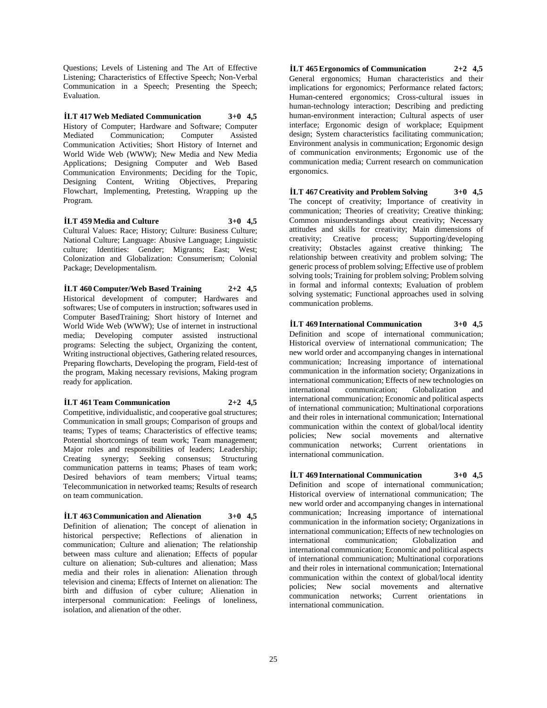Questions; Levels of Listening and The Art of Effective Listening; Characteristics of Effective Speech; Non-Verbal Communication in a Speech; Presenting the Speech; Evaluation.

**İLT 417 Web Mediated Communication 3+0 4,5** History of Computer; Hardware and Software; Computer Mediated Communication; Computer Assisted Communication Activities; Short History of Internet and World Wide Web (WWW); New Media and New Media Applications; Designing Computer and Web Based Communication Environments; Deciding for the Topic, Designing Content, Writing Objectives, Preparing Flowchart, Implementing, Pretesting, Wrapping up the Program.

**İLT 459 Media and Culture 3+0 4,5** Cultural Values: Race; History; Culture: Business Culture; National Culture; Language: Abusive Language; Linguistic culture; Identities: Gender; Migrants; East; West; Colonization and Globalization: Consumerism; Colonial Package; Developmentalism.

**İLT 460 Computer/Web Based Training 2+2 4,5** Historical development of computer; Hardwares and softwares; Use of computers in instruction; softwares used in Computer BasedTraining; Short history of Internet and World Wide Web (WWW); Use of internet in instructional media; Developing computer assisted instructional programs: Selecting the subject, Organizing the content, Writing instructional objectives, Gathering related resources, Preparing flowcharts, Developing the program, Field-test of the program, Making necessary revisions, Making program ready for application.

**İLT 461 Team Communication 2+2 4,5**

Competitive, individualistic, and cooperative goal structures; Communication in small groups; Comparison of groups and teams; Types of teams; Characteristics of effective teams; Potential shortcomings of team work; Team management; Major roles and responsibilities of leaders; Leadership; Creating synergy; Seeking consensus; Structuring communication patterns in teams; Phases of team work; Desired behaviors of team members; Virtual teams; Telecommunication in networked teams; Results of research on team communication.

**İLT 463 Communication and Alienation 3+0 4,5** Definition of alienation; The concept of alienation in historical perspective; Reflections of alienation in communication; Culture and alienation; The relationship between mass culture and alienation; Effects of popular culture on alienation; Sub-cultures and alienation; Mass media and their roles in alienation: Alienation through television and cinema; Effects of Internet on alienation: The birth and diffusion of cyber culture; Alienation in interpersonal communication: Feelings of loneliness, isolation, and alienation of the other.

**İLT 465 Ergonomics of Communication 2+2 4,5** General ergonomics; Human characteristics and their implications for ergonomics; Performance related factors; Human-centered ergonomics; Cross-cultural issues in human-technology interaction; Describing and predicting human-environment interaction; Cultural aspects of user interface; Ergonomic design of workplace; Equipment design; System characteristics facilitating communication; Environment analysis in communication; Ergonomic design of communication environments; Ergonomic use of the communication media; Current research on communication ergonomics.

**İLT 467 Creativity and Problem Solving 3+0 4,5** The concept of creativity; Importance of creativity in communication; Theories of creativity; Creative thinking; Common misunderstandings about creativity; Necessary attitudes and skills for creativity; Main dimensions of creativity; Creative process; Supporting/developing creativity; Obstacles against creative thinking; The relationship between creativity and problem solving; The generic process of problem solving; Effective use of problem solving tools; Training for problem solving; Problem solving in formal and informal contexts; Evaluation of problem solving systematic; Functional approaches used in solving communication problems.

**İLT 469 International Communication 3+0 4,5** Definition and scope of international communication; Historical overview of international communication; The new world order and accompanying changes in international communication; Increasing importance of international communication in the information society; Organizations in international communication; Effects of new technologies on international communication; Globalization and international communication; Economic and political aspects of international communication; Multinational corporations and their roles in international communication; International communication within the context of global/local identity policies; New social movements and alternative communication networks; Current orientations in international communication.

**İLT 469 International Communication 3+0 4,5** Definition and scope of international communication; Historical overview of international communication; The new world order and accompanying changes in international communication; Increasing importance of international communication in the information society; Organizations in international communication; Effects of new technologies on international communication; Globalization and international communication; Economic and political aspects of international communication; Multinational corporations and their roles in international communication; International communication within the context of global/local identity policies; New social movements and alternative communication networks; Current orientations in international communication.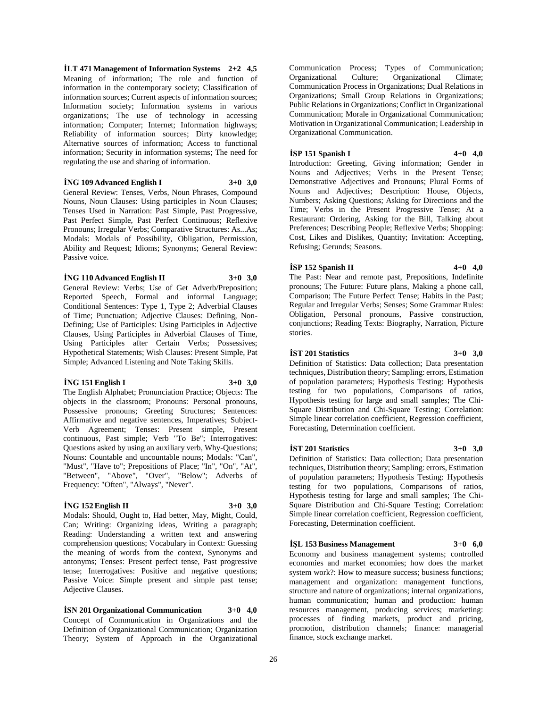**İLT 471 Management of Information Systems 2+2 4,5** Meaning of information; The role and function of information in the contemporary society; Classification of information sources; Current aspects of information sources; Information society; Information systems in various organizations; The use of technology in accessing information; Computer; Internet; Information highways; Reliability of information sources; Dirty knowledge; Alternative sources of information; Access to functional information; Security in information systems; The need for regulating the use and sharing of information.

#### **İNG 109 Advanced English I 3+0 3,0**

General Review: Tenses, Verbs, Noun Phrases, Compound Nouns, Noun Clauses: Using participles in Noun Clauses; Tenses Used in Narration: Past Simple, Past Progressive, Past Perfect Simple, Past Perfect Continuous; Reflexive Pronouns; Irregular Verbs; Comparative Structures: As...As; Modals: Modals of Possibility, Obligation, Permission, Ability and Request; Idioms; Synonyms; General Review: Passive voice.

#### **İNG 110 Advanced English II 3+0 3,0**

General Review: Verbs; Use of Get Adverb/Preposition; Reported Speech, Formal and informal Language; Conditional Sentences: Type 1, Type 2; Adverbial Clauses of Time; Punctuation; Adjective Clauses: Defining, Non-Defining; Use of Participles: Using Participles in Adjective Clauses, Using Participles in Adverbial Clauses of Time, Using Participles after Certain Verbs; Possessives; Hypothetical Statements; Wish Clauses: Present Simple, Pat Simple; Advanced Listening and Note Taking Skills.

#### **İNG 151 English I 3+0 3,0**

The English Alphabet; Pronunciation Practice; Objects: The objects in the classroom; Pronouns: Personal pronouns, Possessive pronouns; Greeting Structures; Sentences: Affirmative and negative sentences, Imperatives; Subject-Verb Agreement; Tenses: Present simple, Present continuous, Past simple; Verb "To Be"; Interrogatives: Questions asked by using an auxiliary verb, Why-Questions; Nouns: Countable and uncountable nouns; Modals: "Can", "Must", "Have to"; Prepositions of Place; "In", "On", "At", "Between", "Above", "Over", "Below"; Adverbs of Frequency: "Often", "Always", "Never".

#### **İNG 152 English II 3+0 3,0**

Modals: Should, Ought to, Had better, May, Might, Could, Can; Writing: Organizing ideas, Writing a paragraph; Reading: Understanding a written text and answering comprehension questions; Vocabulary in Context: Guessing the meaning of words from the context, Synonyms and antonyms; Tenses: Present perfect tense, Past progressive tense; Interrogatives: Positive and negative questions; Passive Voice: Simple present and simple past tense; Adjective Clauses.

**İSN 201 Organizational Communication 3+0 4,0** Concept of Communication in Organizations and the Definition of Organizational Communication; Organization Theory; System of Approach in the Organizational

Communication Process; Types of Communication; Organizational Culture; Organizational Climate; Communication Process in Organizations; Dual Relations in Organizations; Small Group Relations in Organizations; Public Relations in Organizations; Conflict in Organizational Communication; Morale in Organizational Communication; Motivation in Organizational Communication; Leadership in Organizational Communication.

#### **İSP 151 Spanish I 4+0 4,0**

Introduction: Greeting, Giving information; Gender in Nouns and Adjectives; Verbs in the Present Tense; Demonstrative Adjectives and Pronouns; Plural Forms of Nouns and Adjectives; Description: House, Objects, Numbers; Asking Questions; Asking for Directions and the Time; Verbs in the Present Progressive Tense; At a Restaurant: Ordering, Asking for the Bill, Talking about Preferences; Describing People; Reflexive Verbs; Shopping: Cost, Likes and Dislikes, Quantity; Invitation: Accepting, Refusing; Gerunds; Seasons.

#### **İSP 152 Spanish II 4+0 4,0**

The Past: Near and remote past, Prepositions, Indefinite pronouns; The Future: Future plans, Making a phone call, Comparison; The Future Perfect Tense; Habits in the Past; Regular and Irregular Verbs; Senses; Some Grammar Rules: Obligation, Personal pronouns, Passive construction, conjunctions; Reading Texts: Biography, Narration, Picture stories.

### **İST 201 Statistics 3+0 3,0**

Definition of Statistics: Data collection; Data presentation techniques, Distribution theory; Sampling: errors, Estimation of population parameters; Hypothesis Testing: Hypothesis testing for two populations, Comparisons of ratios, Hypothesis testing for large and small samples; The Chi-Square Distribution and Chi-Square Testing; Correlation: Simple linear correlation coefficient, Regression coefficient, Forecasting, Determination coefficient.

#### **İST 201 Statistics 3+0 3,0**

Definition of Statistics: Data collection; Data presentation techniques, Distribution theory; Sampling: errors, Estimation of population parameters; Hypothesis Testing: Hypothesis testing for two populations, Comparisons of ratios, Hypothesis testing for large and small samples; The Chi-Square Distribution and Chi-Square Testing; Correlation: Simple linear correlation coefficient, Regression coefficient, Forecasting, Determination coefficient.

**İŞL 153 Business Management 3+0 6,0**

Economy and business management systems; controlled economies and market economies; how does the market system work?: How to measure success; business functions; management and organization: management functions, structure and nature of organizations; internal organizations, human communication; human and production: human resources management, producing services; marketing: processes of finding markets, product and pricing, promotion, distribution channels; finance: managerial finance, stock exchange market.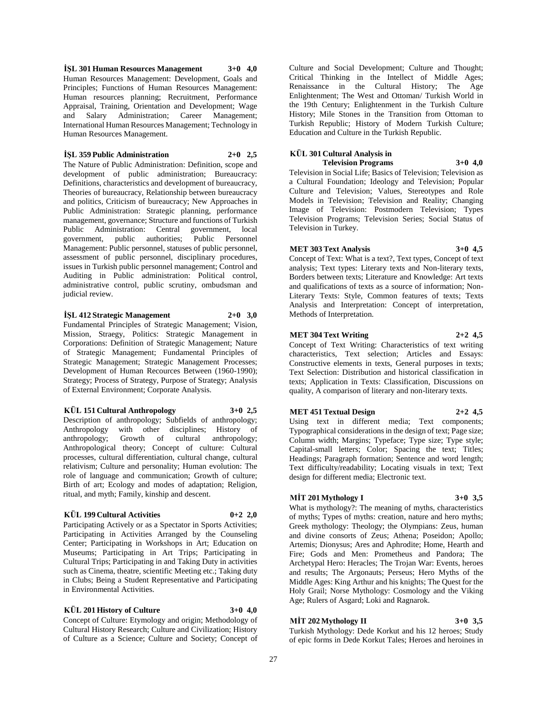**İŞL 301 Human Resources Management 3+0 4,0** Human Resources Management: Development, Goals and Principles; Functions of Human Resources Management: Human resources planning; Recruitment, Performance Appraisal, Training, Orientation and Development; Wage and Salary Administration; Career Management; International Human Resources Management; Technology in Human Resources Management.

### **İŞL 359 Public Administration 2+0 2,5**

The Nature of Public Administration: Definition, scope and development of public administration; Bureaucracy: Definitions, characteristics and development of bureaucracy, Theories of bureaucracy, Relationship between bureaucracy and politics, Criticism of bureaucracy; New Approaches in Public Administration: Strategic planning, performance management, governance; Structure and functions of Turkish Public Administration: Central government, local government, public authorities; Public Personnel Management: Public personnel, statuses of public personnel, assessment of public personnel, disciplinary procedures, issues in Turkish public personnel management; Control and Auditing in Public administration: Political control, administrative control, public scrutiny, ombudsman and judicial review.

## **İŞL 412 Strategic Management 2+0 3,0**

Fundamental Principles of Strategic Management; Vision, Mission, Straegy, Politics: Strategic Management in Corporations: Definition of Strategic Management; Nature of Strategic Management; Fundamental Principles of Strategic Management; Strategic Management Processes; Development of Human Recources Between (1960-1990); Strategy; Process of Strategy, Purpose of Strategy; Analysis of External Environment; Corporate Analysis.

#### **KÜL 151 Cultural Anthropology 3+0 2,5**

Description of anthropology; Subfields of anthropology; Anthropology with other disciplines; History of anthropology; Growth of cultural anthropology; Anthropological theory; Concept of culture: Cultural processes, cultural differentiation, cultural change, cultural relativism; Culture and personality; Human evolution: The role of language and communication; Growth of culture; Birth of art; Ecology and modes of adaptation; Religion, ritual, and myth; Family, kinship and descent.

#### **KÜL 199 Cultural Activities 0+2 2,0**

Participating Actively or as a Spectator in Sports Activities; Participating in Activities Arranged by the Counseling Center; Participating in Workshops in Art; Education on Museums; Participating in Art Trips; Participating in Cultural Trips; Participating in and Taking Duty in activities such as Cinema, theatre, scientific Meeting etc.; Taking duty in Clubs; Being a Student Representative and Participating in Environmental Activities.

## **KÜL 201 History of Culture 3+0 4,0**

Concept of Culture: Etymology and origin; Methodology of Cultural History Research; Culture and Civilization; History of Culture as a Science; Culture and Society; Concept of

Culture and Social Development; Culture and Thought; Critical Thinking in the Intellect of Middle Ages; Renaissance in the Cultural History; The Age Enlightenment; The West and Ottoman/ Turkish World in the 19th Century; Enlightenment in the Turkish Culture History; Mile Stones in the Transition from Ottoman to Turkish Republic; History of Modern Turkish Culture; Education and Culture in the Turkish Republic.

## **KÜL 301 Cultural Analysis in**

**Television Programs 3+0 4,0** Television in Social Life; Basics of Television; Television as a Cultural Foundation; Ideology and Television; Popular Culture and Television; Values, Stereotypes and Role Models in Television; Television and Reality; Changing Image of Television: Postmodern Television; Types Television Programs; Television Series; Social Status of Television in Turkey.

### **MET 303 Text Analysis 3+0 4,5**

Concept of Text: What is a text?, Text types, Concept of text analysis; Text types: Literary texts and Non-literary texts, Borders between texts; Literature and Knowledge: Art texts and qualifications of texts as a source of information; Non-Literary Texts: Style, Common features of texts; Texts Analysis and Interpretation: Concept of interpretation, Methods of Interpretation.

#### **MET 304 Text Writing 2+2 4,5**

Concept of Text Writing: Characteristics of text writing characteristics, Text selection; Articles and Essays: Constructive elements in texts, General purposes in texts; Text Selection: Distribution and historical classification in texts; Application in Texts: Classification, Discussions on quality, A comparison of literary and non-literary texts.

#### **MET 451 Textual Design 2+2 4,5**

Using text in different media; Text components; Typographical considerations in the design of text; Page size; Column width; Margins; Typeface; Type size; Type style; Capital-small letters; Color; Spacing the text; Titles; Headings; Paragraph formation; Sentence and word length; Text difficulty/readability; Locating visuals in text; Text design for different media; Electronic text.

## **MİT 201 Mythology I 3+0 3,5**

What is mythology?: The meaning of myths, characteristics of myths; Types of myths: creation, nature and hero myths; Greek mythology: Theology; the Olympians: Zeus, human and divine consorts of Zeus; Athena; Poseidon; Apollo; Artemis; Dionysus; Ares and Aphrodite; Home, Hearth and Fire; Gods and Men: Prometheus and Pandora; The Archetypal Hero: Heracles; The Trojan War: Events, heroes and results; The Argonauts; Perseus; Hero Myths of the Middle Ages: King Arthur and his knights; The Quest for the Holy Grail; Norse Mythology: Cosmology and the Viking Age; Rulers of Asgard; Loki and Ragnarok.

#### **MİT 202 Mythology II 3+0 3,5**

Turkish Mythology: Dede Korkut and his 12 heroes; Study of epic forms in Dede Korkut Tales; Heroes and heroines in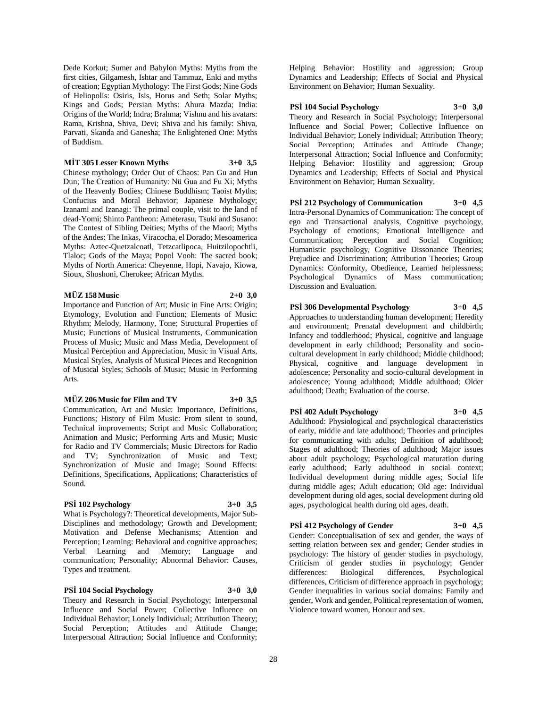Dede Korkut; Sumer and Babylon Myths: Myths from the first cities, Gilgamesh, Ishtar and Tammuz, Enki and myths of creation; Egyptian Mythology: The First Gods; Nine Gods of Heliopolis: Osiris, Isis, Horus and Seth; Solar Myths; Kings and Gods; Persian Myths: Ahura Mazda; India: Origins of the World; Indra; Brahma; Vishnu and his avatars: Rama, Krishna, Shiva, Devi; Shiva and his family: Shiva, Parvati, Skanda and Ganesha; The Enlightened One: Myths of Buddism.

**MİT 305 Lesser Known Myths 3+0 3,5** Chinese mythology; Order Out of Chaos: Pan Gu and Hun Dun; The Creation of Humanity: Nü Gua and Fu Xi; Myths of the Heavenly Bodies; Chinese Buddhism; Taoist Myths; Confucius and Moral Behavior; Japanese Mythology; Izanami and Izanagi: The primal couple, visit to the land of dead-Yomi; Shinto Pantheon: Ameterasu, Tsuki and Susano: The Contest of Sibling Deities; Myths of the Maori; Myths of the Andes: The Inkas, Viracocha, el Dorado; Mesoamerica Myths: Aztec-Quetzalcoatl, Tetzcatlipoca, Huitzilopochtli, Tlaloc; Gods of the Maya; Popol Vooh: The sacred book; Myths of North America: Cheyenne, Hopi, Navajo, Kiowa, Sioux, Shoshoni, Cherokee; African Myths.

#### **MÜZ 158 Music 2+0 3,0**

Importance and Function of Art; Music in Fine Arts: Origin; Etymology, Evolution and Function; Elements of Music: Rhythm; Melody, Harmony, Tone; Structural Properties of Music; Functions of Musical Instruments, Communication Process of Music; Music and Mass Media, Development of Musical Perception and Appreciation, Music in Visual Arts, Musical Styles, Analysis of Musical Pieces and Recognition of Musical Styles; Schools of Music; Music in Performing Arts.

#### **MÜZ 206 Music for Film and TV 3+0 3,5**

Communication, Art and Music: Importance, Definitions, Functions; History of Film Music: From silent to sound, Technical improvements; Script and Music Collaboration; Animation and Music; Performing Arts and Music; Music for Radio and TV Commercials; Music Directors for Radio and TV; Synchronization of Music and Text; Synchronization of Music and Image; Sound Effects: Definitions, Specifications, Applications; Characteristics of Sound.

#### **PSİ 102 Psychology 3+0 3,5**

What is Psychology?: Theoretical developments, Major Sub-Disciplines and methodology; Growth and Development; Motivation and Defense Mechanisms; Attention and Perception; Learning: Behavioral and cognitive approaches; Verbal Learning and Memory; Language and communication; Personality; Abnormal Behavior: Causes, Types and treatment.

#### **PSİ 104 Social Psychology 3+0 3,0**

Theory and Research in Social Psychology; Interpersonal Influence and Social Power; Collective Influence on Individual Behavior; Lonely Individual; Attribution Theory; Social Perception; Attitudes and Attitude Change; Interpersonal Attraction; Social Influence and Conformity;

Helping Behavior: Hostility and aggression; Group Dynamics and Leadership; Effects of Social and Physical Environment on Behavior; Human Sexuality.

## **PSİ 104 Social Psychology 3+0 3,0**

Theory and Research in Social Psychology; Interpersonal Influence and Social Power; Collective Influence on Individual Behavior; Lonely Individual; Attribution Theory; Social Perception; Attitudes and Attitude Change; Interpersonal Attraction; Social Influence and Conformity; Helping Behavior: Hostility and aggression; Group Dynamics and Leadership; Effects of Social and Physical Environment on Behavior; Human Sexuality.

## **PSİ 212 Psychology of Communication 3+0 4,5**

Intra-Personal Dynamics of Communication: The concept of ego and Transactional analysis, Cognitive psychology, Psychology of emotions; Emotional Intelligence and Communication; Perception and Social Cognition; Humanistic psychology, Cognitive Dissonance Theories; Prejudice and Discrimination; Attribution Theories; Group Dynamics: Conformity, Obedience, Learned helplessness; Psychological Dynamics of Mass communication; Discussion and Evaluation.

## **PSİ 306 Developmental Psychology 3+0 4,5**

Approaches to understanding human development; Heredity and environment; Prenatal development and childbirth; Infancy and toddlerhood; Physical, cognitive and language development in early childhood; Personality and sociocultural development in early childhood; Middle childhood; Physical, cognitive and language development in adolescence; Personality and socio-cultural development in adolescence; Young adulthood; Middle adulthood; Older adulthood; Death; Evaluation of the course.

## **PSİ 402 Adult Psychology 3+0 4,5**

Adulthood: Physiological and psychological characteristics of early, middle and late adulthood; Theories and principles for communicating with adults; Definition of adulthood; Stages of adulthood; Theories of adulthood; Major issues about adult psychology; Psychological maturation during early adulthood; Early adulthood in social context; Individual development during middle ages; Social life during middle ages; Adult education; Old age: Individual development during old ages, social development during old ages, psychological health during old ages, death.

## **PSİ 412 Psychology of Gender 3+0 4,5**

Gender: Conceptualisation of sex and gender, the ways of setting relation between sex and gender; Gender studies in psychology: The history of gender studies in psychology, Criticism of gender studies in psychology; Gender differences: Biological differences, Psychological differences, Criticism of difference approach in psychology; Gender inequalities in various social domains: Family and gender, Work and gender, Political representation of women, Violence toward women, Honour and sex.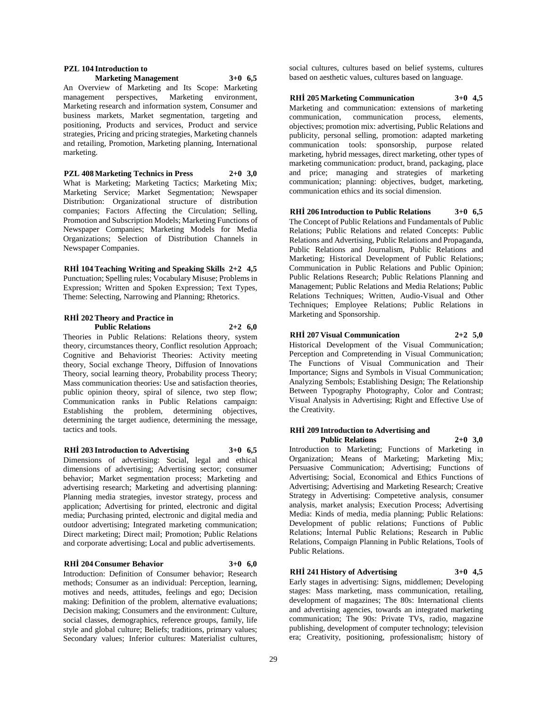## **PZL 104 Introduction to**

## **Marketing Management 3+0 6,5**

An Overview of Marketing and Its Scope: Marketing management perspectives, Marketing environment, Marketing research and information system, Consumer and business markets, Market segmentation, targeting and positioning, Products and services, Product and service strategies, Pricing and pricing strategies, Marketing channels and retailing, Promotion, Marketing planning, International marketing.

**PZL 408 Marketing Technics in Press 2+0 3,0** What is Marketing; Marketing Tactics; Marketing Mix; Marketing Service; Market Segmentation; Newspaper Distribution: Organizational structure of distribution companies; Factors Affecting the Circulation; Selling, Promotion and Subscription Models; Marketing Functions of Newspaper Companies; Marketing Models for Media Organizations; Selection of Distribution Channels in Newspaper Companies.

**RHİ 104 Teaching Writing and Speaking Skills 2+2 4,5** Punctuation; Spelling rules; Vocabulary Misuse; Problems in Expression; Written and Spoken Expression; Text Types, Theme: Selecting, Narrowing and Planning; Rhetorics.

#### **RHİ 202 Theory and Practice in Public Relations 2+2 6,0**

Theories in Public Relations: Relations theory, system theory, circumstances theory, Conflict resolution Approach; Cognitive and Behaviorist Theories: Activity meeting theory, Social exchange Theory, Diffusion of Innovations Theory, social learning theory, Probability process Theory; Mass communication theories: Use and satisfaction theories, public opinion theory, spiral of silence, two step flow; Communication ranks in Public Relations campaign: Establishing the problem, determining objectives, determining the target audience, determining the message, tactics and tools.

#### **RHİ 203 Introduction to Advertising 3+0 6,5**

Dimensions of advertising: Social, legal and ethical dimensions of advertising; Advertising sector; consumer behavior; Market segmentation process; Marketing and advertising research; Marketing and advertising planning: Planning media strategies, investor strategy, process and application; Advertising for printed, electronic and digital media; Purchasing printed, electronic and digital media and outdoor advertising; Integrated marketing communication; Direct marketing; Direct mail; Promotion; Public Relations and corporate advertising; Local and public advertisements.

#### **RHİ 204 Consumer Behavior 3+0 6,0**

Introduction: Definition of Consumer behavior; Research methods; Consumer as an individual: Perception, learning, motives and needs, attitudes, feelings and ego; Decision making: Definition of the problem, alternative evaluations; Decision making; Consumers and the environment: Culture, social classes, demographics, reference groups, family, life style and global culture; Beliefs; traditions, primary values; Secondary values; Inferior cultures: Materialist cultures,

social cultures, cultures based on belief systems, cultures based on aesthetic values, cultures based on language.

## **RHİ 205 Marketing Communication 3+0 4,5**

Marketing and communication: extensions of marketing communication, communication process, elements, objectives; promotion mix: advertising, Public Relations and publicity, personal selling, promotion: adapted marketing communication tools: sponsorship, purpose related marketing, hybrid messages, direct marketing, other types of marketing communication: product, brand, packaging, place and price; managing and strategies of marketing communication; planning: objectives, budget, marketing, communication ethics and its social dimension.

#### **RHİ 206 Introduction to Public Relations 3+0 6,5** The Concept of Public Relations and Fundamentals of Public Relations; Public Relations and related Concepts: Public Relations and Advertising, Public Relations and Propaganda, Public Relations and Journalism, Public Relations and Marketing; Historical Development of Public Relations; Communication in Public Relations and Public Opinion; Public Relations Research; Public Relations Planning and Management; Public Relations and Media Relations; Public Relations Techniques; Written, Audio-Visual and Other Techniques; Employee Relations; Public Relations in Marketing and Sponsorship.

**RHİ 207 Visual Communication 2+2 5,0** Historical Development of the Visual Communication;

Perception and Compretending in Visual Communication; The Functions of Visual Communication and Their Importance; Signs and Symbols in Visual Communication; Analyzing Sembols; Establishing Design; The Relationship Between Typography Photography, Color and Contrast; Visual Analysis in Advertising; Right and Effective Use of the Creativity.

#### **RHİ 209 Introduction to Advertising and Public Relations 2+0 3,0**

Introduction to Marketing; Functions of Marketing in Organization; Means of Marketing; Marketing Mix; Persuasive Communication; Advertising; Functions of Advertising; Social, Economical and Ethics Functions of Advertising; Advertising and Marketing Research; Creative Strategy in Advertising: Competetive analysis, consumer analysis, market analysis; Execution Process; Advertising Media: Kinds of media, media planning; Public Relations: Development of public relations; Functions of Public Relations; İnternal Public Relations; Research in Public Relations, Compaign Planning in Public Relations, Tools of Public Relations.

## **RHİ 241 History of Advertising 3+0 4,5**

Early stages in advertising: Signs, middlemen; Developing stages: Mass marketing, mass communication, retailing, development of magazines; The 80s: International clients and advertising agencies, towards an integrated marketing communication; The 90s: Private TVs, radio, magazine publishing, development of computer technology; television era; Creativity, positioning, professionalism; history of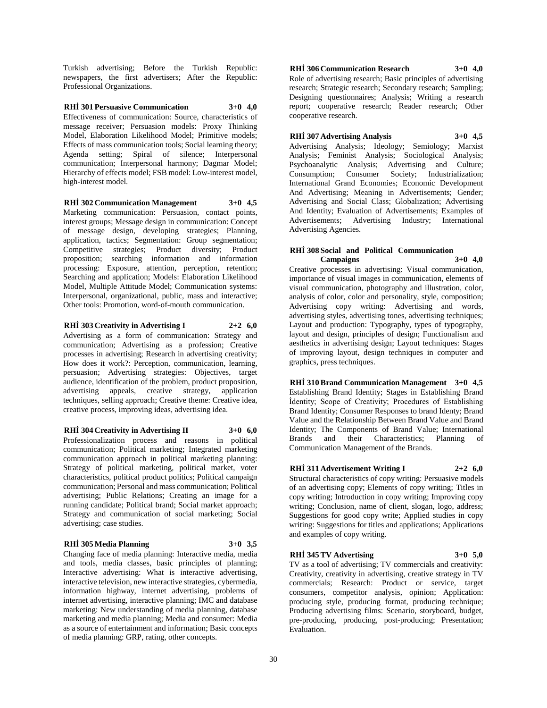Turkish advertising; Before the Turkish Republic: newspapers, the first advertisers; After the Republic: Professional Organizations.

## **RHİ 301 Persuasive Communication 3+0 4,0**

Effectiveness of communication: Source, characteristics of message receiver; Persuasion models: Proxy Thinking Model, Elaboration Likelihood Model; Primitive models; Effects of mass communication tools; Social learning theory; Agenda setting; Spiral of silence; Interpersonal communication; Interpersonal harmony; Dagmar Model; Hierarchy of effects model; FSB model: Low-interest model, high-interest model.

## **RHİ 302 Communication Management 3+0 4,5**

Marketing communication: Persuasion, contact points, interest groups; Message design in communication: Concept of message design, developing strategies; Planning, application, tactics; Segmentation: Group segmentation; Competitive strategies; Product diversity; Product proposition; searching information and information processing: Exposure, attention, perception, retention; Searching and application; Models: Elaboration Likelihood Model, Multiple Attitude Model; Communication systems: Interpersonal, organizational, public, mass and interactive; Other tools: Promotion, word-of-mouth communication.

**RHİ 303 Creativity in Advertising I 2+2 6,0** Advertising as a form of communication: Strategy and communication; Advertising as a profession; Creative processes in advertising; Research in advertising creativity; How does it work?: Perception, communication, learning, persuasion; Advertising strategies: Objectives, target audience, identification of the problem, product proposition, advertising appeals, creative strategy, application techniques, selling approach; Creative theme: Creative idea, creative process, improving ideas, advertising idea.

### **RHİ 304 Creativity in Advertising II 3+0 6,0**

Professionalization process and reasons in political communication; Political marketing; Integrated marketing communication approach in political marketing planning: Strategy of political marketing, political market, voter characteristics, political product politics; Political campaign communication; Personal and mass communication; Political advertising; Public Relations; Creating an image for a running candidate; Political brand; Social market approach; Strategy and communication of social marketing; Social advertising; case studies.

#### **RHİ 305 Media Planning 3+0 3,5**

Changing face of media planning: Interactive media, media and tools, media classes, basic principles of planning; Interactive advertising: What is interactive advertising, interactive television, new interactive strategies, cybermedia, information highway, internet advertising, problems of internet advertising, interactive planning; IMC and database marketing: New understanding of media planning, database marketing and media planning; Media and consumer: Media as a source of entertainment and information; Basic concepts of media planning: GRP, rating, other concepts.

**RHİ 306 Communication Research 3+0 4,0** Role of advertising research; Basic principles of advertising research; Strategic research; Secondary research; Sampling; Designing questionnaires; Analysis; Writing a research report; cooperative research; Reader research; Other cooperative research.

**RHİ 307 Advertising Analysis 3+0 4,5**

Advertising Analysis; Ideology; Semiology; Marxist Analysis; Feminist Analysis; Sociological Analysis; Psychoanalytic Analysis; Advertising and Culture; Consumption; Consumer Society; Industrialization; International Grand Economies; Economic Development And Advertising; Meaning in Advertisements; Gender; Advertising and Social Class; Globalization; Advertising And Identity; Evaluation of Advertisements; Examples of Advertisements; Advertising Industry; International Advertising Agencies.

#### **RHİ 308 Social and Political Communication Campaigns 3+0 4,0**

Creative processes in advertising: Visual communication, importance of visual images in communication, elements of visual communication, photography and illustration, color, analysis of color, color and personality, style, composition; Advertising copy writing: Advertising and words, advertising styles, advertising tones, advertising techniques; Layout and production: Typography, types of typography, layout and design, principles of design; Functionalism and aesthetics in advertising design; Layout techniques: Stages of improving layout, design techniques in computer and graphics, press techniques.

**RHİ 310 Brand Communication Management 3+0 4,5** Establishing Brand Identity; Stages in Establishing Brand İdentity; Scope of Creativity; Procedures of Establishing Brand Identity; Consumer Responses to brand Identy; Brand Value and the Relationship Between Brand Value and Brand Identity; The Components of Brand Value; International Brands and their Characteristics; Planning of Communication Management of the Brands.

## **RHİ 311 Advertisement Writing I 2+2 6,0**

Structural characteristics of copy writing: Persuasive models of an advertising copy; Elements of copy writing; Titles in copy writing; Introduction in copy writing; Improving copy writing; Conclusion, name of client, slogan, logo, address; Suggestions for good copy write; Applied studies in copy writing: Suggestions for titles and applications; Applications and examples of copy writing.

#### **RHİ 345 TV Advertising 3+0 5,0**

TV as a tool of advertising; TV commercials and creativity: Creativity, creativity in advertising, creative strategy in TV commercials; Research: Product or service, target consumers, competitor analysis, opinion; Application: producing style, producing format, producing technique; Producing advertising films: Scenario, storyboard, budget, pre-producing, producing, post-producing; Presentation; Evaluation.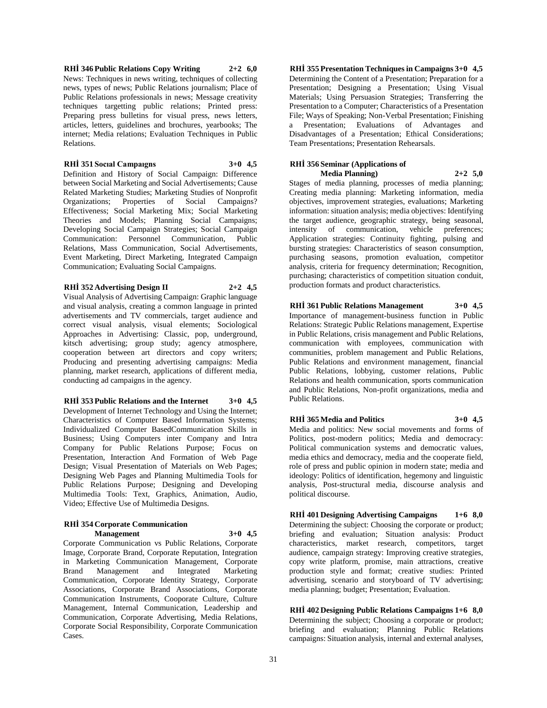**RHİ 346 Public Relations Copy Writing 2+2 6,0** News: Techniques in news writing, techniques of collecting news, types of news; Public Relations journalism; Place of Public Relations professionals in news; Message creativity techniques targetting public relations; Printed press: Preparing press bulletins for visual press, news letters, articles, letters, guidelines and brochures, yearbooks; The internet; Media relations; Evaluation Techniques in Public Relations.

#### **RHİ 351 Socıal Campaıgns 3+0 4,5**

Definition and History of Social Campaign: Difference between Social Marketing and Social Advertisements; Cause Related Marketing Studies; Marketing Studies of Nonprofit Organizations; Properties of Social Campaigns? Effectiveness; Social Marketing Mix; Social Marketing Theories and Models; Planning Social Campaigns; Developing Social Campaign Strategies; Social Campaign Communication: Personnel Communication, Public Relations, Mass Communication, Social Advertisements, Event Marketing, Direct Marketing, Integrated Campaign Communication; Evaluating Social Campaigns.

## **RHİ 352 Advertising Design II 2+2 4,5**

Visual Analysis of Advertising Campaign: Graphic language and visual analysis, creating a common language in printed advertisements and TV commercials, target audience and correct visual analysis, visual elements; Sociological Approaches in Advertising: Classic, pop, underground, kitsch advertising; group study; agency atmosphere, cooperation between art directors and copy writers; Producing and presenting advertising campaigns: Media planning, market research, applications of different media, conducting ad campaigns in the agency.

## **RHİ 353 Public Relations and the Internet 3+0 4,5**

Development of Internet Technology and Using the Internet; Characteristics of Computer Based Information Systems; Individualized Computer BasedCommunication Skills in Business; Using Computers inter Company and Intra Company for Public Relations Purpose; Focus on Presentation, Interaction And Formation of Web Page Design; Visual Presentation of Materials on Web Pages; Designing Web Pages and Planning Multimedia Tools for Public Relations Purpose; Designing and Developing Multimedia Tools: Text, Graphics, Animation, Audio, Video; Effective Use of Multimedia Designs.

#### **RHİ 354 Corporate Communication Management 3+0 4,5**

Corporate Communication vs Public Relations, Corporate Image, Corporate Brand, Corporate Reputation, Integration in Marketing Communication Management, Corporate Brand Management and Integrated Marketing Communication, Corporate Identity Strategy, Corporate Associations, Corporate Brand Associations, Corporate Communication Instruments, Cooporate Culture, Culture Management, Internal Communication, Leadership and Communication, Corporate Advertising, Media Relations, Corporate Social Responsibility, Corporate Communication Cases.

**RHİ 355 Presentation Techniques in Campaigns 3+0 4,5** Determining the Content of a Presentation; Preparation for a Presentation; Designing a Presentation; Using Visual Materials; Using Persuasion Strategies; Transferring the Presentation to a Computer; Characteristics of a Presentation File; Ways of Speaking; Non-Verbal Presentation; Finishing a Presentation; Evaluations of Advantages and Disadvantages of a Presentation; Ethical Considerations; Team Presentations; Presentation Rehearsals.

#### **RHİ 356 Seminar (Applications of Media Planning) 2+2 5,0**

Stages of media planning, processes of media planning; Creating media planning: Marketing information, media objectives, improvement strategies, evaluations; Marketing information: situation analysis; media objectives: Identifying the target audience, geographic strategy, being seasonal, intensity of communication, vehicle preferences; Application strategies: Continuity fighting, pulsing and bursting strategies: Characteristics of season consumption, purchasing seasons, promotion evaluation, competitor analysis, criteria for frequency determination; Recognition, purchasing; characteristics of competition situation conduit, production formats and product characteristics.

## **RHİ 361 Public Relations Management 3+0 4,5**

Importance of management-business function in Public Relations: Strategic Public Relations management, Expertise in Public Relations, crisis management and Public Relations, communication with employees, communication with communities, problem management and Public Relations, Public Relations and environment management, financial Public Relations, lobbying, customer relations, Public Relations and health communication, sports communication and Public Relations, Non-profit organizations, media and Public Relations.

## **RHİ 365 Media and Politics 3+0 4,5**

Media and politics: New social movements and forms of Politics, post-modern politics; Media and democracy: Political communication systems and democratic values, media ethics and democracy, media and the cooperate field, role of press and public opinion in modern state; media and ideology: Politics of identification, hegemony and linguistic analysis, Post-structural media, discourse analysis and political discourse.

## **RHİ 401 Designing Advertising Campaigns 1+6 8,0**

Determining the subject: Choosing the corporate or product; briefing and evaluation; Situation analysis: Product characteristics, market research, competitors, target audience, campaign strategy: Improving creative strategies, copy write platform, promise, main attractions, creative production style and format; creative studies: Printed advertising, scenario and storyboard of TV advertising; media planning; budget; Presentation; Evaluation.

#### **RHİ 402 Designing Public Relations Campaigns 1+6 8,0** Determining the subject; Choosing a corporate or product; briefing and evaluation; Planning Public Relations campaigns: Situation analysis, internal and external analyses,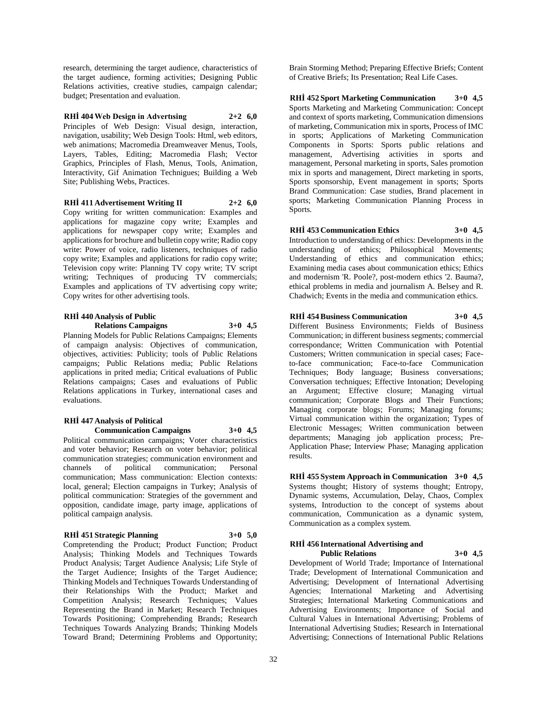research, determining the target audience, characteristics of the target audience, forming activities; Designing Public Relations activities, creative studies, campaign calendar; budget; Presentation and evaluation.

**RHİ 404 Web Design in Advertısing 2+2 6,0** Principles of Web Design: Visual design, interaction, navigation, usability; Web Design Tools: Html, web editors, web animations; Macromedia Dreamweaver Menus, Tools, Layers, Tables, Editing; Macromedia Flash; Vector Graphics, Principles of Flash, Menus, Tools, Animation, Interactivity, Gif Animation Technigues; Building a Web Site; Publishing Webs, Practices.

#### **RHİ 411 Advertisement Writing II 2+2 6,0**

Copy writing for written communication: Examples and applications for magazine copy write; Examples and applications for newspaper copy write; Examples and applications for brochure and bulletin copy write; Radio copy write: Power of voice, radio listeners, techniques of radio copy write; Examples and applications for radio copy write; Television copy write: Planning TV copy write; TV script writing; Techniques of producing TV commercials; Examples and applications of TV advertising copy write; Copy writes for other advertising tools.

## **RHİ 440 Analysis of Public**

**Relations Campaigns 3+0 4,5**

Planning Models for Public Relations Campaigns; Elements of campaign analysis: Objectives of communication, objectives, activities: Publicity; tools of Public Relations campaigns; Public Relations media; Public Relations applications in prited media; Critical evaluations of Public Relations campaigns; Cases and evaluations of Public Relations applications in Turkey, international cases and evaluations.

## **RHİ 447 Analysis of Political**

**Communication Campaigns 3+0 4,5** Political communication campaigns; Voter characteristics and voter behavior; Research on voter behavior; political communication strategies; communication environment and channels of political communication; Personal communication; Mass communication: Election contexts: local, general; Election campaigns in Turkey; Analysis of political communication: Strategies of the government and opposition, candidate image, party image, applications of political campaign analysis.

#### **RHİ 451 Strategic Planning 3+0 5,0**

Compretending the Product; Product Function; Product Analysis; Thinking Models and Techniques Towards Product Analysis; Target Audience Analysis; Life Style of the Target Audience; Insights of the Target Audience; Thinking Models and Techniques Towards Understanding of their Relationships With the Product; Market and Competition Analysis; Research Techniques; Values Representing the Brand in Market; Research Techniques Towards Positioning; Comprehending Brands; Research Techniques Towards Analyzing Brands; Thinking Models Toward Brand; Determining Problems and Opportunity;

Brain Storming Method; Preparing Effective Briefs; Content of Creative Briefs; Its Presentation; Real Life Cases.

**RHİ 452 Sport Marketing Communication 3+0 4,5** Sports Marketing and Marketing Communication: Concept and context of sports marketing, Communication dimensions of marketing, Communication mix in sports, Process of IMC in sports; Applications of Marketing Communication Components in Sports: Sports public relations and management, Advertising activities in sports and management, Personal marketing in sports, Sales promotion mix in sports and management, Direct marketing in sports, Sports sponsorship, Event management in sports; Sports Brand Communication: Case studies, Brand placement in sports; Marketing Communication Planning Process in Sports.

## **RHİ 453 Communication Ethics 3+0 4,5**

Introduction to understanding of ethics: Developments in the understanding of ethics; Philosophical Movements; Understanding of ethics and communication ethics; Examining media cases about communication ethics; Ethics and modernism 'R. Poole?, post-modern ethics '2. Bauma?, ethical problems in media and journalism A. Belsey and R. Chadwich; Events in the media and communication ethics.

#### **RHİ 454 Business Communication 3+0 4,5**

Different Business Environments; Fields of Business Communication; in different business segments; commercial correspondance; Written Communication with Potential Customers; Written communication in special cases; Faceto-face communication; Face-to-face Communication Techniques; Body language; Business conversations; Conversation techniques; Effective Intonation; Developing an Argument; Effective closure; Managing virtual communication; Corporate Blogs and Their Functions; Managing corporate blogs; Forums; Managing forums; Virtual communication within the organization; Types of Electronic Messages; Written communication between departments; Managing job application process; Pre-Application Phase; Interview Phase; Managing application results.

**RHİ 455 System Approach in Communication 3+0 4,5** Systems thought; History of systems thought; Entropy, Dynamic systems, Accumulation, Delay, Chaos, Complex systems, Introduction to the concept of systems about communication, Communication as a dynamic system, Communication as a complex system.

#### **RHİ 456 International Advertising and Public Relations 3+0 4,5**

Development of World Trade; Importance of International Trade; Development of International Communication and Advertising; Development of International Advertising Agencies; International Marketing and Advertising Strategies; International Marketing Communications and Advertising Environments; Importance of Social and Cultural Values in International Advertising; Problems of International Advertising Studies; Research in International Advertising; Connections of International Public Relations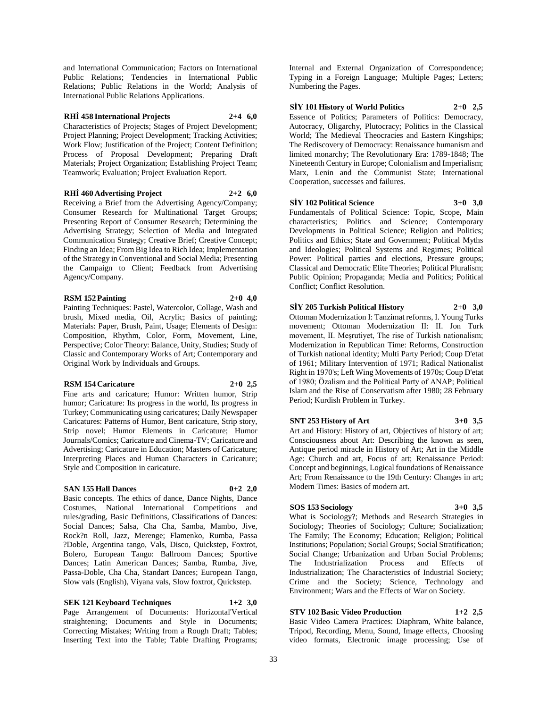and International Communication; Factors on International Public Relations; Tendencies in International Public Relations; Public Relations in the World; Analysis of International Public Relations Applications.

#### **RHİ 458 International Projects 2+4 6,0**

Characteristics of Projects; Stages of Project Development; Project Planning; Project Development; Tracking Activities; Work Flow; Justification of the Project; Content Definition; Process of Proposal Development; Preparing Draft Materials; Project Organization; Establishing Project Team; Teamwork; Evaluation; Project Evaluation Report.

#### **RHİ 460 Advertising Project 2+2 6,0**

Receiving a Brief from the Advertising Agency/Company; Consumer Research for Multinational Target Groups; Presenting Report of Consumer Research; Determining the Advertising Strategy; Selection of Media and Integrated Communication Strategy; Creative Brief; Creative Concept; Finding an Idea; From Big Idea to Rich Idea; Implementation of the Strategy in Conventional and Social Media; Presenting the Campaign to Client; Feedback from Advertising Agency/Company.

#### **RSM 152 Painting 2+0 4,0**

Painting Techniques: Pastel, Watercolor, Collage, Wash and brush, Mixed media, Oil, Acrylic; Basics of painting; Materials: Paper, Brush, Paint, Usage; Elements of Design: Composition, Rhythm, Color, Form, Movement, Line, Perspective; Color Theory: Balance, Unity, Studies; Study of Classic and Contemporary Works of Art; Contemporary and Original Work by Individuals and Groups.

#### **RSM 154 Caricature 2+0 2,5**

Fine arts and caricature; Humor: Written humor, Strip humor; Caricature: Its progress in the world, Its progress in Turkey; Communicating using caricatures; Daily Newspaper Caricatures: Patterns of Humor, Bent caricature, Strip story, Strip novel; Humor Elements in Caricature; Humor Journals/Comics; Caricature and Cinema-TV; Caricature and Advertising; Caricature in Education; Masters of Caricature; Interpreting Places and Human Characters in Caricature; Style and Composition in caricature.

## **SAN 155 Hall Dances 0+2 2,0**

Basic concepts. The ethics of dance, Dance Nights, Dance Costumes, National International Competitions and rules/grading, Basic Definitions, Classifications of Dances: Social Dances; Salsa, Cha Cha, Samba, Mambo, Jive, Rock?n Roll, Jazz, Merenge; Flamenko, Rumba, Passa ?Doble, Argentina tango, Vals, Disco, Quickstep, Foxtrot, Bolero, European Tango: Ballroom Dances; Sportive Dances; Latin American Dances; Samba, Rumba, Jive, Passa-Doble, Cha Cha, Standart Dances; European Tango, Slow vals (English), Viyana vals, Slow foxtrot, Quickstep.

**SEK 121 Keyboard Techniques 1+2 3,0** Page Arrangement of Documents: Horizontal'Vertical straightening; Documents and Style in Documents; Correcting Mistakes; Writing from a Rough Draft; Tables; Inserting Text into the Table; Table Drafting Programs;

Internal and External Organization of Correspondence; Typing in a Foreign Language; Multiple Pages; Letters; Numbering the Pages.

## **SİY 101 History of World Politics 2+0 2,5**

Essence of Politics; Parameters of Politics: Democracy, Autocracy, Oligarchy, Plutocracy; Politics in the Classical World; The Medieval Theocracies and Eastern Kingships; The Rediscovery of Democracy: Renaissance humanism and limited monarchy; The Revolutionary Era: 1789-1848; The Nineteenth Century in Europe; Colonialism and Imperialism; Marx, Lenin and the Communist State; International Cooperation, successes and failures.

## **SİY 102 Political Science 3+0 3,0**

Fundamentals of Political Science: Topic, Scope, Main characteristics; Politics and Science; Contemporary Developments in Political Science; Religion and Politics; Politics and Ethics; State and Government; Political Myths and Ideologies; Political Systems and Regimes; Political Power: Political parties and elections, Pressure groups; Classical and Democratic Elite Theories; Political Pluralism; Public Opinion; Propaganda; Media and Politics; Political Conflict; Conflict Resolution.

## **SİY 205 Turkish Political History 2+0 3,0**

Ottoman Modernization I: Tanzimat reforms, I. Young Turks movement; Ottoman Modernization II: II. Jon Turk movement, II. Meşrutiyet, The rise of Turkish nationalism; Modernization in Republican Time: Reforms, Construction of Turkish national identity; Multi Party Period; Coup D'etat of 1961; Military Intervention of 1971; Radical Nationalist Right in 1970's; Left Wing Movements of 1970s; Coup D'etat of 1980; Özalism and the Political Party of ANAP; Political Islam and the Rise of Conservatism after 1980; 28 February Period; Kurdish Problem in Turkey.

## **SNT 253 History of Art 3+0 3,5**

Art and History: History of art, Objectives of history of art; Consciousness about Art: Describing the known as seen, Antique period miracle in History of Art; Art in the Middle Age: Church and art, Focus of art; Renaissance Period: Concept and beginnings, Logical foundations of Renaissance Art; From Renaissance to the 19th Century: Changes in art; Modern Times: Basics of modern art.

## **SOS 153 Sociology 3+0 3,5**

What is Sociology?; Methods and Research Strategies in Sociology; Theories of Sociology; Culture; Socialization; The Family; The Economy; Education; Religion; Political Institutions; Population; Social Groups; Social Stratification; Social Change; Urbanization and Urban Social Problems; The Industrialization Process and Effects of Industrialization; The Characteristics of Industrial Society; Crime and the Society; Science, Technology and Environment; Wars and the Effects of War on Society.

## **STV 102 Basic Video Production 1+2 2,5**

Basic Video Camera Practices: Diaphram, White balance, Tripod, Recording, Menu, Sound, Image effects, Choosing video formats, Electronic image processing; Use of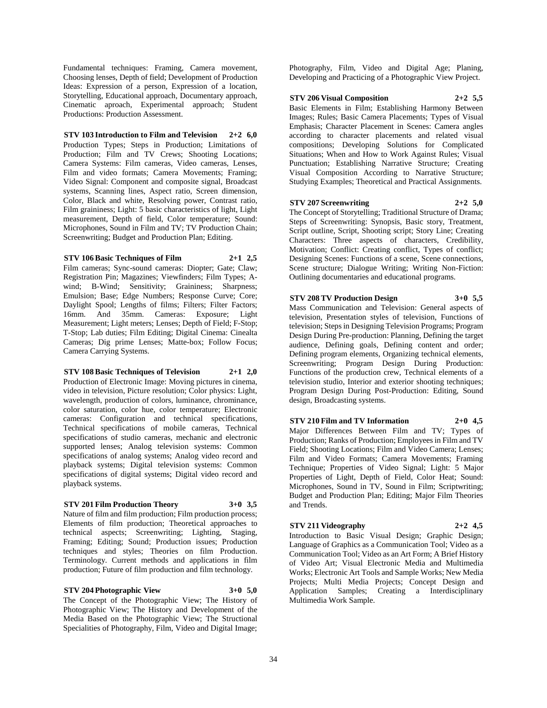Fundamental techniques: Framing, Camera movement, Choosing lenses, Depth of field; Development of Production Ideas: Expression of a person, Expression of a location, Storytelling, Educational approach, Documentary approach, Cinematic aproach, Experimental approach; Student Productions: Production Assessment.

## **STV 103 Introduction to Film and Television 2+2 6,0**

Production Types; Steps in Production; Limitations of Production; Film and TV Crews; Shooting Locations; Camera Systems: Film cameras, Video cameras, Lenses, Film and video formats; Camera Movements; Framing; Video Signal: Component and composite signal, Broadcast systems, Scanning lines, Aspect ratio, Screen dimension, Color, Black and white, Resolving power, Contrast ratio, Film graininess; Light: 5 basic characteristics of light, Light measurement, Depth of field, Color temperature; Sound: Microphones, Sound in Film and TV; TV Production Chain; Screenwriting; Budget and Production Plan; Editing.

### **STV 106 Basic Techniques of Film 2+1 2,5**

Film cameras; Sync-sound cameras: Diopter; Gate; Claw; Registration Pin; Magazines; Viewfinders; Film Types; Awind; B-Wind; Sensitivity; Graininess; Sharpness; Emulsion; Base; Edge Numbers; Response Curve; Core; Daylight Spool; Lengths of films; Filters; Filter Factors; 16mm. And 35mm. Cameras: Exposure; Light Measurement; Light meters; Lenses; Depth of Field; F-Stop; T-Stop; Lab duties; Film Editing; Digital Cinema: Cinealta Cameras; Dig prime Lenses; Matte-box; Follow Focus; Camera Carrying Systems.

## **STV 108 Basic Techniques of Television 2+1 2,0**

Production of Electronic Image: Moving pictures in cinema, video in television, Picture resolution; Color physics: Light, wavelength, production of colors, luminance, chrominance, color saturation, color hue, color temperature; Electronic cameras: Configuration and technical specifications, Technical specifications of mobile cameras, Technical specifications of studio cameras, mechanic and electronic supported lenses; Analog television systems: Common specifications of analog systems; Analog video record and playback systems; Digital television systems: Common specifications of digital systems; Digital video record and playback systems.

## **STV 201 Film Production Theory 3+0 3,5**

Nature of film and film production; Film production process; Elements of film production; Theoretical approaches to technical aspects; Screenwriting; Lighting, Staging, Framing; Editing; Sound; Production issues; Production techniques and styles; Theories on film Production. Terminology. Current methods and applications in film production; Future of film production and film technology.

#### **STV 204 Photographic View 3+0 5,0** The Concept of the Photographic View; The History of Photographic View; The History and Development of the Media Based on the Photographic View; The Structional

Specialities of Photography, Film, Video and Digital Image;

Photography, Film, Video and Digital Age; Planing, Developing and Practicing of a Photographic View Project.

## **STV 206 Visual Composition 2+2 5,5**

Basic Elements in Film; Establishing Harmony Between Images; Rules; Basic Camera Placements; Types of Visual Emphasis; Character Placement in Scenes: Camera angles according to character placements and related visual compositions; Developing Solutions for Complicated Situations; When and How to Work Against Rules; Visual Punctuation; Establishing Narrative Structure; Creating Visual Composition According to Narrative Structure; Studying Examples; Theoretical and Practical Assignments.

#### **STV 207 Screenwriting 2+2 5,0**

The Concept of Storytelling; Traditional Structure of Drama; Steps of Screenwriting: Synopsis, Basic story, Treatment, Script outline, Script, Shooting script; Story Line; Creating Characters: Three aspects of characters, Credibility, Motivation; Conflict: Creating conflict, Types of conflict; Designing Scenes: Functions of a scene, Scene connections, Scene structure; Dialogue Writing; Writing Non-Fiction: Outlining documentaries and educational programs.

## **STV 208 TV Production Design 3+0 5,5**

Mass Communication and Television: General aspects of television, Presentation styles of television, Functions of television; Steps in Designing Television Programs; Program Design During Pre-production: Planning, Defining the target audience, Defining goals, Defining content and order; Defining program elements, Organizing technical elements, Screenwriting; Program Design During Production: Functions of the production crew, Technical elements of a television studio, Interior and exterior shooting techniques; Program Design During Post-Production: Editing, Sound design, Broadcasting systems.

## **STV 210 Film and TV Information 2+0 4,5**

Major Differences Between Film and TV; Types of Production; Ranks of Production; Employees in Film and TV Field; Shooting Locations; Film and Video Camera; Lenses; Film and Video Formats; Camera Movements; Framing Technique; Properties of Video Signal; Light: 5 Major Properties of Light, Depth of Field, Color Heat; Sound: Microphones, Sound in TV, Sound in Film; Scriptwriting; Budget and Production Plan; Editing; Major Film Theories and Trends.

## **STV 211 Videography 2+2 4,5**

Introduction to Basic Visual Design; Graphic Design; Language of Graphics as a Communication Tool; Video as a Communication Tool; Video as an Art Form; A Brief History of Video Art; Visual Electronic Media and Multimedia Works; Electronic Art Tools and Sample Works; New Media Projects; Multi Media Projects; Concept Design and Application Samples; Creating a Interdisciplinary Multimedia Work Sample.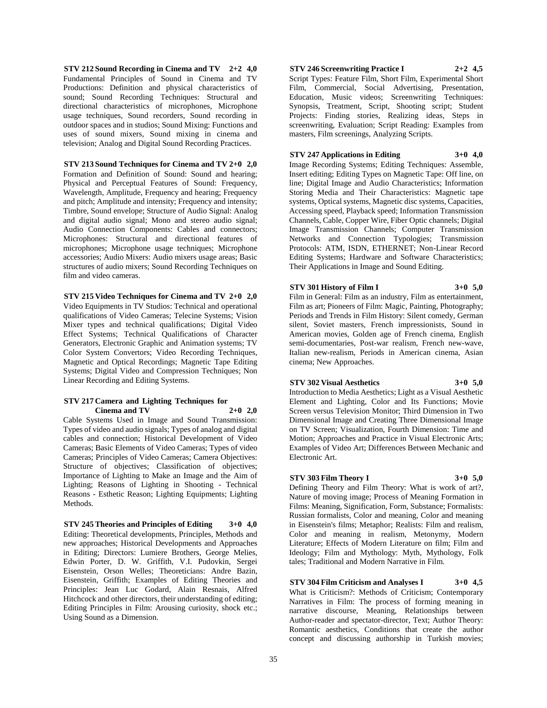**STV 212 Sound Recording in Cinema and TV 2+2 4,0** Fundamental Principles of Sound in Cinema and TV Productions: Definition and physical characteristics of sound; Sound Recording Techniques: Structural and directional characteristics of microphones, Microphone usage techniques, Sound recorders, Sound recording in outdoor spaces and in studios; Sound Mixing: Functions and uses of sound mixers, Sound mixing in cinema and television; Analog and Digital Sound Recording Practices.

**STV 213 Sound Techniques for Cinema and TV 2+0 2,0** Formation and Definition of Sound: Sound and hearing; Physical and Perceptual Features of Sound: Frequency, Wavelength, Amplitude, Frequency and hearing; Frequency and pitch; Amplitude and intensity; Frequency and intensity; Timbre, Sound envelope; Structure of Audio Signal: Analog and digital audio signal; Mono and stereo audio signal; Audio Connection Components: Cables and connectors; Microphones: Structural and directional features of microphones; Microphone usage techniques; Microphone accessories; Audio Mixers: Audio mixers usage areas; Basic structures of audio mixers; Sound Recording Techniques on film and video cameras.

**STV 215 Video Techniques for Cinema and TV 2+0 2,0** Video Equipments in TV Studios: Technical and operational qualifications of Video Cameras; Telecine Systems; Vision Mixer types and technical qualifications; Digital Video Effect Systems; Technical Qualifications of Character Generators, Electronic Graphic and Animation systems; TV Color System Convertors; Video Recording Techniques, Magnetic and Optical Recordings; Magnetic Tape Editing Systems; Digital Video and Compression Techniques; Non Linear Recording and Editing Systems.

#### **STV 217 Camera and Lighting Techniques for Cinema and TV 2+0 2,0**

Cable Systems Used in Image and Sound Transmission: Types of video and audio signals; Types of analog and digital cables and connection; Historical Development of Video Cameras; Basic Elements of Video Cameras; Types of video Cameras; Principles of Video Cameras; Camera Objectives: Structure of objectives; Classification of objectives; Importance of Lighting to Make an Image and the Aim of Lighting; Reasons of Lighting in Shooting - Technical Reasons - Esthetic Reason; Lighting Equipments; Lighting Methods.

**STV 245 Theories and Principles of Editing 3+0 4,0** Editing: Theoretical developments, Principles, Methods and new approaches; Historical Developments and Approaches in Editing; Directors: Lumiere Brothers, George Melies, Edwin Porter, D. W. Griffith, V.I. Pudovkin, Sergei Eisenstein, Orson Welles; Theoreticians: Andre Bazin, Eisenstein, Griffith; Examples of Editing Theories and Principles: Jean Luc Godard, Alain Resnais, Alfred Hitchcock and other directors, their understanding of editing; Editing Principles in Film: Arousing curiosity, shock etc.; Using Sound as a Dimension.

#### **STV 246 Screenwriting Practice I 2+2 4,5**

Script Types: Feature Film, Short Film, Experimental Short Film, Commercial, Social Advertising, Presentation, Education, Music videos; Screenwriting Techniques: Synopsis, Treatment, Script, Shooting script; Student Projects: Finding stories, Realizing ideas, Steps in screenwriting, Evaluation; Script Reading: Examples from masters, Film screenings, Analyzing Scripts.

#### **STV 247 Applications in Editing 3+0 4,0**

Image Recording Systems; Editing Techniques: Assemble, Insert editing; Editing Types on Magnetic Tape: Off line, on line; Digital Image and Audio Characteristics; Information Storing Media and Their Characteristics: Magnetic tape systems, Optical systems, Magnetic disc systems, Capacities, Accessing speed, Playback speed; Information Transmission Channels, Cable, Copper Wire, Fiber Optic channels; Digital Image Transmission Channels; Computer Transmission Networks and Connection Typologies; Transmission Protocols: ATM, ISDN, ETHERNET; Non-Linear Record Editing Systems; Hardware and Software Characteristics; Their Applications in Image and Sound Editing.

#### **STV 301 History of Film I 3+0 5,0**

Film in General: Film as an industry, Film as entertainment, Film as art; Pioneers of Film: Magic, Painting, Photography; Periods and Trends in Film History: Silent comedy, German silent, Soviet masters, French impressionists, Sound in American movies, Golden age of French cinema, English semi-documentaries, Post-war realism, French new-wave, Italian new-realism, Periods in American cinema, Asian cinema; New Approaches.

## **STV 302 Visual Aesthetics 3+0 5,0**

Introduction to Media Aesthetics; Light as a Visual Aesthetic Element and Lighting, Color and Its Functions; Movie Screen versus Television Monitor; Third Dimension in Two Dimensional Image and Creating Three Dimensional Image on TV Screen; Visualization, Fourth Dimension: Time and Motion; Approaches and Practice in Visual Electronic Arts; Examples of Video Art; Differences Between Mechanic and Electronic Art.

## **STV 303 Film Theory I 3+0 5,0**

Defining Theory and Film Theory: What is work of art?, Nature of moving image; Process of Meaning Formation in Films: Meaning, Signification, Form, Substance; Formalists: Russian formalists, Color and meaning, Color and meaning in Eisenstein's films; Metaphor; Realists: Film and realism, Color and meaning in realism, Metonymy, Modern Literature; Effects of Modern Literature on film; Film and Ideology; Film and Mythology: Myth, Mythology, Folk tales; Traditional and Modern Narrative in Film.

## **STV 304 Film Criticism and Analyses I 3+0 4,5**

What is Criticism?: Methods of Criticism; Contemporary Narratives in Film: The process of forming meaning in narrative discourse, Meaning, Relationships between Author-reader and spectator-director, Text; Author Theory: Romantic aesthetics, Conditions that create the author concept and discussing authorship in Turkish movies;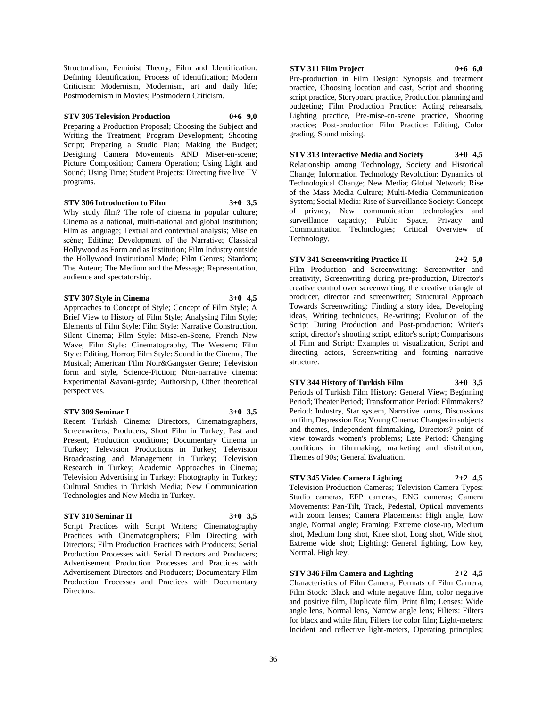Structuralism, Feminist Theory; Film and Identification: Defining Identification, Process of identification; Modern Criticism: Modernism, Modernism, art and daily life; Postmodernism in Movies; Postmodern Criticism.

**STV 305 Television Production 0+6 9,0** Preparing a Production Proposal; Choosing the Subject and Writing the Treatment; Program Development; Shooting Script; Preparing a Studio Plan; Making the Budget; Designing Camera Movements AND Miser-en-scene; Picture Composition; Camera Operation; Using Light and Sound; Using Time; Student Projects: Directing five live TV programs.

#### **STV 306 Introduction to Film 3+0 3,5**

Why study film? The role of cinema in popular culture; Cinema as a national, multi-national and global institution; Film as language; Textual and contextual analysis; Mise en scène; Editing; Development of the Narrative; Classical Hollywood as Form and as Institution; Film Industry outside the Hollywood Institutional Mode; Film Genres; Stardom; The Auteur; The Medium and the Message; Representation, audience and spectatorship.

### **STV 307 Style in Cinema 3+0 4,5**

Approaches to Concept of Style; Concept of Film Style; A Brief View to History of Film Style; Analysing Film Style; Elements of Film Style; Film Style: Narrative Construction, Silent Cinema; Film Style: Mise-en-Scene, French New Wave; Film Style: Cinematography, The Western; Film Style: Editing, Horror; Film Style: Sound in the Cinema, The Musical; American Film Noir&Gangster Genre; Television form and style, Science-Fiction; Non-narrative cinema: Experimental &avant-garde; Authorship, Other theoretical perspectives.

#### **STV 309 Seminar I 3+0 3,5**

Recent Turkish Cinema: Directors, Cinematographers, Screenwriters, Producers; Short Film in Turkey; Past and Present, Production conditions; Documentary Cinema in Turkey; Television Productions in Turkey; Television Broadcasting and Management in Turkey; Television Research in Turkey; Academic Approaches in Cinema; Television Advertising in Turkey; Photography in Turkey; Cultural Studies in Turkish Media; New Communication Technologies and New Media in Turkey.

#### **STV 310 Seminar II 3+0 3,5**

Script Practices with Script Writers; Cinematography Practices with Cinematographers; Film Directing with Directors; Film Production Practices with Producers; Serial Production Processes with Serial Directors and Producers; Advertisement Production Processes and Practices with Advertisement Directors and Producers; Documentary Film Production Processes and Practices with Documentary Directors.

#### **STV 311 Film Project 0+6 6,0**

Pre-production in Film Design: Synopsis and treatment practice, Choosing location and cast, Script and shooting script practice, Storyboard practice, Production planning and budgeting; Film Production Practice: Acting rehearsals, Lighting practice, Pre-mise-en-scene practice, Shooting practice; Post-production Film Practice: Editing, Color grading, Sound mixing.

#### **STV 313 Interactive Media and Society 3+0 4,5**

Relationship among Technology, Society and Historical Change; Information Technology Revolution: Dynamics of Technological Change; New Media; Global Network; Rise of the Mass Media Culture; Multi-Media Communication System; Social Media: Rise of Surveillance Society: Concept of privacy, New communication technologies and surveillance capacity; Public Space, Privacy and Communication Technologies; Critical Overview of Technology.

#### **STV 341 Screenwriting Practice II 2+2 5,0**

Film Production and Screenwriting: Screenwriter and creativity, Screenwriting during pre-production, Director's creative control over screenwriting, the creative triangle of producer, director and screenwriter; Structural Approach Towards Screenwriting: Finding a story idea, Developing ideas, Writing techniques, Re-writing; Evolution of the Script During Production and Post-production: Writer's script, director's shooting script, editor's script; Comparisons of Film and Script: Examples of visualization, Script and directing actors, Screenwriting and forming narrative structure.

#### **STV 344 History of Turkish Film 3+0 3,5**

Periods of Turkish Film History: General View; Beginning Period; Theater Period; Transformation Period; Filmmakers? Period: Industry, Star system, Narrative forms, Discussions on film, Depression Era; Young Cinema: Changes in subjects and themes, Independent filmmaking, Directors? point of view towards women's problems; Late Period: Changing conditions in filmmaking, marketing and distribution, Themes of 90s; General Evaluation.

## **STV 345 Video Camera Lighting 2+2 4,5**

Television Production Cameras; Television Camera Types: Studio cameras, EFP cameras, ENG cameras; Camera Movements: Pan-Tilt, Track, Pedestal, Optical movements with zoom lenses; Camera Placements: High angle, Low angle, Normal angle; Framing: Extreme close-up, Medium shot, Medium long shot, Knee shot, Long shot, Wide shot, Extreme wide shot; Lighting: General lighting, Low key, Normal, High key.

**STV 346 Film Camera and Lighting 2+2 4,5** Characteristics of Film Camera; Formats of Film Camera; Film Stock: Black and white negative film, color negative and positive film, Duplicate film, Print film; Lenses: Wide angle lens, Normal lens, Narrow angle lens; Filters: Filters for black and white film, Filters for color film; Light-meters:

Incident and reflective light-meters, Operating principles;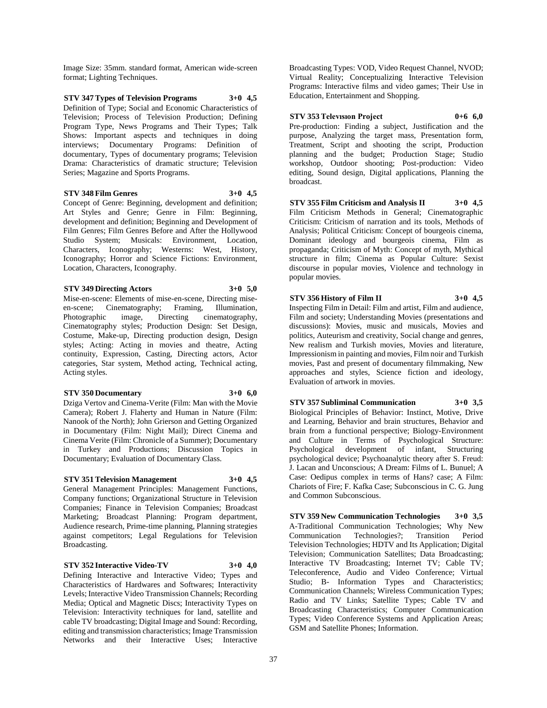Image Size: 35mm. standard format, American wide-screen format; Lighting Techniques.

**STV 347 Types of Television Programs 3+0 4,5** Definition of Type; Social and Economic Characteristics of Television; Process of Television Production; Defining Program Type, News Programs and Their Types; Talk Shows: Important aspects and techniques in doing interviews; Documentary Programs: Definition of documentary, Types of documentary programs; Television Drama: Characteristics of dramatic structure; Television Series; Magazine and Sports Programs.

#### **STV 348 Film Genres 3+0 4,5**

Concept of Genre: Beginning, development and definition; Art Styles and Genre; Genre in Film: Beginning, development and definition; Beginning and Development of Film Genres; Film Genres Before and After the Hollywood Studio System; Musicals: Environment, Location, Characters, Iconography; Westerns: West, History, Iconography; Horror and Science Fictions: Environment, Location, Characters, Iconography.

#### **STV 349 Directing Actors 3+0 5,0**

Mise-en-scene: Elements of mise-en-scene, Directing miseen-scene; Cinematography; Framing, Illumination, Photographic image, Directing cinematography, Cinematography styles; Production Design: Set Design, Costume, Make-up, Directing production design, Design styles; Acting: Acting in movies and theatre, Acting continuity, Expression, Casting, Directing actors, Actor categories, Star system, Method acting, Technical acting, Acting styles.

#### **STV 350 Documentary 3+0 6,0**

Dziga Vertov and Cinema-Verite (Film: Man with the Movie Camera); Robert J. Flaherty and Human in Nature (Film: Nanook of the North); John Grierson and Getting Organized in Documentary (Film: Night Mail); Direct Cinema and Cinema Verite (Film: Chronicle of a Summer); Documentary in Turkey and Productions; Discussion Topics in Documentary; Evaluation of Documentary Class.

## **STV 351 Television Management 3+0 4,5**

General Management Principles: Management Functions, Company functions; Organizational Structure in Television Companies; Finance in Television Companies; Broadcast Marketing; Broadcast Planning: Program department, Audience research, Prime-time planning, Planning strategies against competitors; Legal Regulations for Television Broadcasting.

#### **STV 352 Interactive Video-TV 3+0 4,0**

Defining Interactive and Interactive Video; Types and Characteristics of Hardwares and Softwares; Interactivity Levels; Interactive Video Transmission Channels; Recording Media; Optical and Magnetic Discs; Interactivity Types on Television: Interactivity techniques for land, satellite and cable TV broadcasting; Digital Image and Sound: Recording, editing and transmission characteristics; Image Transmission Networks and their Interactive Uses; Interactive

Broadcasting Types: VOD, Video Request Channel, NVOD; Virtual Reality; Conceptualizing Interactive Television Programs: Interactive films and video games; Their Use in Education, Entertainment and Shopping.

#### **STV 353 Televısıon Project 0+6 6,0**

Pre-production: Finding a subject, Justification and the purpose, Analyzing the target mass, Presentation form, Treatment, Script and shooting the script, Production planning and the budget; Production Stage; Studio workshop, Outdoor shooting; Post-production: Video editing, Sound design, Digital applications, Planning the broadcast.

**STV 355 Film Criticism and Analysis II 3+0 4,5** Film Criticism Methods in General; Cinematographic Criticism: Criticism of narration and its tools, Methods of Analysis; Political Criticism: Concept of bourgeois cinema, Dominant ideology and bourgeois cinema, Film as propaganda; Criticism of Myth: Concept of myth, Mythical structure in film; Cinema as Popular Culture: Sexist discourse in popular movies, Violence and technology in popular movies.

#### **STV 356 History of Film II 3+0 4,5**

Inspecting Film in Detail: Film and artist, Film and audience, Film and society; Understanding Movies (presentations and discussions): Movies, music and musicals, Movies and politics, Auteurism and creativity, Social change and genres, New realism and Turkish movies, Movies and literature, Impressionism in painting and movies, Film noir and Turkish movies, Past and present of documentary filmmaking, New approaches and styles, Science fiction and ideology, Evaluation of artwork in movies.

**STV 357 Subliminal Communication 3+0 3,5** Biological Principles of Behavior: Instinct, Motive, Drive and Learning, Behavior and brain structures, Behavior and brain from a functional perspective; Biology-Environment and Culture in Terms of Psychological Structure: Psychological development of infant, Structuring

psychological device; Psychoanalytic theory after S. Freud: J. Lacan and Unconscious; A Dream: Films of L. Bunuel; A Case: Oedipus complex in terms of Hans? case; A Film: Chariots of Fire; F. Kafka Case; Subconscious in C. G. Jung and Common Subconscious.

**STV 359 New Communication Technologies 3+0 3,5** A-Traditional Communication Technologies; Why New Communication Technologies?; Transition Period Television Technologies; HDTV and Its Application; Digital Television; Communication Satellites; Data Broadcasting; Interactive TV Broadcasting; Internet TV; Cable TV; Teleconference, Audio and Video Conference; Virtual Studio; B- Information Types and Characteristics; Communication Channels; Wireless Communication Types; Radio and TV Links; Satellite Types; Cable TV and Broadcasting Characteristics; Computer Communication Types; Video Conference Systems and Application Areas; GSM and Satellite Phones; Information.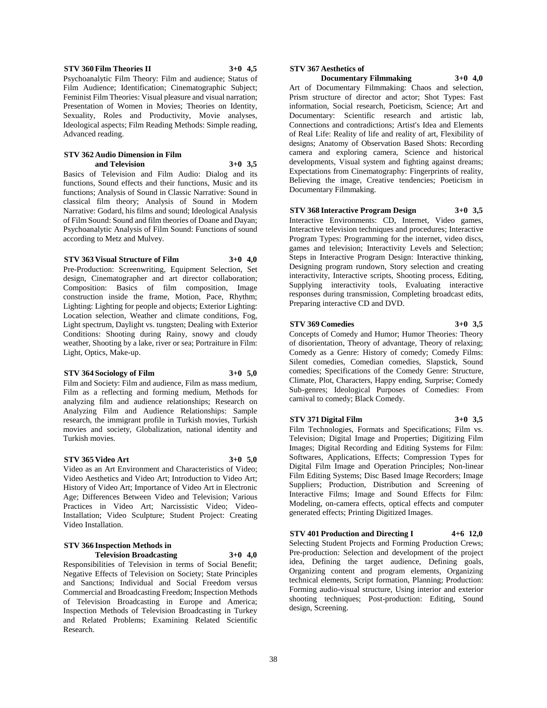Basics of Television and Film Audio: Dialog and its functions, Sound effects and their functions, Music and its functions; Analysis of Sound in Classic Narrative: Sound in classical film theory; Analysis of Sound in Modern Narrative: Godard, his films and sound; Ideological Analysis of Film Sound: Sound and film theories of Doane and Dayan; Psychoanalytic Analysis of Film Sound: Functions of sound according to Metz and Mulvey.

**and Television 3+0 3,5**

**STV 360 Film Theories II 3+0 4,5** Psychoanalytic Film Theory: Film and audience; Status of Film Audience; Identification; Cinematographic Subject; Feminist Film Theories: Visual pleasure and visual narration; Presentation of Women in Movies; Theories on Identity, Sexuality, Roles and Productivity, Movie analyses, Ideological aspects; Film Reading Methods: Simple reading,

## **STV 363 Visual Structure of Film 3+0 4,0**

**STV 362 Audio Dimension in Film** 

Advanced reading.

Pre-Production: Screenwriting, Equipment Selection, Set design, Cinematographer and art director collaboration; Composition: Basics of film composition, Image construction inside the frame, Motion, Pace, Rhythm; Lighting: Lighting for people and objects; Exterior Lighting: Location selection, Weather and climate conditions, Fog, Light spectrum, Daylight vs. tungsten; Dealing with Exterior Conditions: Shooting during Rainy, snowy and cloudy weather, Shooting by a lake, river or sea; Portraiture in Film: Light, Optics, Make-up.

## **STV 364 Sociology of Film 3+0 5,0**

Film and Society: Film and audience, Film as mass medium, Film as a reflecting and forming medium, Methods for analyzing film and audience relationships; Research on Analyzing Film and Audience Relationships: Sample research, the immigrant profile in Turkish movies, Turkish movies and society, Globalization, national identity and Turkish movies.

#### **STV 365 Video Art 3+0 5,0**

Video as an Art Environment and Characteristics of Video; Video Aesthetics and Video Art; Introduction to Video Art; History of Video Art; Importance of Video Art in Electronic Age; Differences Between Video and Television; Various Practices in Video Art; Narcissistic Video; Video-Installation; Video Sculpture; Student Project: Creating Video Installation.

#### **STV 366 Inspection Methods in Television Broadcasting 3+0 4,0**

Responsibilities of Television in terms of Social Benefit; Negative Effects of Television on Society; State Principles and Sanctions; Individual and Social Freedom versus Commercial and Broadcasting Freedom; Inspection Methods of Television Broadcasting in Europe and America; Inspection Methods of Television Broadcasting in Turkey and Related Problems; Examining Related Scientific Research.

#### **STV 367 Aesthetics of**

## **Documentary Filmmaking 3+0 4,0**

Art of Documentary Filmmaking: Chaos and selection, Prism structure of director and actor; Shot Types: Fast information, Social research, Poeticism, Science; Art and Documentary: Scientific research and artistic lab, Connections and contradictions; Artist's Idea and Elements of Real Life: Reality of life and reality of art, Flexibility of designs; Anatomy of Observation Based Shots: Recording camera and exploring camera, Science and historical developments, Visual system and fighting against dreams; Expectations from Cinematography: Fingerprints of reality, Believing the image, Creative tendencies; Poeticism in Documentary Filmmaking.

#### **STV 368 Interactive Program Design 3+0 3,5**

Interactive Environments: CD, Internet, Video games, Interactive television techniques and procedures; Interactive Program Types: Programming for the internet, video discs, games and television; Interactivity Levels and Selection; Steps in Interactive Program Design: Interactive thinking, Designing program rundown, Story selection and creating interactivity, Interactive scripts, Shooting process, Editing, Supplying interactivity tools, Evaluating interactive responses during transmission, Completing broadcast edits, Preparing interactive CD and DVD.

#### **STV 369 Comedies 3+0 3,5**

Concepts of Comedy and Humor; Humor Theories: Theory of disorientation, Theory of advantage, Theory of relaxing; Comedy as a Genre: History of comedy; Comedy Films: Silent comedies, Comedian comedies, Slapstick, Sound comedies; Specifications of the Comedy Genre: Structure, Climate, Plot, Characters, Happy ending, Surprise; Comedy Sub-genres; Ideological Purposes of Comedies: From carnival to comedy; Black Comedy.

#### **STV 371 Digital Film 3+0 3,5**

Film Technologies, Formats and Specifications; Film vs. Television; Digital Image and Properties; Digitizing Film Images; Digital Recording and Editing Systems for Film: Softwares, Applications, Effects; Compression Types for Digital Film Image and Operation Principles; Non-linear Film Editing Systems; Disc Based Image Recorders; Image Suppliers; Production, Distribution and Screening of Interactive Films; Image and Sound Effects for Film: Modeling, on-camera effects, optical effects and computer generated effects; Printing Digitized Images.

**STV 401 Production and Directing I 4+6 12,0** Selecting Student Projects and Forming Production Crews; Pre-production: Selection and development of the project idea, Defining the target audience, Defining goals, Organizing content and program elements, Organizing technical elements, Script formation, Planning; Production: Forming audio-visual structure, Using interior and exterior shooting techniques; Post-production: Editing, Sound design, Screening.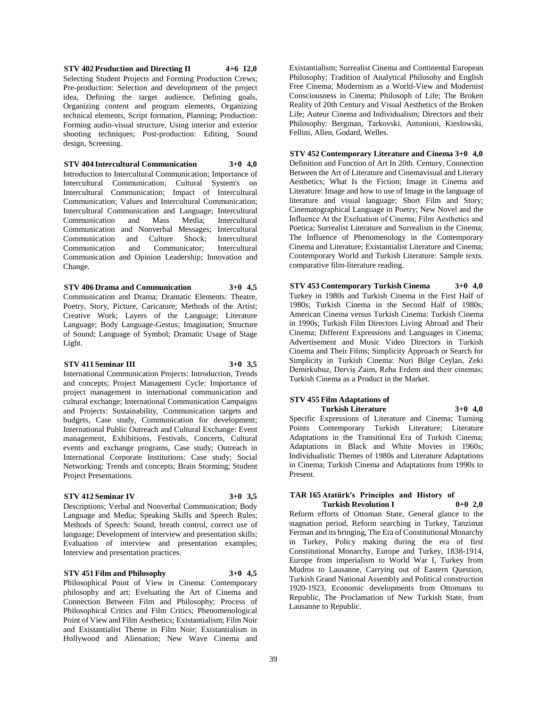**STV 402 Production and Directing II 4+6 12,0** Selecting Student Projects and Forming Production Crews; Pre-production: Selection and development of the project idea, Defining the target audience, Defining goals, Organizing content and program elements, Organizing technical elements, Script formation, Planning; Production: Forming audio-visual structure, Using interior and exterior shooting techniques; Post-production: Editing, Sound design, Screening.

**STV 404 Intercultural Communication 3+0 4,0** Introduction to Intercultural Communication; Importance of Intercultural Communication; Cultural System's on Intercultural Communication; Impact of Intercultural Communication; Values and Intercultural Communication; Intercultural Communication and Language; Intercultural Communication and Mass Media; Intercultural Communication and Nonverbal Messages; Intercultural Communication and Culture Shock; Intercultural Communication and Communicator; Intercultural Communication and Opinion Leadership; Innovation and Change.

**STV 406 Drama and Communication 3+0 4,5** Communication and Drama; Dramatic Elements: Theatre, Poetry, Story, Picture, Caricature; Methods of the Artist; Creative Work; Layers of the Language; Literature Language; Body Language-Gestus; Imagination; Structure of Sound; Language of Symbol; Dramatic Usage of Stage Light.

#### **STV 411 Seminar III 3+0 3,5**

International Communication Projects: Introduction, Trends and concepts; Project Management Cycle: Importance of project management in international communication and cultural exchange; International Communication Campaigns and Projects: Sustainability, Communication targets and budgets, Case study, Communication for development; International Public Outreach and Cultural Exchange: Event management, Exhibitions, Festivals, Concerts, Cultural events and exchange programs, Case study; Outreach in International Corporate Institutions: Case study; Social Networking: Trends and concepts; Brain Storming; Student Project Presentations.

#### **STV 412 Seminar IV 3+0 3,5**

Descriptions; Verbal and Nonverbal Communication; Body Language and Media; Speaking Skills and Speech Rules; Methods of Speech: Sound, breath control, correct use of language; Development of interview and presentation skills; Evaluation of interview and presentation examples; Interview and presentation practices.

#### **STV 451 Film and Philosophy 3+0 4,5**

Philosophical Point of View in Cinema: Contemporary philosophy and art; Eveluating the Art of Cinema and Connection Between Film and Philosophy; Process of Philosophical Critics and Film Critics; Phenomenological Point of View and Film Aesthetics; Existantialism; Film Noir and Existantialist Theme in Film Noir; Existantialism in Hollywood and Alienation; New Wave Cinema and

Existantialism; Surrealist Cinema and Continental European Philosophy; Tradition of Analytical Philosohy and English Free Cinema; Modernism as a World-View and Modernist Consciousness in Cinema; Philosoph of Life; The Broken Reality of 20th Century and Visual Aesthetics of the Broken Life; Auteur Cinema and Individualism; Directors and their Philosophy: Bergman, Tarkovski, Antonioni, Kieslowski, Fellini, Allen, Godard, Welles.

#### **STV 452 Contemporary Literature and Cinema 3+0 4,0**

Definition and Function of Art In 20th. Century, Connection Between the Art of Literature and Cinemavisual and Literary Aesthetics; What Is the Fiction; Image in Cinema and Literature: Image and how to use of Image in the language of literature and visual language; Short Film and Story; Cinematographical Language in Poetry; New Novel and the İnfluence At the Exeluation of Cinema; Film Aesthetics and Poetica; Surrealist Literature and Surrealism in the Cinema; The Influence of Phenomenology in the Contemporary Cinema and Literature; Existantialist Literature and Cinema; Contemporary World and Turkish Literature: Sample texts. comparative film-literature reading.

**STV 453 Contemporary Turkish Cinema 3+0 4,0** Turkey in 1980s and Turkish Cinema in the First Half of 1980s; Turkish Cinema in the Second Half of 1980s; American Cinema versus Turkish Cinema: Turkish Cinema in 1990s; Turkish Film Directors Living Abroad and Their Cinema; Different Expressions and Languages in Cinema; Advertisement and Music Video Directors in Turkish Cinema and Their Films; Simplicity Approach or Search for Simplicity in Turkish Cinema: Nuri Bilge Ceylan, Zeki Demirkubuz, Derviş Zaim, Reha Erdem and their cinemas; Turkish Cinema as a Product in the Market.

#### **STV 455 Film Adaptations of Turkish Literature 3+0 4,0**

Specific Expressions of Literature and Cinema; Turning Points Contemporary Turkish Literature; Literature Adaptations in the Transitional Era of Turkish Cinema; Adaptations in Black and White Movies in 1960s; Individualistic Themes of 1980s and Literature Adaptations in Cinema; Turkish Cinema and Adaptations from 1990s to Present.

#### **TAR 165 Atatürk's Principles and History of Turkish Revolution I 0+0 2,0**

Reform efforts of Ottoman State, General glance to the stagnation period, Reform searching in Turkey, Tanzimat Ferman and its bringing, The Era of Constitutional Monarchy in Turkey, Policy making during the era of first Constitutional Monarchy, Europe and Turkey, 1838-1914, Europe from imperialism to World War I, Turkey from Mudros to Lausanne, Carrying out of Eastern Question, Turkish Grand National Assembly and Political construction 1920-1923, Economic developments from Ottomans to Republic, The Proclamation of New Turkish State, from Lausanne to Republic.